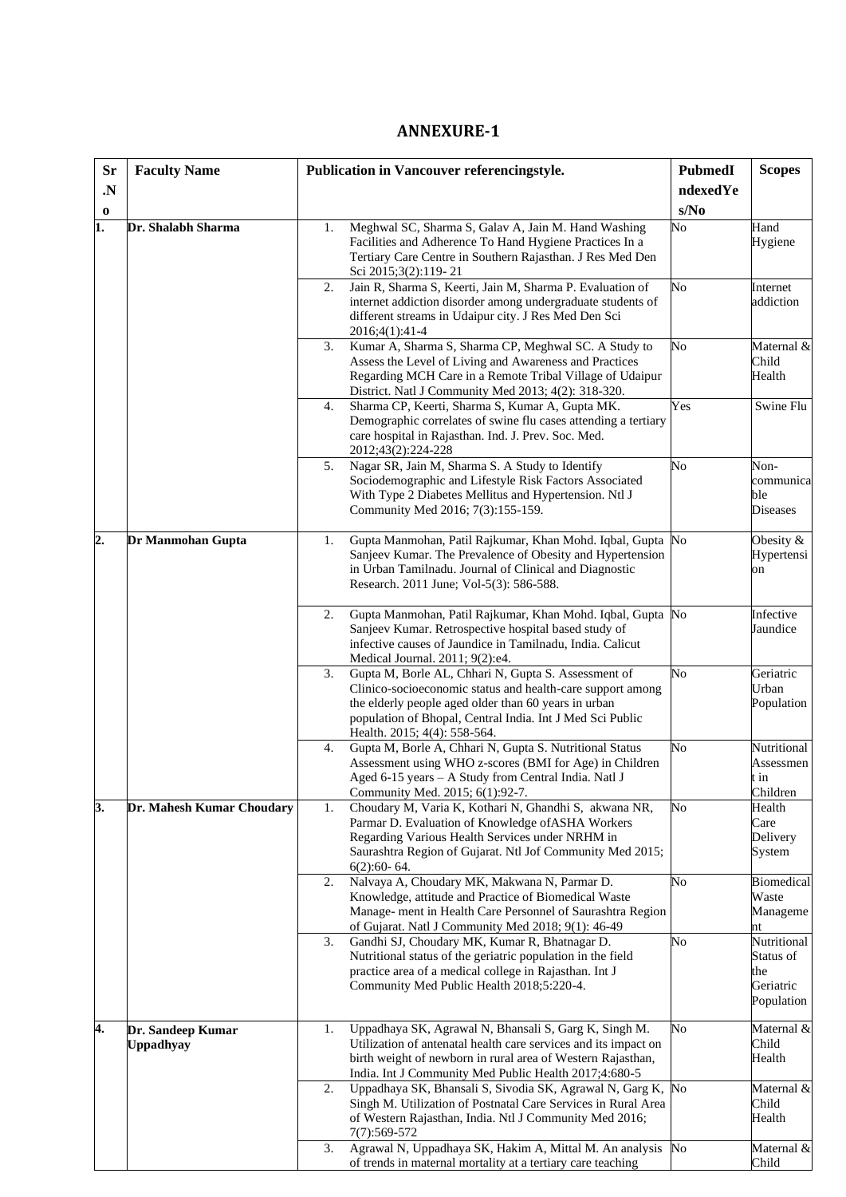## **ANNEXURE-1**

| <b>Sr</b> | <b>Faculty Name</b>                   | Publication in Vancouver referencingstyle.                                                                                                                                                                                                                                   | <b>PubmedI</b> | <b>Scopes</b>                                              |
|-----------|---------------------------------------|------------------------------------------------------------------------------------------------------------------------------------------------------------------------------------------------------------------------------------------------------------------------------|----------------|------------------------------------------------------------|
| .N        |                                       |                                                                                                                                                                                                                                                                              | ndexedYe       |                                                            |
| $\bf{0}$  |                                       |                                                                                                                                                                                                                                                                              | s/No           |                                                            |
| 1.        | Dr. Shalabh Sharma                    | Meghwal SC, Sharma S, Galav A, Jain M. Hand Washing<br>1.<br>Facilities and Adherence To Hand Hygiene Practices In a<br>Tertiary Care Centre in Southern Rajasthan. J Res Med Den<br>Sci 2015;3(2):119-21                                                                    | No             | Hand<br>Hygiene                                            |
|           |                                       | Jain R, Sharma S, Keerti, Jain M, Sharma P. Evaluation of<br>2.<br>internet addiction disorder among undergraduate students of<br>different streams in Udaipur city. J Res Med Den Sci<br>2016;4(1):41-4                                                                     | No             | Internet<br>addiction                                      |
|           |                                       | Kumar A, Sharma S, Sharma CP, Meghwal SC. A Study to<br>3.<br>Assess the Level of Living and Awareness and Practices<br>Regarding MCH Care in a Remote Tribal Village of Udaipur<br>District. Natl J Community Med 2013; 4(2): 318-320.                                      | No             | Maternal &<br>Child<br>Health                              |
|           |                                       | Sharma CP, Keerti, Sharma S, Kumar A, Gupta MK.<br>4.<br>Demographic correlates of swine flu cases attending a tertiary<br>care hospital in Rajasthan. Ind. J. Prev. Soc. Med.<br>2012;43(2):224-228                                                                         | Yes            | Swine Flu                                                  |
|           |                                       | Nagar SR, Jain M, Sharma S. A Study to Identify<br>5.<br>Sociodemographic and Lifestyle Risk Factors Associated<br>With Type 2 Diabetes Mellitus and Hypertension. Ntl J<br>Community Med 2016; 7(3):155-159.                                                                | No             | Non-<br>communica<br>ble<br><b>Diseases</b>                |
| 2.        | Dr Manmohan Gupta                     | Gupta Manmohan, Patil Rajkumar, Khan Mohd. Iqbal, Gupta No<br>1.<br>Sanjeev Kumar. The Prevalence of Obesity and Hypertension<br>in Urban Tamilnadu. Journal of Clinical and Diagnostic<br>Research. 2011 June; Vol-5(3): 586-588.                                           |                | Obesity &<br>Hypertensi<br>on                              |
|           |                                       | Gupta Manmohan, Patil Rajkumar, Khan Mohd. Iqbal, Gupta No<br>2.<br>Sanjeev Kumar. Retrospective hospital based study of<br>infective causes of Jaundice in Tamilnadu, India. Calicut<br>Medical Journal. 2011; 9(2):e4.                                                     |                | Infective<br>Jaundice                                      |
|           |                                       | Gupta M, Borle AL, Chhari N, Gupta S. Assessment of<br>3.<br>Clinico-socioeconomic status and health-care support among<br>the elderly people aged older than 60 years in urban<br>population of Bhopal, Central India. Int J Med Sci Public<br>Health. 2015; 4(4): 558-564. | No             | Geriatric<br>Urban<br>Population                           |
|           |                                       | Gupta M, Borle A, Chhari N, Gupta S. Nutritional Status<br>4.<br>Assessment using WHO z-scores (BMI for Age) in Children<br>Aged 6-15 years - A Study from Central India. Natl J<br>Community Med. 2015; 6(1):92-7.                                                          | No             | Nutritional<br>Assessmen<br>t in<br>Children               |
| 3.        | Dr. Mahesh Kumar Choudary             | Choudary M, Varia K, Kothari N, Ghandhi S, akwana NR,<br>1.<br>Parmar D. Evaluation of Knowledge of ASHA Workers<br>Regarding Various Health Services under NRHM in<br>Saurashtra Region of Gujarat. Ntl Jof Community Med 2015;<br>$6(2):60-64.$                            | No             | Health<br>Care<br>Delivery<br>System                       |
|           |                                       | Nalvaya A, Choudary MK, Makwana N, Parmar D.<br>2.<br>Knowledge, attitude and Practice of Biomedical Waste<br>Manage- ment in Health Care Personnel of Saurashtra Region<br>of Gujarat. Natl J Community Med 2018; 9(1): 46-49                                               | No             | <b>Biomedical</b><br>Waste<br>Manageme<br>nt               |
|           |                                       | Gandhi SJ, Choudary MK, Kumar R, Bhatnagar D.<br>3.<br>Nutritional status of the geriatric population in the field<br>practice area of a medical college in Rajasthan. Int J<br>Community Med Public Health 2018;5:220-4.                                                    | No             | Nutritional<br>Status of<br>the<br>Geriatric<br>Population |
| 4.        | Dr. Sandeep Kumar<br><b>Uppadhyay</b> | Uppadhaya SK, Agrawal N, Bhansali S, Garg K, Singh M.<br>1.<br>Utilization of antenatal health care services and its impact on<br>birth weight of newborn in rural area of Western Rajasthan,<br>India. Int J Community Med Public Health 2017;4:680-5                       | No             | Maternal &<br>Child<br>Health                              |
|           |                                       | Uppadhaya SK, Bhansali S, Sivodia SK, Agrawal N, Garg K, No<br>2.<br>Singh M. Utilization of Postnatal Care Services in Rural Area<br>of Western Rajasthan, India. Ntl J Community Med 2016;<br>$7(7):569-572$                                                               |                | Maternal &<br>Child<br>Health                              |
|           |                                       | Agrawal N, Uppadhaya SK, Hakim A, Mittal M. An analysis<br>3.<br>of trends in maternal mortality at a tertiary care teaching                                                                                                                                                 | $\rm No$       | Maternal &<br>Child                                        |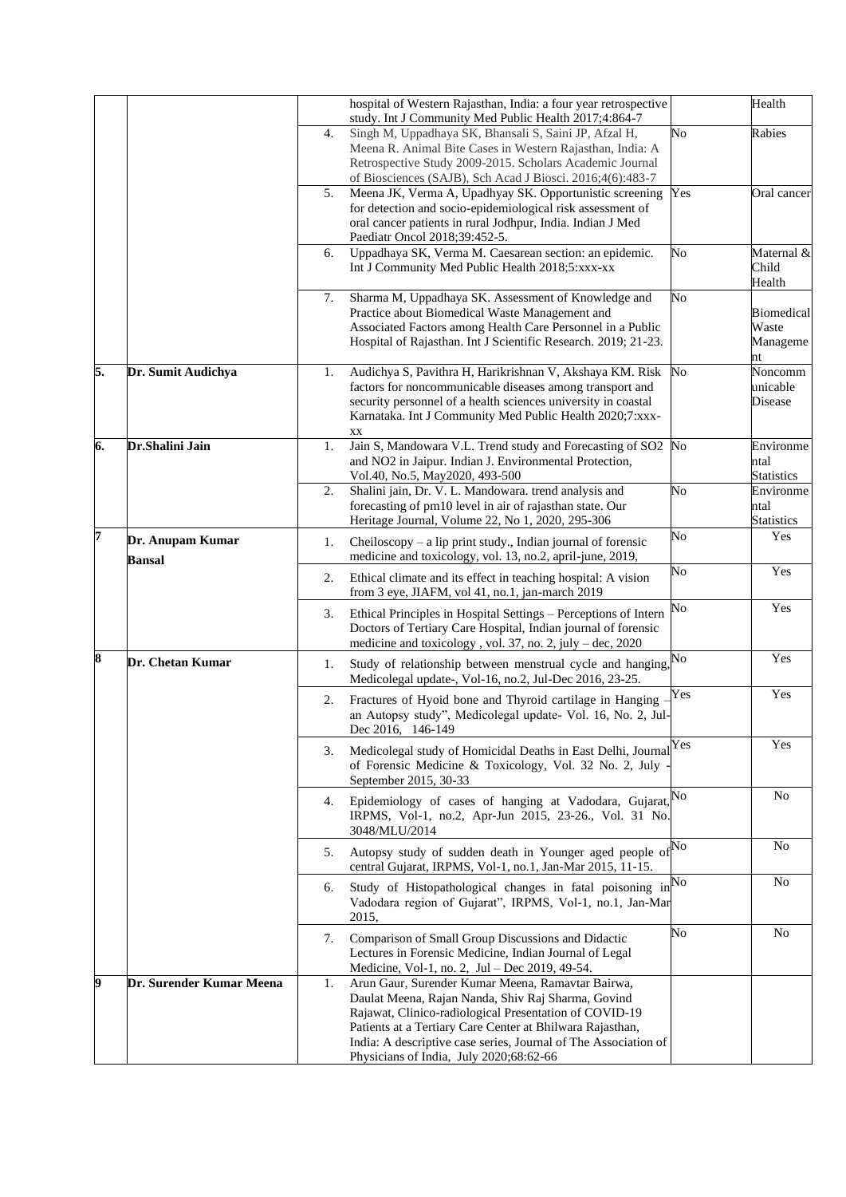|    |                                   |    | hospital of Western Rajasthan, India: a four year retrospective<br>study. Int J Community Med Public Health 2017;4:864-7                                                                                                                                                                                                                     |                        | Health                                             |
|----|-----------------------------------|----|----------------------------------------------------------------------------------------------------------------------------------------------------------------------------------------------------------------------------------------------------------------------------------------------------------------------------------------------|------------------------|----------------------------------------------------|
|    |                                   | 4. | Singh M, Uppadhaya SK, Bhansali S, Saini JP, Afzal H,<br>Meena R. Animal Bite Cases in Western Rajasthan, India: A<br>Retrospective Study 2009-2015. Scholars Academic Journal<br>of Biosciences (SAJB), Sch Acad J Biosci. 2016;4(6):483-7                                                                                                  | No                     | Rabies                                             |
|    |                                   | 5. | Meena JK, Verma A, Upadhyay SK. Opportunistic screening<br>for detection and socio-epidemiological risk assessment of<br>oral cancer patients in rural Jodhpur, India. Indian J Med<br>Paediatr Oncol 2018;39:452-5.                                                                                                                         | Yes                    | Oral cancer                                        |
|    |                                   | 6. | Uppadhaya SK, Verma M. Caesarean section: an epidemic.<br>Int J Community Med Public Health 2018;5:xxx-xx                                                                                                                                                                                                                                    | $\overline{N_{O}}$     | Maternal &<br>Child<br>Health                      |
|    |                                   | 7. | Sharma M, Uppadhaya SK. Assessment of Knowledge and<br>Practice about Biomedical Waste Management and<br>Associated Factors among Health Care Personnel in a Public<br>Hospital of Rajasthan. Int J Scientific Research. 2019; 21-23.                                                                                                        | No                     | <b>Biomedical</b><br>Waste<br>Manageme<br>nt       |
| 5. | Dr. Sumit Audichya                | 1. | Audichya S, Pavithra H, Harikrishnan V, Akshaya KM. Risk<br>factors for noncommunicable diseases among transport and<br>security personnel of a health sciences university in coastal<br>Karnataka. Int J Community Med Public Health 2020;7:xxx-<br>XX                                                                                      | No                     | $\overline{\text{Noncomm}}$<br>unicable<br>Disease |
| 6. | Dr.Shalini Jain                   | 1. | Jain S, Mandowara V.L. Trend study and Forecasting of SO2 No<br>and NO2 in Jaipur. Indian J. Environmental Protection,<br>Vol.40, No.5, May2020, 493-500                                                                                                                                                                                     |                        | Environme<br>ntal<br><b>Statistics</b>             |
|    |                                   | 2. | Shalini jain, Dr. V. L. Mandowara. trend analysis and<br>forecasting of pm10 level in air of rajasthan state. Our<br>Heritage Journal, Volume 22, No 1, 2020, 295-306                                                                                                                                                                        | No                     | Environme<br>ntal<br><b>Statistics</b>             |
| 7  | Dr. Anupam Kumar<br><b>Bansal</b> | 1. | Cheiloscopy – a lip print study., Indian journal of forensic<br>medicine and toxicology, vol. 13, no.2, april-june, 2019,                                                                                                                                                                                                                    | No                     | Yes                                                |
|    |                                   | 2. | Ethical climate and its effect in teaching hospital: A vision<br>from 3 eye, JIAFM, vol 41, no.1, jan-march 2019                                                                                                                                                                                                                             | No                     | Yes                                                |
|    |                                   | 3. | Ethical Principles in Hospital Settings - Perceptions of Intern<br>Doctors of Tertiary Care Hospital, Indian journal of forensic<br>medicine and toxicology, vol. 37, no. 2, july $-$ dec, 2020                                                                                                                                              | $\overline{\text{No}}$ | Yes                                                |
| 8  | Dr. Chetan Kumar                  | 1. | Study of relationship between menstrual cycle and hanging,<br>Medicolegal update-, Vol-16, no.2, Jul-Dec 2016, 23-25.                                                                                                                                                                                                                        | No                     | Yes                                                |
|    |                                   | 2. | Fractures of Hyoid bone and Thyroid cartilage in Hanging<br>an Autopsy study", Medicolegal update- Vol. 16, No. 2, Jul-<br>Dec 2016, 146-149                                                                                                                                                                                                 | Yes                    | Yes                                                |
|    |                                   | 3. | Medicolegal study of Homicidal Deaths in East Delhi, Journal<br>of Forensic Medicine & Toxicology, Vol. 32 No. 2, July<br>September 2015, 30-33                                                                                                                                                                                              | Yes                    | Yes                                                |
|    |                                   | 4. | Epidemiology of cases of hanging at Vadodara, Gujarat, No<br>IRPMS, Vol-1, no.2, Apr-Jun 2015, 23-26., Vol. 31 No.<br>3048/MLU/2014                                                                                                                                                                                                          |                        | N <sub>0</sub>                                     |
|    |                                   | 5. | Autopsy study of sudden death in Younger aged people of <sup>No</sup><br>central Gujarat, IRPMS, Vol-1, no.1, Jan-Mar 2015, 11-15.                                                                                                                                                                                                           |                        | No                                                 |
|    |                                   | 6. | Study of Histopathological changes in fatal poisoning in <sup>No</sup><br>Vadodara region of Gujarat", IRPMS, Vol-1, no.1, Jan-Mar<br>2015,                                                                                                                                                                                                  |                        | No                                                 |
|    |                                   | 7. | Comparison of Small Group Discussions and Didactic<br>Lectures in Forensic Medicine, Indian Journal of Legal<br>Medicine, Vol-1, no. 2, Jul - Dec 2019, 49-54.                                                                                                                                                                               | No                     | N <sub>o</sub>                                     |
| 9  | Dr. Surender Kumar Meena          | 1. | Arun Gaur, Surender Kumar Meena, Ramavtar Bairwa,<br>Daulat Meena, Rajan Nanda, Shiv Raj Sharma, Govind<br>Rajawat, Clinico-radiological Presentation of COVID-19<br>Patients at a Tertiary Care Center at Bhilwara Rajasthan,<br>India: A descriptive case series, Journal of The Association of<br>Physicians of India, July 2020;68:62-66 |                        |                                                    |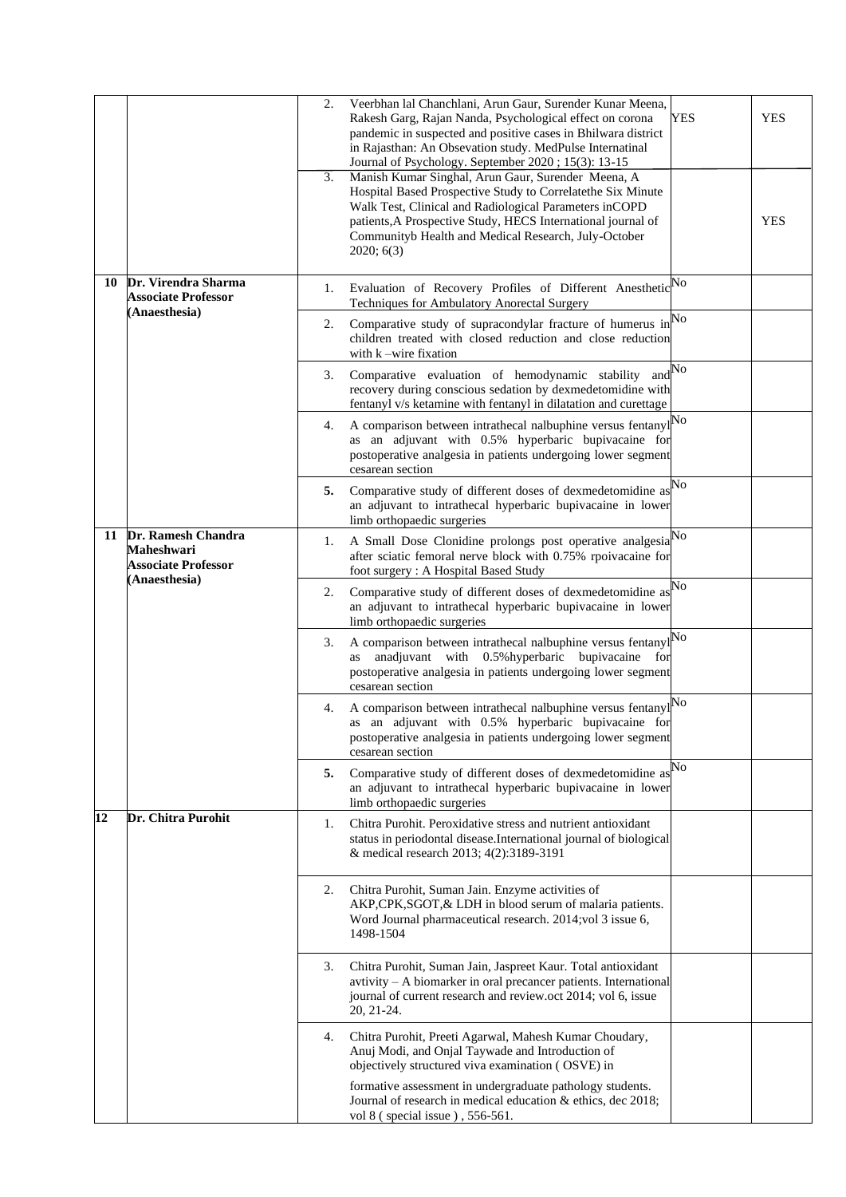|    |                                                                                           | 2. | Veerbhan lal Chanchlani, Arun Gaur, Surender Kunar Meena,<br>Rakesh Garg, Rajan Nanda, Psychological effect on corona<br>pandemic in suspected and positive cases in Bhilwara district<br>in Rajasthan: An Obsevation study. MedPulse Internatinal<br>Journal of Psychology. September 2020; 15(3): 13-15         | <b>YES</b> | <b>YES</b> |
|----|-------------------------------------------------------------------------------------------|----|-------------------------------------------------------------------------------------------------------------------------------------------------------------------------------------------------------------------------------------------------------------------------------------------------------------------|------------|------------|
|    |                                                                                           | 3. | Manish Kumar Singhal, Arun Gaur, Surender Meena, A<br>Hospital Based Prospective Study to Correlatethe Six Minute<br>Walk Test, Clinical and Radiological Parameters inCOPD<br>patients, A Prospective Study, HECS International journal of<br>Communityb Health and Medical Research, July-October<br>2020; 6(3) |            | <b>YES</b> |
| 10 | Dr. Virendra Sharma<br><b>Associate Professor</b><br>(Anaesthesia)                        | 1. | Evaluation of Recovery Profiles of Different Anesthetic No<br>Techniques for Ambulatory Anorectal Surgery                                                                                                                                                                                                         |            |            |
|    |                                                                                           | 2. | Comparative study of supracondylar fracture of humerus in<br>children treated with closed reduction and close reduction<br>with $k$ –wire fixation                                                                                                                                                                | No         |            |
|    |                                                                                           | 3. | Comparative evaluation of hemodynamic stability and $\mathbb{N}^{\text{O}}$<br>recovery during conscious sedation by dexmedetomidine with<br>fentanyl v/s ketamine with fentanyl in dilatation and curettage                                                                                                      |            |            |
|    |                                                                                           | 4. | A comparison between intrathecal nalbuphine versus fentanyl $N^O$<br>as an adjuvant with 0.5% hyperbaric bupivacaine for<br>postoperative analgesia in patients undergoing lower segment<br>cesarean section                                                                                                      |            |            |
|    |                                                                                           | 5. | Comparative study of different doses of dexmedetomidine as<br>an adjuvant to intrathecal hyperbaric bupivacaine in lower<br>limb orthopaedic surgeries                                                                                                                                                            | No         |            |
|    | 11 Dr. Ramesh Chandra<br><b>Maheshwari</b><br><b>Associate Professor</b><br>(Anaesthesia) | 1. | A Small Dose Clonidine prolongs post operative analgesia<br>after sciatic femoral nerve block with 0.75% rpoivacaine for<br>foot surgery: A Hospital Based Study                                                                                                                                                  | No         |            |
|    |                                                                                           | 2. | Comparative study of different doses of dexmedetomidine as<br>an adjuvant to intrathecal hyperbaric bupivacaine in lower<br>limb orthopaedic surgeries                                                                                                                                                            | No         |            |
|    |                                                                                           | 3. | A comparison between intrathecal nalbuphine versus fentanyl<br>anadjuvant with 0.5% hyperbaric bupivacaine for<br>as<br>postoperative analgesia in patients undergoing lower segment<br>cesarean section                                                                                                          | No         |            |
|    |                                                                                           | 4. | A comparison between intrathecal nalbuphine versus fentanyl<br>as an adjuvant with 0.5% hyperbaric bupivacaine for<br>postoperative analgesia in patients undergoing lower segment<br>cesarean section                                                                                                            | No         |            |
|    |                                                                                           | 5. | Comparative study of different doses of dexmedetomidine as<br>an adjuvant to intrathecal hyperbaric bupivacaine in lower<br>limb orthopaedic surgeries                                                                                                                                                            | No         |            |
| 12 | Dr. Chitra Purohit                                                                        | 1. | Chitra Purohit. Peroxidative stress and nutrient antioxidant<br>status in periodontal disease.International journal of biological<br>& medical research 2013; 4(2):3189-3191                                                                                                                                      |            |            |
|    |                                                                                           | 2. | Chitra Purohit, Suman Jain. Enzyme activities of<br>AKP, CPK, SGOT, & LDH in blood serum of malaria patients.<br>Word Journal pharmaceutical research. 2014;vol 3 issue 6,<br>1498-1504                                                                                                                           |            |            |
|    |                                                                                           | 3. | Chitra Purohit, Suman Jain, Jaspreet Kaur. Total antioxidant<br>avtivity - A biomarker in oral precancer patients. International<br>journal of current research and review.oct 2014; vol 6, issue<br>20, 21-24.                                                                                                   |            |            |
|    |                                                                                           | 4. | Chitra Purohit, Preeti Agarwal, Mahesh Kumar Choudary,<br>Anuj Modi, and Onjal Taywade and Introduction of<br>objectively structured viva examination (OSVE) in                                                                                                                                                   |            |            |
|    |                                                                                           |    | formative assessment in undergraduate pathology students.<br>Journal of research in medical education & ethics, dec 2018;<br>vol 8 (special issue), 556-561.                                                                                                                                                      |            |            |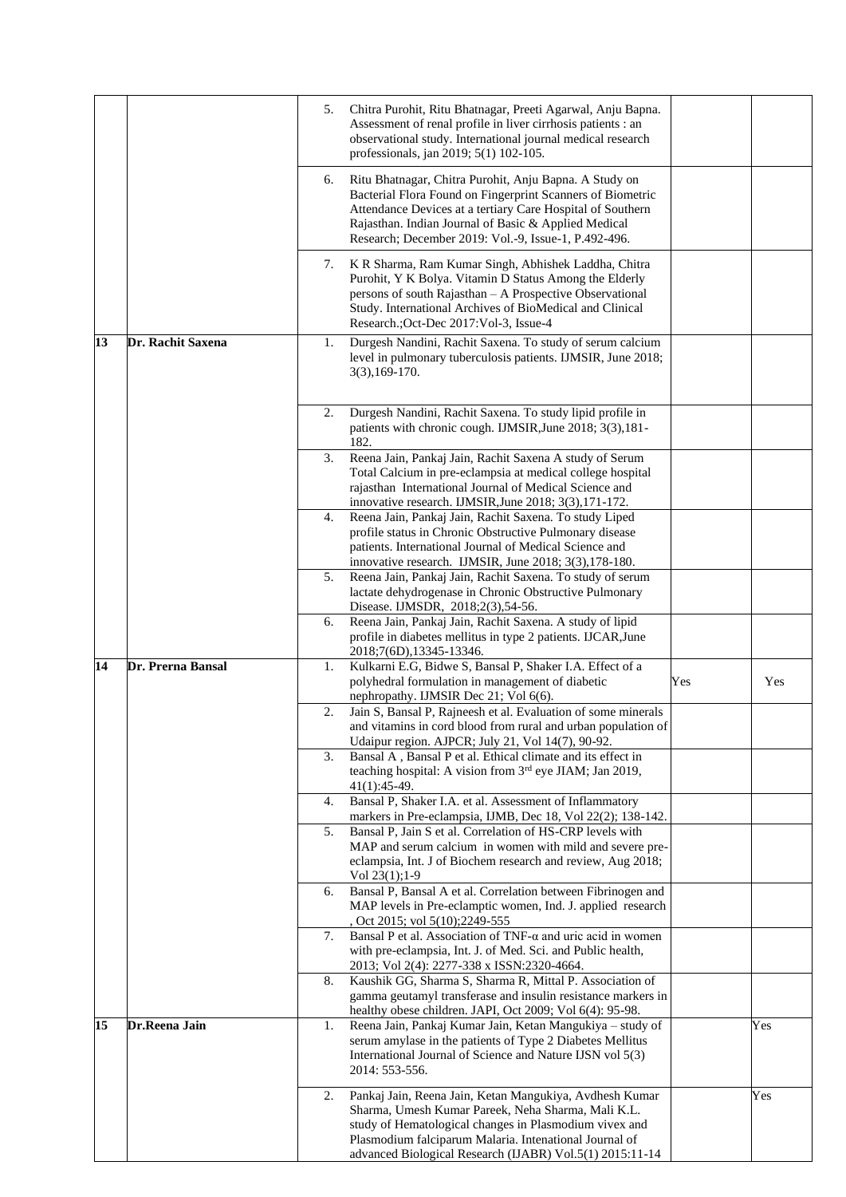|    |                   | 5. | Chitra Purohit, Ritu Bhatnagar, Preeti Agarwal, Anju Bapna.<br>Assessment of renal profile in liver cirrhosis patients : an<br>observational study. International journal medical research                                                                                                         |     |     |
|----|-------------------|----|----------------------------------------------------------------------------------------------------------------------------------------------------------------------------------------------------------------------------------------------------------------------------------------------------|-----|-----|
|    |                   |    | professionals, jan 2019; 5(1) 102-105.                                                                                                                                                                                                                                                             |     |     |
|    |                   | 6. | Ritu Bhatnagar, Chitra Purohit, Anju Bapna. A Study on<br>Bacterial Flora Found on Fingerprint Scanners of Biometric<br>Attendance Devices at a tertiary Care Hospital of Southern<br>Rajasthan. Indian Journal of Basic & Applied Medical<br>Research; December 2019: Vol.-9, Issue-1, P.492-496. |     |     |
|    |                   | 7. | K R Sharma, Ram Kumar Singh, Abhishek Laddha, Chitra<br>Purohit, Y K Bolya. Vitamin D Status Among the Elderly<br>persons of south Rajasthan - A Prospective Observational<br>Study. International Archives of BioMedical and Clinical<br>Research.; Oct-Dec 2017: Vol-3, Issue-4                  |     |     |
| 13 | Dr. Rachit Saxena | 1. | Durgesh Nandini, Rachit Saxena. To study of serum calcium<br>level in pulmonary tuberculosis patients. IJMSIR, June 2018;<br>$3(3), 169 - 170.$                                                                                                                                                    |     |     |
|    |                   | 2. | Durgesh Nandini, Rachit Saxena. To study lipid profile in<br>patients with chronic cough. IJMSIR, June 2018; 3(3), 181-<br>182.                                                                                                                                                                    |     |     |
|    |                   | 3. | Reena Jain, Pankaj Jain, Rachit Saxena A study of Serum<br>Total Calcium in pre-eclampsia at medical college hospital<br>rajasthan International Journal of Medical Science and<br>innovative research. IJMSIR, June 2018; 3(3), 171-172.                                                          |     |     |
|    |                   | 4. | Reena Jain, Pankaj Jain, Rachit Saxena. To study Liped<br>profile status in Chronic Obstructive Pulmonary disease<br>patients. International Journal of Medical Science and<br>innovative research. IJMSIR, June 2018; 3(3),178-180.                                                               |     |     |
|    |                   | 5. | Reena Jain, Pankaj Jain, Rachit Saxena. To study of serum<br>lactate dehydrogenase in Chronic Obstructive Pulmonary<br>Disease. IJMSDR, 2018;2(3),54-56.                                                                                                                                           |     |     |
|    |                   | 6. | Reena Jain, Pankaj Jain, Rachit Saxena. A study of lipid<br>profile in diabetes mellitus in type 2 patients. IJCAR, June<br>2018;7(6D),13345-13346.                                                                                                                                                |     |     |
| 14 | Dr. Prerna Bansal | 1. | Kulkarni E.G, Bidwe S, Bansal P, Shaker I.A. Effect of a<br>polyhedral formulation in management of diabetic<br>nephropathy. IJMSIR Dec 21; Vol 6(6).                                                                                                                                              | Yes | Yes |
|    |                   | 2. | Jain S, Bansal P, Rajneesh et al. Evaluation of some minerals<br>and vitamins in cord blood from rural and urban population of<br>Udaipur region. AJPCR; July 21, Vol 14(7), 90-92.                                                                                                                |     |     |
|    |                   | 3. | Bansal A, Bansal P et al. Ethical climate and its effect in<br>teaching hospital: A vision from 3 <sup>rd</sup> eye JIAM; Jan 2019,<br>$41(1):45-49.$                                                                                                                                              |     |     |
|    |                   | 4. | Bansal P, Shaker I.A. et al. Assessment of Inflammatory<br>markers in Pre-eclampsia, IJMB, Dec 18, Vol 22(2); 138-142.                                                                                                                                                                             |     |     |
|    |                   | 5. | Bansal P, Jain S et al. Correlation of HS-CRP levels with<br>MAP and serum calcium in women with mild and severe pre-<br>eclampsia, Int. J of Biochem research and review, Aug 2018;                                                                                                               |     |     |
|    |                   | 6. | Vol $23(1)$ ; 1-9<br>Bansal P, Bansal A et al. Correlation between Fibrinogen and<br>MAP levels in Pre-eclamptic women, Ind. J. applied research<br>, Oct 2015; vol 5(10);2249-555                                                                                                                 |     |     |
|    |                   | 7. | Bansal P et al. Association of TNF-a and uric acid in women<br>with pre-eclampsia, Int. J. of Med. Sci. and Public health,<br>2013; Vol 2(4): 2277-338 x ISSN:2320-4664.                                                                                                                           |     |     |
|    |                   | 8. | Kaushik GG, Sharma S, Sharma R, Mittal P. Association of<br>gamma geutamyl transferase and insulin resistance markers in<br>healthy obese children. JAPI, Oct 2009; Vol 6(4): 95-98.                                                                                                               |     |     |
| 15 | Dr.Reena Jain     | 1. | Reena Jain, Pankaj Kumar Jain, Ketan Mangukiya - study of<br>serum amylase in the patients of Type 2 Diabetes Mellitus<br>International Journal of Science and Nature IJSN vol 5(3)<br>2014: 553-556.                                                                                              |     | Yes |
|    |                   | 2. | Pankaj Jain, Reena Jain, Ketan Mangukiya, Avdhesh Kumar<br>Sharma, Umesh Kumar Pareek, Neha Sharma, Mali K.L.<br>study of Hematological changes in Plasmodium vivex and<br>Plasmodium falciparum Malaria. Intenational Journal of<br>advanced Biological Research (IJABR) Vol.5(1) 2015:11-14      |     | Yes |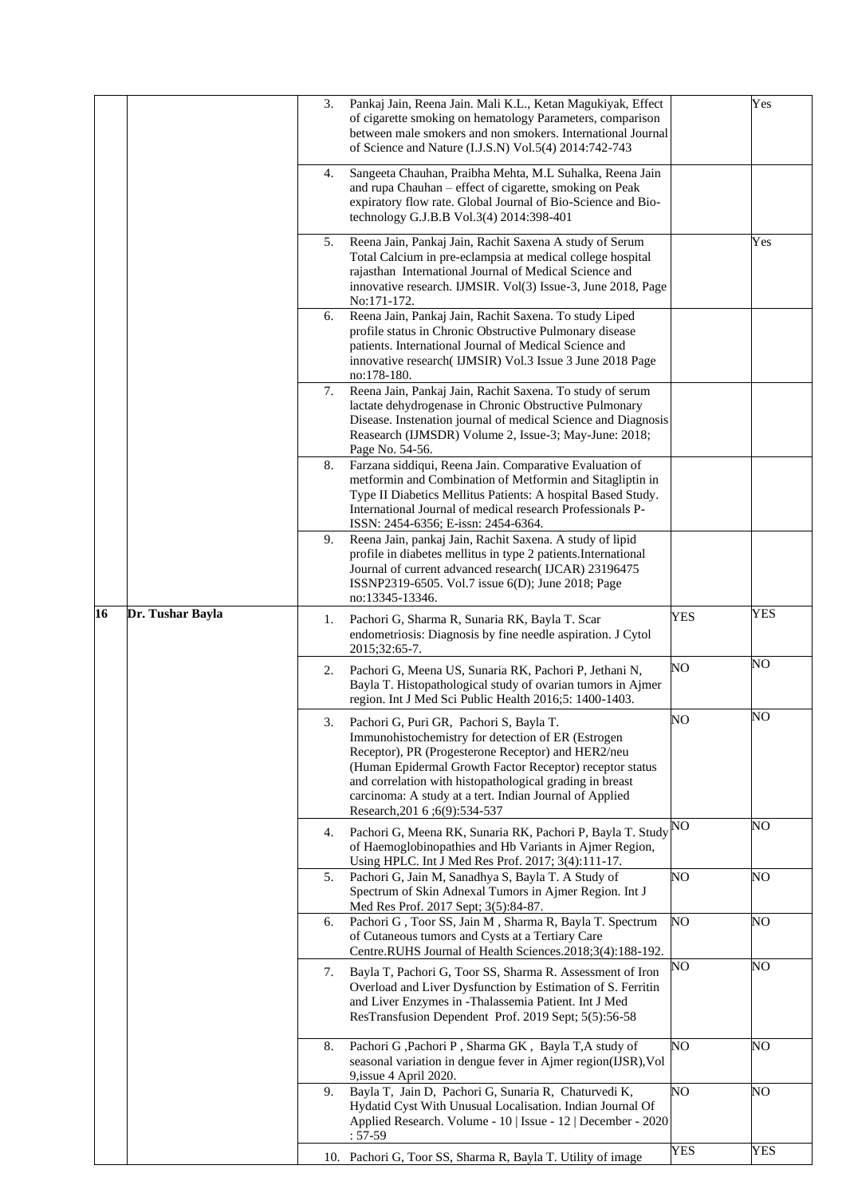|    |                  | 3. | Pankaj Jain, Reena Jain. Mali K.L., Ketan Magukiyak, Effect<br>of cigarette smoking on hematology Parameters, comparison<br>between male smokers and non smokers. International Journal<br>of Science and Nature (I.J.S.N) Vol.5(4) 2014:742-743                                                                                                                          |            | Yes |
|----|------------------|----|---------------------------------------------------------------------------------------------------------------------------------------------------------------------------------------------------------------------------------------------------------------------------------------------------------------------------------------------------------------------------|------------|-----|
|    |                  | 4. | Sangeeta Chauhan, Praibha Mehta, M.L Suhalka, Reena Jain<br>and rupa Chauhan - effect of cigarette, smoking on Peak<br>expiratory flow rate. Global Journal of Bio-Science and Bio-<br>technology G.J.B.B Vol.3(4) 2014:398-401                                                                                                                                           |            |     |
|    |                  | 5. | Reena Jain, Pankaj Jain, Rachit Saxena A study of Serum<br>Total Calcium in pre-eclampsia at medical college hospital<br>rajasthan International Journal of Medical Science and<br>innovative research. IJMSIR. Vol(3) Issue-3, June 2018, Page<br>No:171-172.                                                                                                            |            | Yes |
|    |                  | 6. | Reena Jain, Pankaj Jain, Rachit Saxena. To study Liped<br>profile status in Chronic Obstructive Pulmonary disease<br>patients. International Journal of Medical Science and<br>innovative research (IJMSIR) Vol.3 Issue 3 June 2018 Page<br>no:178-180.                                                                                                                   |            |     |
|    |                  | 7. | Reena Jain, Pankaj Jain, Rachit Saxena. To study of serum<br>lactate dehydrogenase in Chronic Obstructive Pulmonary<br>Disease. Instenation journal of medical Science and Diagnosis<br>Reasearch (IJMSDR) Volume 2, Issue-3; May-June: 2018;<br>Page No. 54-56.                                                                                                          |            |     |
|    |                  | 8. | Farzana siddiqui, Reena Jain. Comparative Evaluation of<br>metformin and Combination of Metformin and Sitagliptin in<br>Type II Diabetics Mellitus Patients: A hospital Based Study.<br>International Journal of medical research Professionals P-<br>ISSN: 2454-6356; E-issn: 2454-6364.                                                                                 |            |     |
|    |                  | 9. | Reena Jain, pankaj Jain, Rachit Saxena. A study of lipid<br>profile in diabetes mellitus in type 2 patients. International<br>Journal of current advanced research(IJCAR) 23196475<br>ISSNP2319-6505. Vol.7 issue 6(D); June 2018; Page<br>no:13345-13346.                                                                                                                |            |     |
| 16 | Dr. Tushar Bayla | 1. | Pachori G, Sharma R, Sunaria RK, Bayla T. Scar<br>endometriosis: Diagnosis by fine needle aspiration. J Cytol<br>2015;32:65-7.                                                                                                                                                                                                                                            | <b>YES</b> | YES |
|    |                  | 2. | Pachori G, Meena US, Sunaria RK, Pachori P, Jethani N,<br>Bayla T. Histopathological study of ovarian tumors in Ajmer<br>region. Int J Med Sci Public Health 2016;5: 1400-1403.                                                                                                                                                                                           | NO         | NO  |
|    |                  | 3. | Pachori G, Puri GR, Pachori S, Bayla T.<br>Immunohistochemistry for detection of ER (Estrogen<br>Receptor), PR (Progesterone Receptor) and HER2/neu<br>(Human Epidermal Growth Factor Receptor) receptor status<br>and correlation with histopathological grading in breast<br>carcinoma: A study at a tert. Indian Journal of Applied<br>Research, 201 6 ; 6(9): 534-537 | NO         | NO  |
|    |                  | 4. | Pachori G, Meena RK, Sunaria RK, Pachori P, Bayla T. Study<br>of Haemoglobinopathies and Hb Variants in Ajmer Region,<br>Using HPLC. Int J Med Res Prof. 2017; 3(4):111-17.                                                                                                                                                                                               | NO         | NO  |
|    |                  | 5. | Pachori G, Jain M, Sanadhya S, Bayla T. A Study of<br>Spectrum of Skin Adnexal Tumors in Ajmer Region. Int J<br>Med Res Prof. 2017 Sept; 3(5):84-87.                                                                                                                                                                                                                      | NO         | NO  |
|    |                  | 6. | Pachori G, Toor SS, Jain M, Sharma R, Bayla T. Spectrum<br>of Cutaneous tumors and Cysts at a Tertiary Care<br>Centre.RUHS Journal of Health Sciences.2018;3(4):188-192.                                                                                                                                                                                                  | NO.        | NO  |
|    |                  | 7. | Bayla T, Pachori G, Toor SS, Sharma R. Assessment of Iron<br>Overload and Liver Dysfunction by Estimation of S. Ferritin<br>and Liver Enzymes in -Thalassemia Patient. Int J Med<br>ResTransfusion Dependent Prof. 2019 Sept; 5(5):56-58                                                                                                                                  | NO         | NO  |
|    |                  | 8. | Pachori G, Pachori P, Sharma GK, Bayla T, A study of<br>seasonal variation in dengue fever in Ajmer region(IJSR), Vol<br>9, issue 4 April 2020.                                                                                                                                                                                                                           | NO         | NO  |
|    |                  | 9. | Bayla T, Jain D, Pachori G, Sunaria R, Chaturvedi K,<br>Hydatid Cyst With Unusual Localisation. Indian Journal Of<br>Applied Research. Volume - 10   Issue - 12   December - 2020<br>$: 57-59$                                                                                                                                                                            | NO         | NO  |
|    |                  |    | 10. Pachori G, Toor SS, Sharma R, Bayla T. Utility of image                                                                                                                                                                                                                                                                                                               | YES        | YES |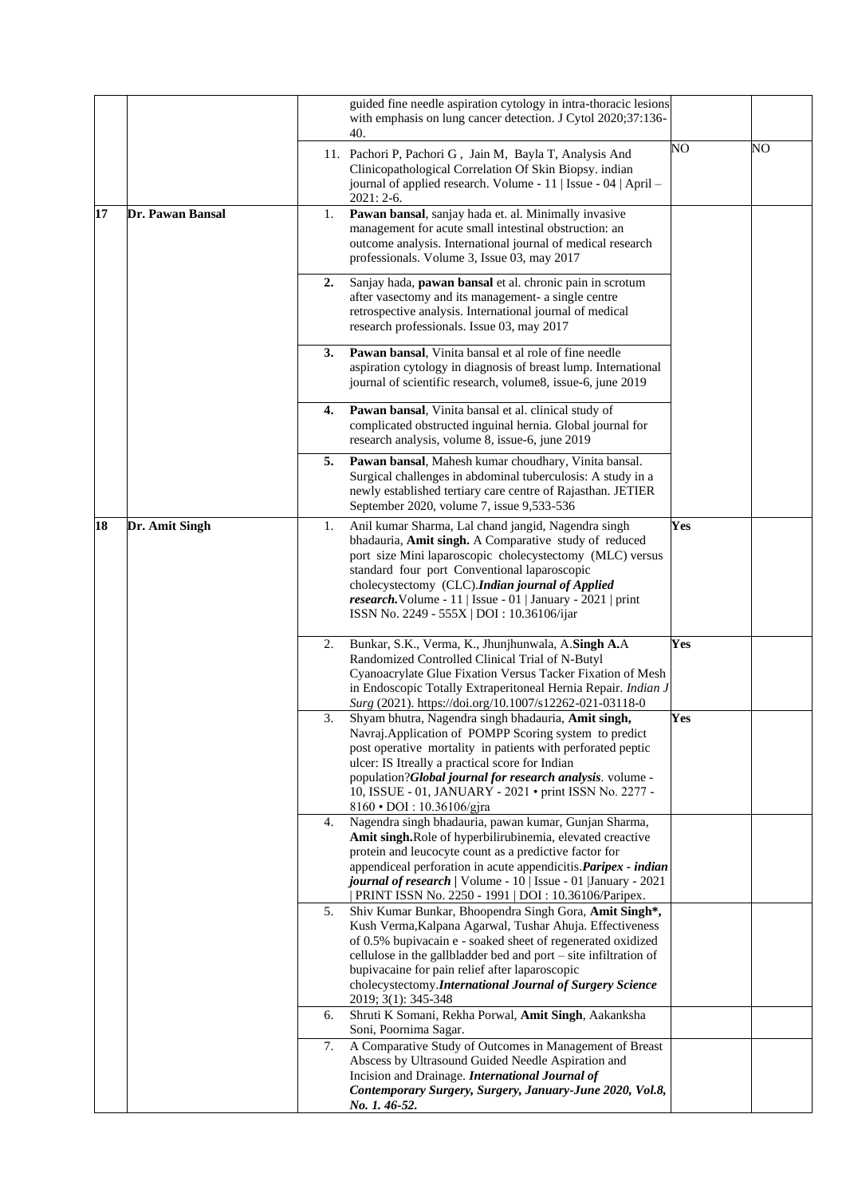|    |                  |    | guided fine needle aspiration cytology in intra-thoracic lesions<br>with emphasis on lung cancer detection. J Cytol 2020;37:136-<br>40.                                                                                                                                                                                                                                                    |     |    |
|----|------------------|----|--------------------------------------------------------------------------------------------------------------------------------------------------------------------------------------------------------------------------------------------------------------------------------------------------------------------------------------------------------------------------------------------|-----|----|
|    |                  |    | 11. Pachori P, Pachori G, Jain M, Bayla T, Analysis And<br>Clinicopathological Correlation Of Skin Biopsy. indian<br>journal of applied research. Volume - 11   Issue - 04   April -<br>$2021:2-6.$                                                                                                                                                                                        | NO  | NO |
| 17 | Dr. Pawan Bansal | 1. | Pawan bansal, sanjay hada et. al. Minimally invasive<br>management for acute small intestinal obstruction: an<br>outcome analysis. International journal of medical research<br>professionals. Volume 3, Issue 03, may 2017                                                                                                                                                                |     |    |
|    |                  | 2. | Sanjay hada, pawan bansal et al. chronic pain in scrotum<br>after vasectomy and its management- a single centre<br>retrospective analysis. International journal of medical<br>research professionals. Issue 03, may 2017                                                                                                                                                                  |     |    |
|    |                  | 3. | Pawan bansal, Vinita bansal et al role of fine needle<br>aspiration cytology in diagnosis of breast lump. International<br>journal of scientific research, volume8, issue-6, june 2019                                                                                                                                                                                                     |     |    |
|    |                  | 4. | Pawan bansal, Vinita bansal et al. clinical study of<br>complicated obstructed inguinal hernia. Global journal for<br>research analysis, volume 8, issue-6, june 2019                                                                                                                                                                                                                      |     |    |
|    |                  | 5. | Pawan bansal, Mahesh kumar choudhary, Vinita bansal.<br>Surgical challenges in abdominal tuberculosis: A study in a<br>newly established tertiary care centre of Rajasthan. JETIER<br>September 2020, volume 7, issue 9,533-536                                                                                                                                                            |     |    |
| 18 | Dr. Amit Singh   | 1. | Anil kumar Sharma, Lal chand jangid, Nagendra singh<br>bhadauria, Amit singh. A Comparative study of reduced<br>port size Mini laparoscopic cholecystectomy (MLC) versus<br>standard four port Conventional laparoscopic<br>cholecystectomy (CLC).Indian journal of Applied<br>research. Volume - $11$   Issue - 01   January - 2021   print<br>ISSN No. 2249 - 555X   DOI: 10.36106/ijar  | Yes |    |
|    |                  | 2. | Bunkar, S.K., Verma, K., Jhunjhunwala, A.Singh A.A<br>Randomized Controlled Clinical Trial of N-Butyl<br>Cyanoacrylate Glue Fixation Versus Tacker Fixation of Mesh<br>in Endoscopic Totally Extraperitoneal Hernia Repair. Indian J<br>Surg (2021). https://doi.org/10.1007/s12262-021-03118-0                                                                                            | Yes |    |
|    |                  | 3. | Shyam bhutra, Nagendra singh bhadauria, Amit singh,<br>Navraj. Application of POMPP Scoring system to predict<br>post operative mortality in patients with perforated peptic<br>ulcer: IS Itreally a practical score for Indian<br>population?Global journal for research analysis. volume -<br>10, ISSUE - 01, JANUARY - 2021 · print ISSN No. 2277 -<br>8160 • DOI: 10.36106/gjra        | Yes |    |
|    |                  | 4. | Nagendra singh bhadauria, pawan kumar, Gunjan Sharma,<br>Amit singh.Role of hyperbilirubinemia, elevated creactive<br>protein and leucocyte count as a predictive factor for<br>appendiceal perforation in acute appendicitis. Paripex - indian<br>journal of research / Volume - 10   Issue - 01   January - 2021<br>PRINT ISSN No. 2250 - 1991   DOI : 10.36106/Paripex.                 |     |    |
|    |                  | 5. | Shiv Kumar Bunkar, Bhoopendra Singh Gora, Amit Singh*,<br>Kush Verma, Kalpana Agarwal, Tushar Ahuja. Effectiveness<br>of 0.5% bupivacain e - soaked sheet of regenerated oxidized<br>cellulose in the gallbladder bed and port – site infiltration of<br>bupivacaine for pain relief after laparoscopic<br>cholecystectomy.International Journal of Surgery Science<br>2019; 3(1): 345-348 |     |    |
|    |                  | 6. | Shruti K Somani, Rekha Porwal, Amit Singh, Aakanksha<br>Soni, Poornima Sagar.                                                                                                                                                                                                                                                                                                              |     |    |
|    |                  | 7. | A Comparative Study of Outcomes in Management of Breast<br>Abscess by Ultrasound Guided Needle Aspiration and<br>Incision and Drainage. International Journal of<br>Contemporary Surgery, Surgery, January-June 2020, Vol.8,<br>No. 1. 46-52.                                                                                                                                              |     |    |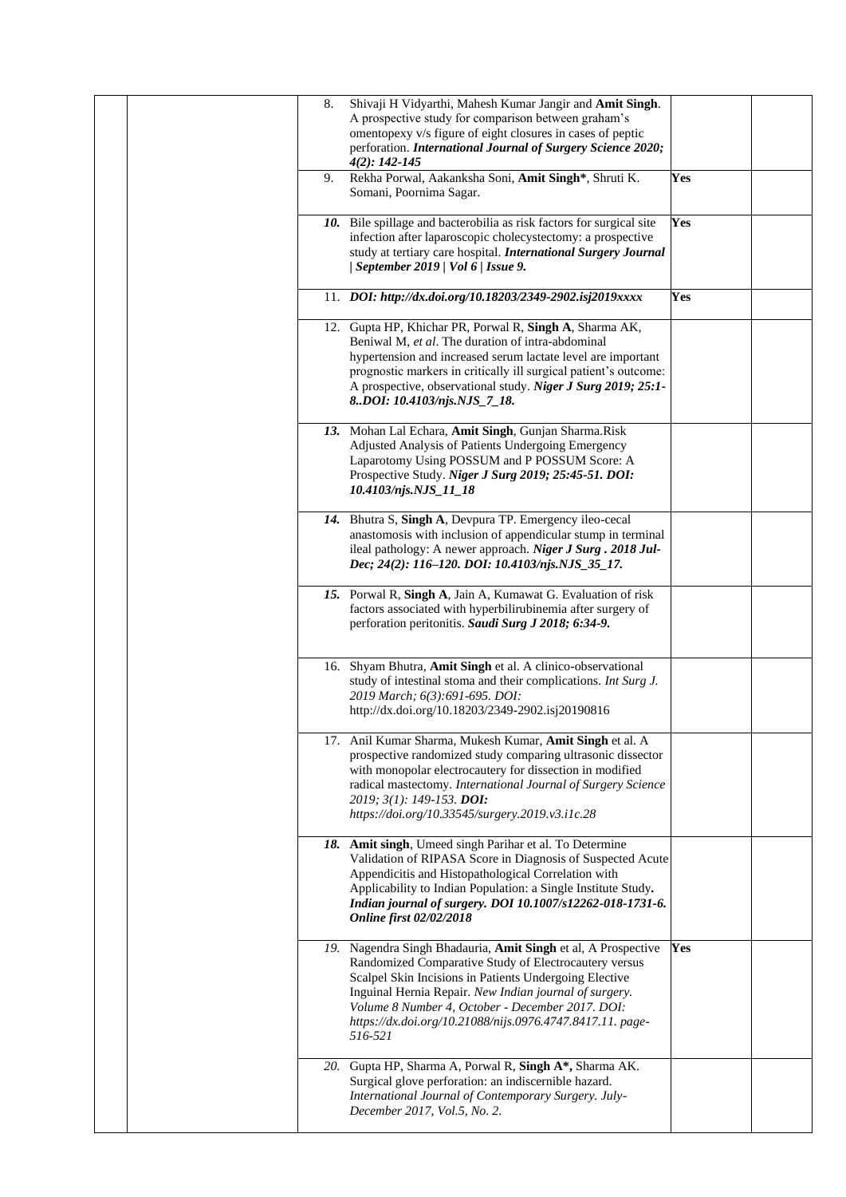|  | 8. | Shivaji H Vidyarthi, Mahesh Kumar Jangir and Amit Singh.<br>A prospective study for comparison between graham's<br>omentopexy v/s figure of eight closures in cases of peptic<br>perforation. International Journal of Surgery Science 2020;<br>$4(2): 142 - 145$                                                                                                      |     |  |
|--|----|------------------------------------------------------------------------------------------------------------------------------------------------------------------------------------------------------------------------------------------------------------------------------------------------------------------------------------------------------------------------|-----|--|
|  | 9. | Rekha Porwal, Aakanksha Soni, Amit Singh*, Shruti K.<br>Somani, Poornima Sagar.                                                                                                                                                                                                                                                                                        | Yes |  |
|  |    | 10. Bile spillage and bacterobilia as risk factors for surgical site<br>infection after laparoscopic cholecystectomy: a prospective<br>study at tertiary care hospital. International Surgery Journal<br>  September 2019   Vol 6   Issue 9.                                                                                                                           | Yes |  |
|  |    | 11. DOI: http://dx.doi.org/10.18203/2349-2902.isj2019xxxx                                                                                                                                                                                                                                                                                                              | Yes |  |
|  |    | 12. Gupta HP, Khichar PR, Porwal R, Singh A, Sharma AK,<br>Beniwal M, et al. The duration of intra-abdominal<br>hypertension and increased serum lactate level are important<br>prognostic markers in critically ill surgical patient's outcome:<br>A prospective, observational study. Niger J Surg 2019; 25:1-<br>8DOI: 10.4103/njs.NJS_7_18.                        |     |  |
|  |    | 13. Mohan Lal Echara, Amit Singh, Gunjan Sharma.Risk<br>Adjusted Analysis of Patients Undergoing Emergency<br>Laparotomy Using POSSUM and P POSSUM Score: A<br>Prospective Study. Niger J Surg 2019; 25:45-51. DOI:<br>10.4103/njs.NJS_11_18                                                                                                                           |     |  |
|  |    | 14. Bhutra S, Singh A, Devpura TP. Emergency ileo-cecal<br>anastomosis with inclusion of appendicular stump in terminal<br>ileal pathology: A newer approach. Niger J Surg. 2018 Jul-<br>Dec; 24(2): 116-120. DOI: 10.4103/njs.NJS_35_17.                                                                                                                              |     |  |
|  |    | 15. Porwal R, Singh A, Jain A, Kumawat G. Evaluation of risk<br>factors associated with hyperbilirubinemia after surgery of<br>perforation peritonitis. Saudi Surg J 2018; 6:34-9.                                                                                                                                                                                     |     |  |
|  |    | 16. Shyam Bhutra, Amit Singh et al. A clinico-observational<br>study of intestinal stoma and their complications. Int Surg J.<br>2019 March; 6(3):691-695. DOI:<br>http://dx.doi.org/10.18203/2349-2902.isj20190816                                                                                                                                                    |     |  |
|  |    | 17. Anil Kumar Sharma, Mukesh Kumar, Amit Singh et al. A<br>prospective randomized study comparing ultrasonic dissector<br>with monopolar electrocautery for dissection in modified<br>radical mastectomy. International Journal of Surgery Science<br>2019; 3(1): 149-153. DOI:<br>https://doi.org/10.33545/surgery.2019.v3.i1c.28                                    |     |  |
|  |    | 18. Amit singh, Umeed singh Parihar et al. To Determine<br>Validation of RIPASA Score in Diagnosis of Suspected Acute<br>Appendicitis and Histopathological Correlation with<br>Applicability to Indian Population: a Single Institute Study.<br>Indian journal of surgery. DOI 10.1007/s12262-018-1731-6.<br><b>Online first 02/02/2018</b>                           |     |  |
|  |    | 19. Nagendra Singh Bhadauria, Amit Singh et al, A Prospective<br>Randomized Comparative Study of Electrocautery versus<br>Scalpel Skin Incisions in Patients Undergoing Elective<br>Inguinal Hernia Repair. New Indian journal of surgery.<br>Volume 8 Number 4, October - December 2017. DOI:<br>https://dx.doi.org/10.21088/nijs.0976.4747.8417.11. page-<br>516-521 | Yes |  |
|  |    | 20. Gupta HP, Sharma A, Porwal R, Singh A*, Sharma AK.<br>Surgical glove perforation: an indiscernible hazard.<br>International Journal of Contemporary Surgery. July-<br>December 2017, Vol.5, No. 2.                                                                                                                                                                 |     |  |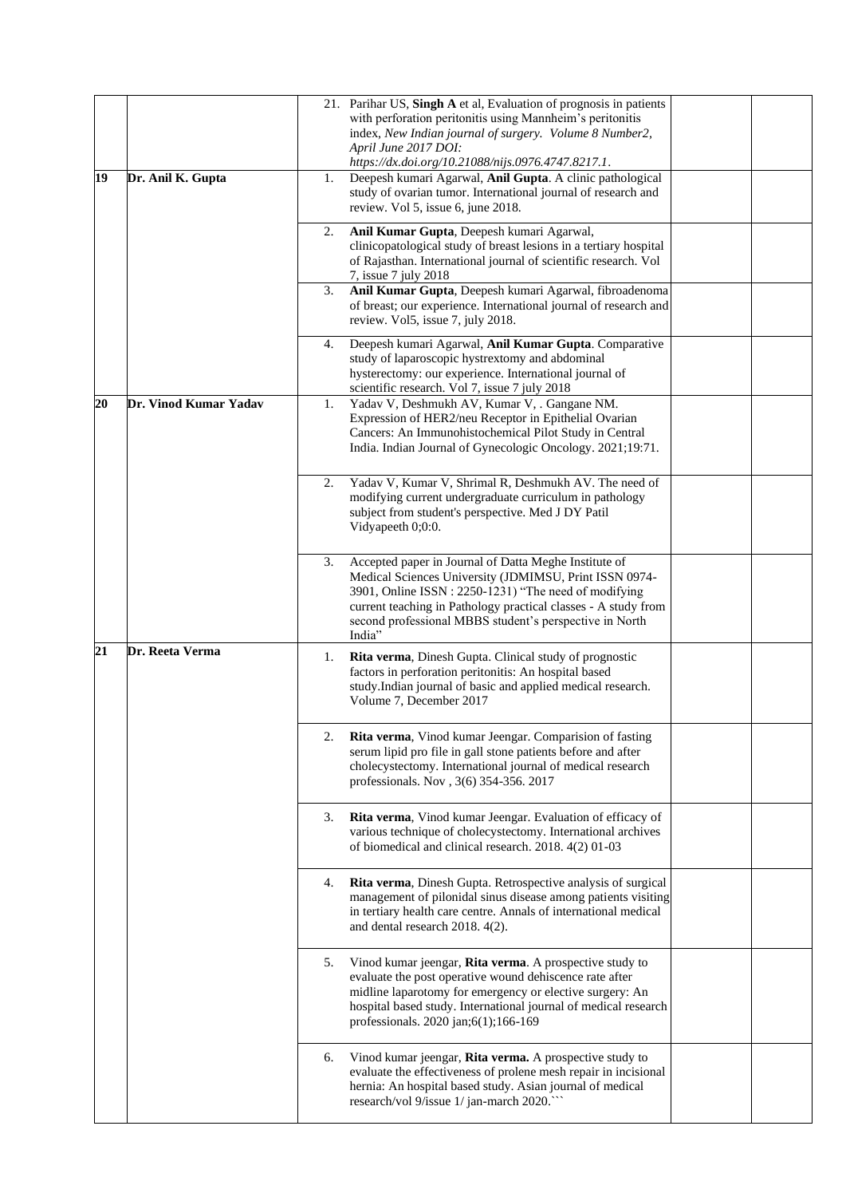| 19 | Dr. Anil K. Gupta     | 1.       | 21. Parihar US, Singh A et al, Evaluation of prognosis in patients<br>with perforation peritonitis using Mannheim's peritonitis<br>index, New Indian journal of surgery. Volume 8 Number2,<br>April June 2017 DOI:<br>https://dx.doi.org/10.21088/nijs.0976.4747.8217.1.<br>Deepesh kumari Agarwal, Anil Gupta. A clinic pathological<br>study of ovarian tumor. International journal of research and<br>review. Vol 5, issue 6, june 2018. |  |
|----|-----------------------|----------|----------------------------------------------------------------------------------------------------------------------------------------------------------------------------------------------------------------------------------------------------------------------------------------------------------------------------------------------------------------------------------------------------------------------------------------------|--|
|    |                       | 2.<br>3. | Anil Kumar Gupta, Deepesh kumari Agarwal,<br>clinicopatological study of breast lesions in a tertiary hospital<br>of Rajasthan. International journal of scientific research. Vol<br>7, issue 7 july 2018<br>Anil Kumar Gupta, Deepesh kumari Agarwal, fibroadenoma<br>of breast; our experience. International journal of research and<br>review. Vol5, issue 7, july 2018.                                                                 |  |
|    |                       | 4.       | Deepesh kumari Agarwal, Anil Kumar Gupta. Comparative<br>study of laparoscopic hystrextomy and abdominal<br>hysterectomy: our experience. International journal of<br>scientific research. Vol 7, issue 7 july 2018                                                                                                                                                                                                                          |  |
| 20 | Dr. Vinod Kumar Yadav | 1.       | Yadav V, Deshmukh AV, Kumar V, . Gangane NM.<br>Expression of HER2/neu Receptor in Epithelial Ovarian<br>Cancers: An Immunohistochemical Pilot Study in Central<br>India. Indian Journal of Gynecologic Oncology. 2021;19:71.                                                                                                                                                                                                                |  |
|    |                       | 2.       | Yadav V, Kumar V, Shrimal R, Deshmukh AV. The need of<br>modifying current undergraduate curriculum in pathology<br>subject from student's perspective. Med J DY Patil<br>Vidyapeeth 0;0:0.                                                                                                                                                                                                                                                  |  |
|    |                       | 3.       | Accepted paper in Journal of Datta Meghe Institute of<br>Medical Sciences University (JDMIMSU, Print ISSN 0974-<br>3901, Online ISSN : 2250-1231) "The need of modifying<br>current teaching in Pathology practical classes - A study from<br>second professional MBBS student's perspective in North<br>India"                                                                                                                              |  |
| 21 | Dr. Reeta Verma       | 1.       | Rita verma, Dinesh Gupta. Clinical study of prognostic<br>factors in perforation peritonitis: An hospital based<br>study.Indian journal of basic and applied medical research.<br>Volume 7, December 2017                                                                                                                                                                                                                                    |  |
|    |                       | 2.       | Rita verma, Vinod kumar Jeengar. Comparision of fasting<br>serum lipid pro file in gall stone patients before and after<br>cholecystectomy. International journal of medical research<br>professionals. Nov , 3(6) 354-356. 2017                                                                                                                                                                                                             |  |
|    |                       | 3.       | Rita verma, Vinod kumar Jeengar. Evaluation of efficacy of<br>various technique of cholecystectomy. International archives<br>of biomedical and clinical research. 2018. 4(2) 01-03                                                                                                                                                                                                                                                          |  |
|    |                       | 4.       | Rita verma, Dinesh Gupta. Retrospective analysis of surgical<br>management of pilonidal sinus disease among patients visiting<br>in tertiary health care centre. Annals of international medical<br>and dental research 2018. 4(2).                                                                                                                                                                                                          |  |
|    |                       | 5.       | Vinod kumar jeengar, Rita verma. A prospective study to<br>evaluate the post operative wound dehiscence rate after<br>midline laparotomy for emergency or elective surgery: An<br>hospital based study. International journal of medical research<br>professionals. 2020 jan;6(1);166-169                                                                                                                                                    |  |
|    |                       | 6.       | Vinod kumar jeengar, Rita verma. A prospective study to<br>evaluate the effectiveness of prolene mesh repair in incisional<br>hernia: An hospital based study. Asian journal of medical<br>research/vol 9/issue 1/ jan-march 2020."                                                                                                                                                                                                          |  |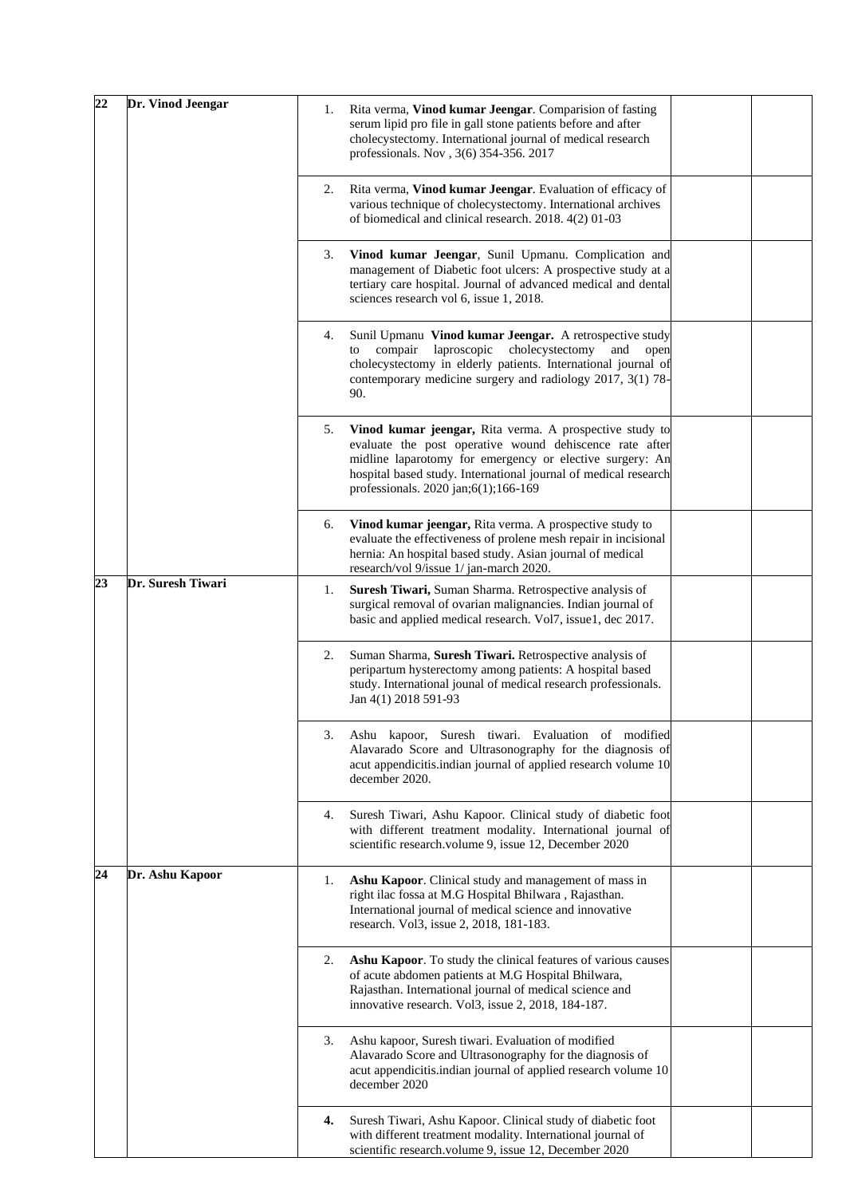| 22 | Dr. Vinod Jeengar | 1. | Rita verma, Vinod kumar Jeengar. Comparision of fasting                                                                                                                                                                                                                                   |  |
|----|-------------------|----|-------------------------------------------------------------------------------------------------------------------------------------------------------------------------------------------------------------------------------------------------------------------------------------------|--|
|    |                   |    | serum lipid pro file in gall stone patients before and after<br>cholecystectomy. International journal of medical research<br>professionals. Nov , 3(6) 354-356. 2017                                                                                                                     |  |
|    |                   | 2. | Rita verma, Vinod kumar Jeengar. Evaluation of efficacy of<br>various technique of cholecystectomy. International archives<br>of biomedical and clinical research. 2018. 4(2) 01-03                                                                                                       |  |
|    |                   | 3. | Vinod kumar Jeengar, Sunil Upmanu. Complication and<br>management of Diabetic foot ulcers: A prospective study at a<br>tertiary care hospital. Journal of advanced medical and dental<br>sciences research vol 6, issue 1, 2018.                                                          |  |
|    |                   | 4. | Sunil Upmanu Vinod kumar Jeengar. A retrospective study<br>compair laproscopic<br>cholecystectomy<br>and<br>to<br>open<br>cholecystectomy in elderly patients. International journal of<br>contemporary medicine surgery and radiology 2017, 3(1) 78-<br>90.                              |  |
|    |                   | 5. | Vinod kumar jeengar, Rita verma. A prospective study to<br>evaluate the post operative wound dehiscence rate after<br>midline laparotomy for emergency or elective surgery: An<br>hospital based study. International journal of medical research<br>professionals. 2020 jan;6(1);166-169 |  |
|    |                   | 6. | Vinod kumar jeengar, Rita verma. A prospective study to<br>evaluate the effectiveness of prolene mesh repair in incisional<br>hernia: An hospital based study. Asian journal of medical<br>research/vol 9/issue 1/jan-march 2020.                                                         |  |
| 23 | Dr. Suresh Tiwari | 1. | Suresh Tiwari, Suman Sharma. Retrospective analysis of<br>surgical removal of ovarian malignancies. Indian journal of<br>basic and applied medical research. Vol7, issue1, dec 2017.                                                                                                      |  |
|    |                   | 2. | Suman Sharma, Suresh Tiwari. Retrospective analysis of<br>peripartum hysterectomy among patients: A hospital based<br>study. International jounal of medical research professionals.<br>Jan 4(1) 2018 591-93                                                                              |  |
|    |                   | 3. | Ashu kapoor, Suresh tiwari. Evaluation of modified<br>Alavarado Score and Ultrasonography for the diagnosis of<br>acut appendicitis.indian journal of applied research volume 10<br>december 2020.                                                                                        |  |
|    |                   | 4. | Suresh Tiwari, Ashu Kapoor. Clinical study of diabetic foot<br>with different treatment modality. International journal of<br>scientific research.volume 9, issue 12, December 2020                                                                                                       |  |
| 24 | Dr. Ashu Kapoor   | 1. | Ashu Kapoor. Clinical study and management of mass in<br>right ilac fossa at M.G Hospital Bhilwara, Rajasthan.<br>International journal of medical science and innovative<br>research. Vol3, issue 2, 2018, 181-183.                                                                      |  |
|    |                   | 2. | Ashu Kapoor. To study the clinical features of various causes<br>of acute abdomen patients at M.G Hospital Bhilwara,<br>Rajasthan. International journal of medical science and<br>innovative research. Vol3, issue 2, 2018, 184-187.                                                     |  |
|    |                   | 3. | Ashu kapoor, Suresh tiwari. Evaluation of modified<br>Alavarado Score and Ultrasonography for the diagnosis of<br>acut appendicitis.indian journal of applied research volume 10<br>december 2020                                                                                         |  |
|    |                   | 4. | Suresh Tiwari, Ashu Kapoor. Clinical study of diabetic foot<br>with different treatment modality. International journal of<br>scientific research.volume 9, issue 12, December 2020                                                                                                       |  |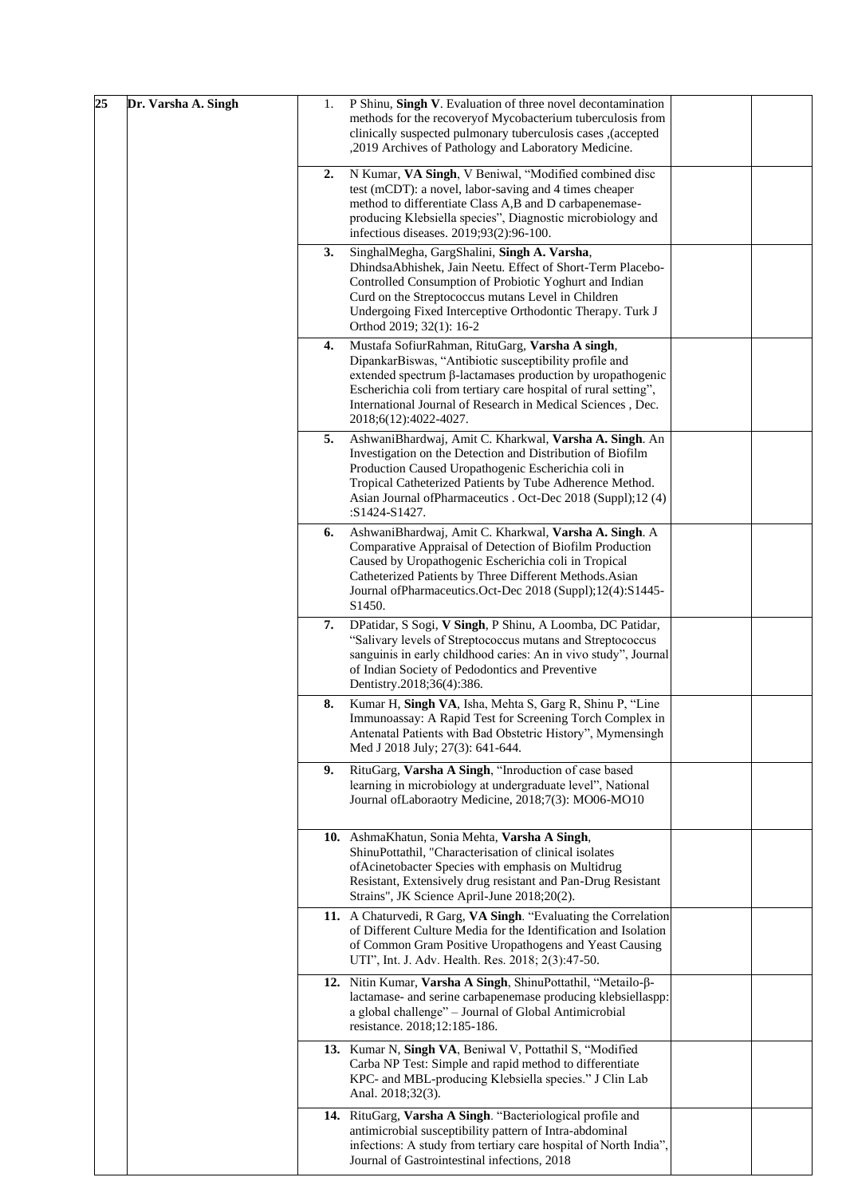| 25<br>Dr. Varsha A. Singh | P Shinu, Singh V. Evaluation of three novel decontamination<br>1.<br>methods for the recoveryof Mycobacterium tuberculosis from<br>clinically suspected pulmonary tuberculosis cases ,(accepted<br>,2019 Archives of Pathology and Laboratory Medicine.                                                                                  |
|---------------------------|------------------------------------------------------------------------------------------------------------------------------------------------------------------------------------------------------------------------------------------------------------------------------------------------------------------------------------------|
|                           | N Kumar, VA Singh, V Beniwal, "Modified combined disc<br>2.<br>test (mCDT): a novel, labor-saving and 4 times cheaper<br>method to differentiate Class A,B and D carbapenemase-<br>producing Klebsiella species", Diagnostic microbiology and<br>infectious diseases. 2019;93(2):96-100.                                                 |
|                           | SinghalMegha, GargShalini, Singh A. Varsha,<br>3.<br>DhindsaAbhishek, Jain Neetu. Effect of Short-Term Placebo-<br>Controlled Consumption of Probiotic Yoghurt and Indian<br>Curd on the Streptococcus mutans Level in Children<br>Undergoing Fixed Interceptive Orthodontic Therapy. Turk J<br>Orthod 2019; 32(1): 16-2                 |
|                           | Mustafa SofiurRahman, RituGarg, Varsha A singh,<br>4.<br>DipankarBiswas, "Antibiotic susceptibility profile and<br>extended spectrum β-lactamases production by uropathogenic<br>Escherichia coli from tertiary care hospital of rural setting",<br>International Journal of Research in Medical Sciences, Dec.<br>2018;6(12):4022-4027. |
|                           | AshwaniBhardwaj, Amit C. Kharkwal, Varsha A. Singh. An<br>5.<br>Investigation on the Detection and Distribution of Biofilm<br>Production Caused Uropathogenic Escherichia coli in<br>Tropical Catheterized Patients by Tube Adherence Method.<br>Asian Journal ofPharmaceutics . Oct-Dec 2018 (Suppl);12 (4)<br>:S1424-S1427.            |
|                           | AshwaniBhardwaj, Amit C. Kharkwal, Varsha A. Singh. A<br>6.<br>Comparative Appraisal of Detection of Biofilm Production<br>Caused by Uropathogenic Escherichia coli in Tropical<br>Catheterized Patients by Three Different Methods. Asian<br>Journal of Pharmaceutics. Oct-Dec 2018 (Suppl); 12(4): S1445-<br>S1450.                    |
|                           | DPatidar, S Sogi, V Singh, P Shinu, A Loomba, DC Patidar,<br>7.<br>"Salivary levels of Streptococcus mutans and Streptococcus<br>sanguinis in early childhood caries: An in vivo study", Journal<br>of Indian Society of Pedodontics and Preventive<br>Dentistry.2018;36(4):386.                                                         |
|                           | Kumar H, Singh VA, Isha, Mehta S, Garg R, Shinu P, "Line<br>8.<br>Immunoassay: A Rapid Test for Screening Torch Complex in<br>Antenatal Patients with Bad Obstetric History", Mymensingh<br>Med J 2018 July; 27(3): 641-644.                                                                                                             |
|                           | RituGarg, Varsha A Singh, "Inroduction of case based<br>9.<br>learning in microbiology at undergraduate level", National<br>Journal ofLaboraotry Medicine, 2018;7(3): MO06-MO10                                                                                                                                                          |
|                           | 10. AshmaKhatun, Sonia Mehta, Varsha A Singh,<br>ShinuPottathil, "Characterisation of clinical isolates<br>of Acinetobacter Species with emphasis on Multidrug<br>Resistant, Extensively drug resistant and Pan-Drug Resistant<br>Strains", JK Science April-June 2018;20(2).                                                            |
|                           | 11. A Chaturvedi, R Garg, VA Singh. "Evaluating the Correlation<br>of Different Culture Media for the Identification and Isolation<br>of Common Gram Positive Uropathogens and Yeast Causing<br>UTI", Int. J. Adv. Health. Res. 2018; 2(3):47-50.                                                                                        |
|                           | 12. Nitin Kumar, Varsha A Singh, ShinuPottathil, "Metailo-β-<br>lactamase- and serine carbapenemase producing klebsiellaspp:<br>a global challenge" - Journal of Global Antimicrobial<br>resistance. 2018;12:185-186.                                                                                                                    |
|                           | 13. Kumar N, Singh VA, Beniwal V, Pottathil S, "Modified<br>Carba NP Test: Simple and rapid method to differentiate<br>KPC- and MBL-producing Klebsiella species." J Clin Lab<br>Anal. 2018;32(3).                                                                                                                                       |
|                           | 14. RituGarg, Varsha A Singh. "Bacteriological profile and<br>antimicrobial susceptibility pattern of Intra-abdominal<br>infections: A study from tertiary care hospital of North India",<br>Journal of Gastrointestinal infections, 2018                                                                                                |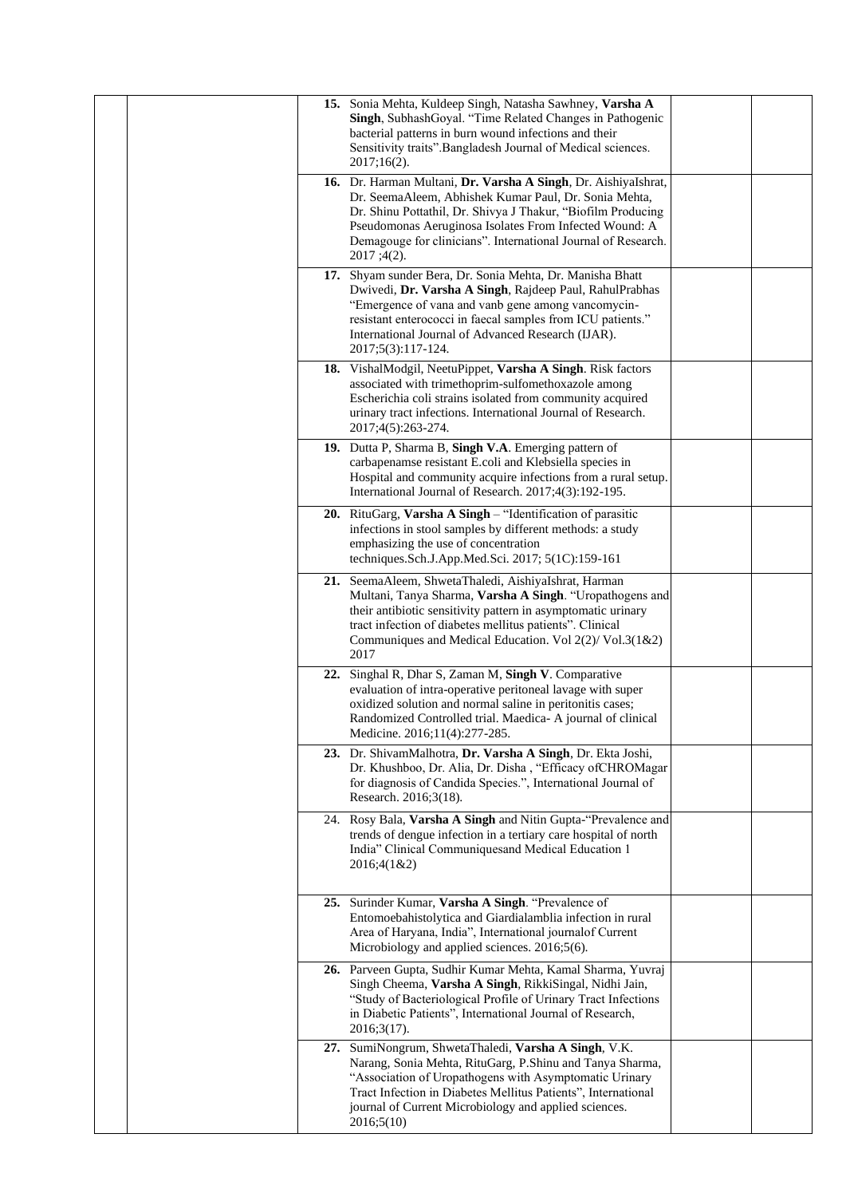|  |     | 15. Sonia Mehta, Kuldeep Singh, Natasha Sawhney, Varsha A<br>Singh, SubhashGoyal. "Time Related Changes in Pathogenic<br>bacterial patterns in burn wound infections and their<br>Sensitivity traits".Bangladesh Journal of Medical sciences.<br>$2017;16(2)$ .                                                                  |  |
|--|-----|----------------------------------------------------------------------------------------------------------------------------------------------------------------------------------------------------------------------------------------------------------------------------------------------------------------------------------|--|
|  |     | 16. Dr. Harman Multani, Dr. Varsha A Singh, Dr. AishiyaIshrat,<br>Dr. SeemaAleem, Abhishek Kumar Paul, Dr. Sonia Mehta,<br>Dr. Shinu Pottathil, Dr. Shivya J Thakur, "Biofilm Producing<br>Pseudomonas Aeruginosa Isolates From Infected Wound: A<br>Demagouge for clinicians". International Journal of Research.<br>2017;4(2). |  |
|  |     | 17. Shyam sunder Bera, Dr. Sonia Mehta, Dr. Manisha Bhatt<br>Dwivedi, Dr. Varsha A Singh, Rajdeep Paul, RahulPrabhas<br>"Emergence of vana and vanb gene among vancomycin-<br>resistant enterococci in faecal samples from ICU patients."<br>International Journal of Advanced Research (IJAR).<br>2017;5(3):117-124.            |  |
|  |     | 18. VishalModgil, NeetuPippet, Varsha A Singh. Risk factors<br>associated with trimethoprim-sulfomethoxazole among<br>Escherichia coli strains isolated from community acquired<br>urinary tract infections. International Journal of Research.<br>2017;4(5):263-274.                                                            |  |
|  |     | 19. Dutta P, Sharma B, Singh V.A. Emerging pattern of<br>carbapenamse resistant E.coli and Klebsiella species in<br>Hospital and community acquire infections from a rural setup.<br>International Journal of Research. 2017;4(3):192-195.                                                                                       |  |
|  |     | 20. RituGarg, Varsha A Singh - "Identification of parasitic<br>infections in stool samples by different methods: a study<br>emphasizing the use of concentration<br>techniques.Sch.J.App.Med.Sci. 2017; 5(1C):159-161                                                                                                            |  |
|  |     | 21. SeemaAleem, ShwetaThaledi, AishiyaIshrat, Harman<br>Multani, Tanya Sharma, Varsha A Singh. "Uropathogens and<br>their antibiotic sensitivity pattern in asymptomatic urinary<br>tract infection of diabetes mellitus patients". Clinical<br>Communiques and Medical Education. Vol 2(2)/ Vol.3(1&2)<br>2017                  |  |
|  | 22. | Singhal R, Dhar S, Zaman M, Singh V. Comparative<br>evaluation of intra-operative peritoneal lavage with super<br>oxidized solution and normal saline in peritonitis cases;<br>Randomized Controlled trial. Maedica- A journal of clinical<br>Medicine. 2016;11(4):277-285.                                                      |  |
|  |     | 23. Dr. ShivamMalhotra, Dr. Varsha A Singh, Dr. Ekta Joshi,<br>Dr. Khushboo, Dr. Alia, Dr. Disha, "Efficacy of CHROMagar<br>for diagnosis of Candida Species.", International Journal of<br>Research. 2016;3(18).                                                                                                                |  |
|  |     | 24. Rosy Bala, Varsha A Singh and Nitin Gupta-"Prevalence and<br>trends of dengue infection in a tertiary care hospital of north<br>India" Clinical Communiquesand Medical Education 1<br>2016;4(1&2)                                                                                                                            |  |
|  |     | 25. Surinder Kumar, Varsha A Singh. "Prevalence of<br>Entomoebahistolytica and Giardialamblia infection in rural<br>Area of Haryana, India", International journalof Current<br>Microbiology and applied sciences. 2016;5(6).                                                                                                    |  |
|  |     | 26. Parveen Gupta, Sudhir Kumar Mehta, Kamal Sharma, Yuvraj<br>Singh Cheema, Varsha A Singh, RikkiSingal, Nidhi Jain,<br>"Study of Bacteriological Profile of Urinary Tract Infections<br>in Diabetic Patients", International Journal of Research,<br>2016;3(17).                                                               |  |
|  |     | 27. SumiNongrum, ShwetaThaledi, Varsha A Singh, V.K.<br>Narang, Sonia Mehta, RituGarg, P.Shinu and Tanya Sharma,<br>"Association of Uropathogens with Asymptomatic Urinary<br>Tract Infection in Diabetes Mellitus Patients", International<br>journal of Current Microbiology and applied sciences.<br>2016;5(10)               |  |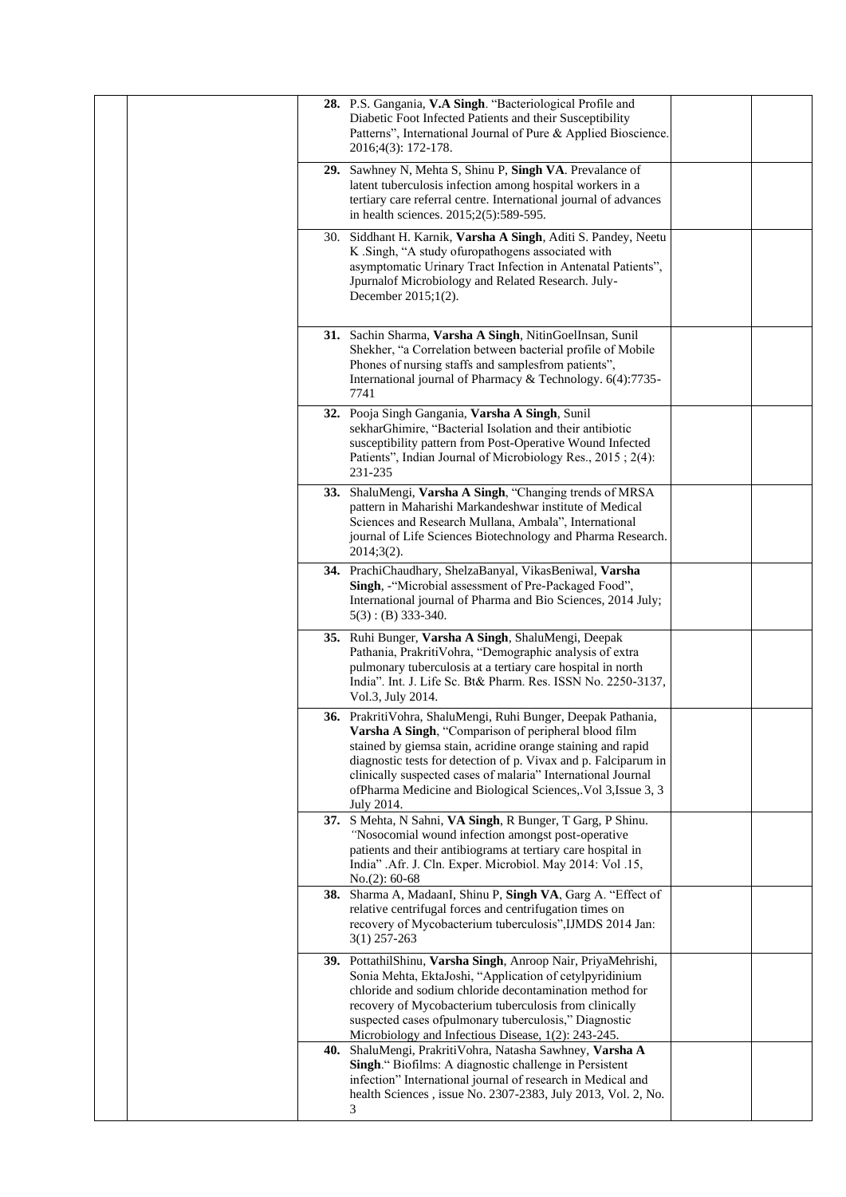| 28. P.S. Gangania, V.A Singh. "Bacteriological Profile and<br>Diabetic Foot Infected Patients and their Susceptibility<br>Patterns", International Journal of Pure & Applied Bioscience.<br>2016;4(3): 172-178.                                                                                                                                                                                       |  |
|-------------------------------------------------------------------------------------------------------------------------------------------------------------------------------------------------------------------------------------------------------------------------------------------------------------------------------------------------------------------------------------------------------|--|
| 29. Sawhney N, Mehta S, Shinu P, Singh VA. Prevalance of<br>latent tuberculosis infection among hospital workers in a<br>tertiary care referral centre. International journal of advances<br>in health sciences. 2015;2(5):589-595.                                                                                                                                                                   |  |
| 30. Siddhant H. Karnik, Varsha A Singh, Aditi S. Pandey, Neetu<br>K .Singh, "A study of uropathogens associated with<br>asymptomatic Urinary Tract Infection in Antenatal Patients",<br>Jpurnalof Microbiology and Related Research. July-<br>December $2015;1(2)$ .                                                                                                                                  |  |
| 31. Sachin Sharma, Varsha A Singh, NitinGoelInsan, Sunil<br>Shekher, "a Correlation between bacterial profile of Mobile<br>Phones of nursing staffs and samplesfrom patients",<br>International journal of Pharmacy & Technology. 6(4):7735-<br>7741                                                                                                                                                  |  |
| 32. Pooja Singh Gangania, Varsha A Singh, Sunil<br>sekharGhimire, "Bacterial Isolation and their antibiotic<br>susceptibility pattern from Post-Operative Wound Infected<br>Patients", Indian Journal of Microbiology Res., 2015; 2(4):<br>231-235                                                                                                                                                    |  |
| 33. ShaluMengi, Varsha A Singh, "Changing trends of MRSA<br>pattern in Maharishi Markandeshwar institute of Medical<br>Sciences and Research Mullana, Ambala", International<br>journal of Life Sciences Biotechnology and Pharma Research.<br>$2014;3(2)$ .                                                                                                                                          |  |
| 34. PrachiChaudhary, ShelzaBanyal, VikasBeniwal, Varsha<br>Singh, -"Microbial assessment of Pre-Packaged Food",<br>International journal of Pharma and Bio Sciences, 2014 July;<br>$5(3)$ : (B) 333-340.                                                                                                                                                                                              |  |
| 35. Ruhi Bunger, Varsha A Singh, ShaluMengi, Deepak<br>Pathania, PrakritiVohra, "Demographic analysis of extra<br>pulmonary tuberculosis at a tertiary care hospital in north<br>India". Int. J. Life Sc. Bt& Pharm. Res. ISSN No. 2250-3137,<br>Vol.3, July 2014.                                                                                                                                    |  |
| 36. PrakritiVohra, ShaluMengi, Ruhi Bunger, Deepak Pathania,<br>Varsha A Singh, "Comparison of peripheral blood film<br>stained by giemsa stain, acridine orange staining and rapid<br>diagnostic tests for detection of p. Vivax and p. Falciparum in<br>clinically suspected cases of malaria" International Journal<br>of Pharma Medicine and Biological Sciences, Vol 3, Issue 3, 3<br>July 2014. |  |
| 37. S Mehta, N Sahni, VA Singh, R Bunger, T Garg, P Shinu.<br>"Nosocomial wound infection amongst post-operative<br>patients and their antibiograms at tertiary care hospital in<br>India" .Afr. J. Cln. Exper. Microbiol. May 2014: Vol .15,<br>$No.(2): 60-68$                                                                                                                                      |  |
| 38. Sharma A, MadaanI, Shinu P, Singh VA, Garg A. "Effect of<br>relative centrifugal forces and centrifugation times on<br>recovery of Mycobacterium tuberculosis", IJMDS 2014 Jan:<br>$3(1)$ 257-263                                                                                                                                                                                                 |  |
| 39. PottathilShinu, Varsha Singh, Anroop Nair, PriyaMehrishi,<br>Sonia Mehta, EktaJoshi, "Application of cetylpyridinium<br>chloride and sodium chloride decontamination method for<br>recovery of Mycobacterium tuberculosis from clinically<br>suspected cases ofpulmonary tuberculosis," Diagnostic<br>Microbiology and Infectious Disease, 1(2): 243-245.                                         |  |
| 40. ShaluMengi, PrakritiVohra, Natasha Sawhney, Varsha A<br>Singh." Biofilms: A diagnostic challenge in Persistent<br>infection" International journal of research in Medical and<br>health Sciences, issue No. 2307-2383, July 2013, Vol. 2, No.<br>3                                                                                                                                                |  |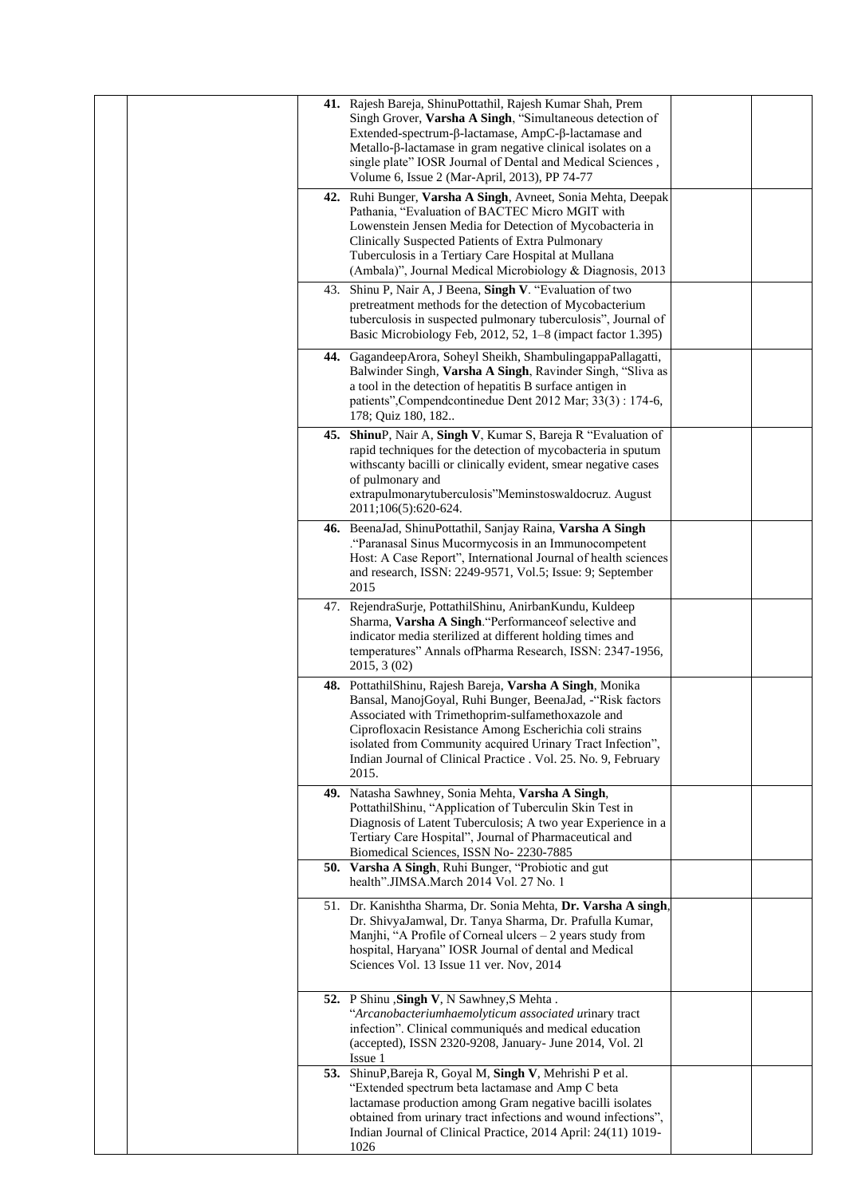| 41. Rajesh Bareja, ShinuPottathil, Rajesh Kumar Shah, Prem<br>Singh Grover, Varsha A Singh, "Simultaneous detection of<br>Extended-spectrum-β-lactamase, AmpC-β-lactamase and<br>Metallo-β-lactamase in gram negative clinical isolates on a<br>single plate" IOSR Journal of Dental and Medical Sciences,<br>Volume 6, Issue 2 (Mar-April, 2013), PP 74-77<br>42. Ruhi Bunger, Varsha A Singh, Avneet, Sonia Mehta, Deepak<br>Pathania, "Evaluation of BACTEC Micro MGIT with |  |
|--------------------------------------------------------------------------------------------------------------------------------------------------------------------------------------------------------------------------------------------------------------------------------------------------------------------------------------------------------------------------------------------------------------------------------------------------------------------------------|--|
| Lowenstein Jensen Media for Detection of Mycobacteria in<br>Clinically Suspected Patients of Extra Pulmonary<br>Tuberculosis in a Tertiary Care Hospital at Mullana<br>(Ambala)", Journal Medical Microbiology & Diagnosis, 2013                                                                                                                                                                                                                                               |  |
| Shinu P, Nair A, J Beena, Singh V. "Evaluation of two<br>43.<br>pretreatment methods for the detection of Mycobacterium<br>tuberculosis in suspected pulmonary tuberculosis", Journal of<br>Basic Microbiology Feb, 2012, 52, 1-8 (impact factor 1.395)                                                                                                                                                                                                                        |  |
| 44. GagandeepArora, Soheyl Sheikh, ShambulingappaPallagatti,<br>Balwinder Singh, Varsha A Singh, Ravinder Singh, "Sliva as<br>a tool in the detection of hepatitis B surface antigen in<br>patients", Compend continedue Dent 2012 Mar; 33(3): 174-6,<br>178; Quiz 180, 182                                                                                                                                                                                                    |  |
| 45. ShinuP, Nair A, Singh V, Kumar S, Bareja R "Evaluation of<br>rapid techniques for the detection of mycobacteria in sputum<br>withscanty bacilli or clinically evident, smear negative cases<br>of pulmonary and<br>extrapulmonarytuberculosis"Meminstoswaldocruz. August<br>2011;106(5):620-624.                                                                                                                                                                           |  |
| 46. BeenaJad, ShinuPottathil, Sanjay Raina, Varsha A Singh<br>. "Paranasal Sinus Mucormycosis in an Immunocompetent".<br>Host: A Case Report", International Journal of health sciences<br>and research, ISSN: 2249-9571, Vol.5; Issue: 9; September<br>2015                                                                                                                                                                                                                   |  |
| 47. RejendraSurje, PottathilShinu, AnirbanKundu, Kuldeep<br>Sharma, Varsha A Singh. "Performanceof selective and<br>indicator media sterilized at different holding times and<br>temperatures" Annals ofPharma Research, ISSN: 2347-1956,<br>2015, 3 (02)                                                                                                                                                                                                                      |  |
| 48. PottathilShinu, Rajesh Bareja, Varsha A Singh, Monika<br>Bansal, ManojGoyal, Ruhi Bunger, BeenaJad, -"Risk factors<br>Associated with Trimethoprim-sulfamethoxazole and<br>Ciprofloxacin Resistance Among Escherichia coli strains<br>isolated from Community acquired Urinary Tract Infection",<br>Indian Journal of Clinical Practice . Vol. 25. No. 9, February<br>2015.                                                                                                |  |
| 49. Natasha Sawhney, Sonia Mehta, Varsha A Singh,<br>PottathilShinu, "Application of Tuberculin Skin Test in<br>Diagnosis of Latent Tuberculosis; A two year Experience in a<br>Tertiary Care Hospital", Journal of Pharmaceutical and<br>Biomedical Sciences, ISSN No- 2230-7885                                                                                                                                                                                              |  |
| 50. Varsha A Singh, Ruhi Bunger, "Probiotic and gut<br>health".JIMSA.March 2014 Vol. 27 No. 1                                                                                                                                                                                                                                                                                                                                                                                  |  |
| 51. Dr. Kanishtha Sharma, Dr. Sonia Mehta, Dr. Varsha A singh,<br>Dr. ShivyaJamwal, Dr. Tanya Sharma, Dr. Prafulla Kumar,<br>Manjhi, "A Profile of Corneal ulcers - 2 years study from<br>hospital, Haryana" IOSR Journal of dental and Medical<br>Sciences Vol. 13 Issue 11 ver. Nov, 2014                                                                                                                                                                                    |  |
| 52. P Shinu , Singh V, N Sawhney, S Mehta.<br>"Arcanobacteriumhaemolyticum associated urinary tract<br>infection". Clinical communiqués and medical education<br>(accepted), ISSN 2320-9208, January- June 2014, Vol. 21<br>Issue 1                                                                                                                                                                                                                                            |  |
| 53. ShinuP, Bareja R, Goyal M, Singh V, Mehrishi P et al.<br>"Extended spectrum beta lactamase and Amp C beta<br>lactamase production among Gram negative bacilli isolates<br>obtained from urinary tract infections and wound infections",<br>Indian Journal of Clinical Practice, 2014 April: 24(11) 1019-<br>1026                                                                                                                                                           |  |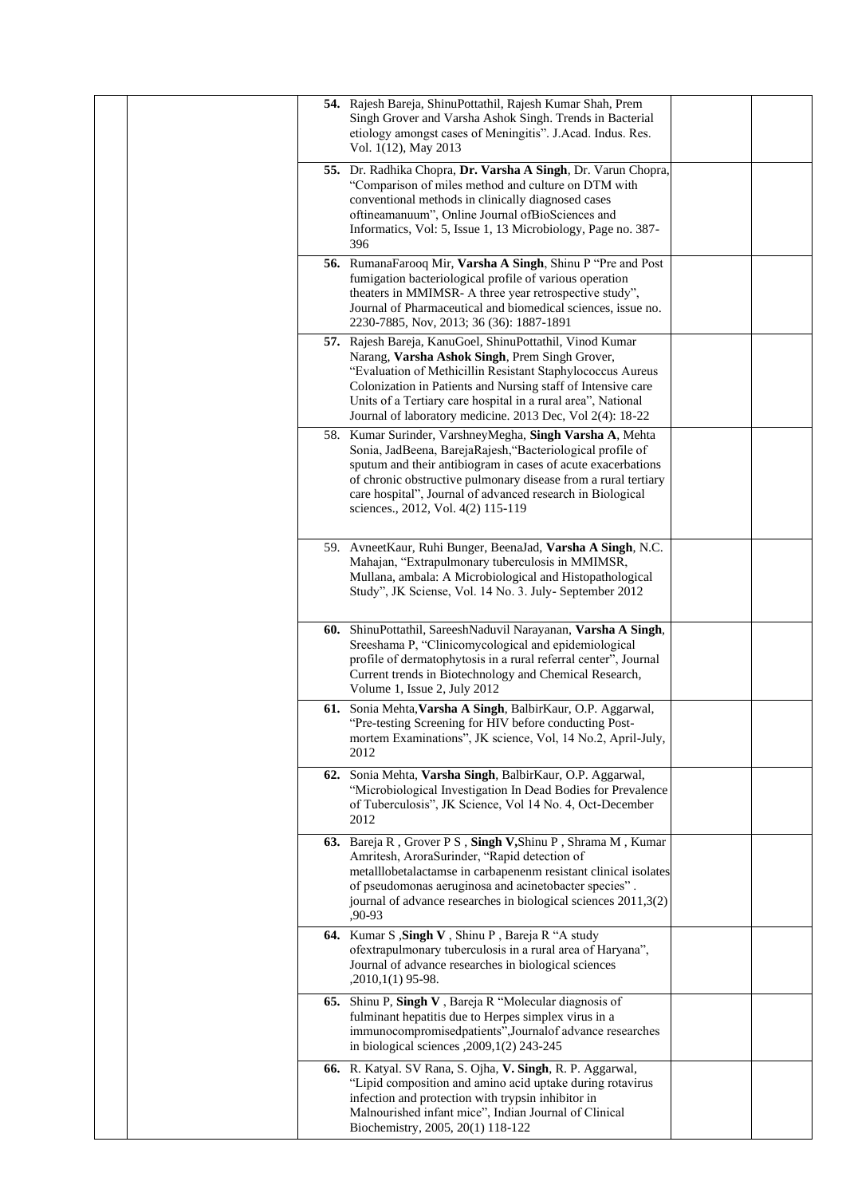| Vol. 1(12), May 2013 | 54. Rajesh Bareja, ShinuPottathil, Rajesh Kumar Shah, Prem<br>Singh Grover and Varsha Ashok Singh. Trends in Bacterial<br>etiology amongst cases of Meningitis". J.Acad. Indus. Res.                                                                                                                                                                                  |  |
|----------------------|-----------------------------------------------------------------------------------------------------------------------------------------------------------------------------------------------------------------------------------------------------------------------------------------------------------------------------------------------------------------------|--|
| 396                  | 55. Dr. Radhika Chopra, Dr. Varsha A Singh, Dr. Varun Chopra,<br>"Comparison of miles method and culture on DTM with<br>conventional methods in clinically diagnosed cases<br>oftineamanuum", Online Journal ofBioSciences and<br>Informatics, Vol: 5, Issue 1, 13 Microbiology, Page no. 387-                                                                        |  |
|                      | 56. RumanaFarooq Mir, Varsha A Singh, Shinu P "Pre and Post<br>fumigation bacteriological profile of various operation<br>theaters in MMIMSR- A three year retrospective study",<br>Journal of Pharmaceutical and biomedical sciences, issue no.<br>2230-7885, Nov, 2013; 36 (36): 1887-1891                                                                          |  |
|                      | 57. Rajesh Bareja, KanuGoel, ShinuPottathil, Vinod Kumar<br>Narang, Varsha Ashok Singh, Prem Singh Grover,<br>"Evaluation of Methicillin Resistant Staphylococcus Aureus<br>Colonization in Patients and Nursing staff of Intensive care<br>Units of a Tertiary care hospital in a rural area", National<br>Journal of laboratory medicine. 2013 Dec, Vol 2(4): 18-22 |  |
|                      | 58. Kumar Surinder, VarshneyMegha, Singh Varsha A, Mehta<br>Sonia, JadBeena, BarejaRajesh, "Bacteriological profile of<br>sputum and their antibiogram in cases of acute exacerbations<br>of chronic obstructive pulmonary disease from a rural tertiary<br>care hospital", Journal of advanced research in Biological<br>sciences., 2012, Vol. 4(2) 115-119          |  |
|                      | 59. AvneetKaur, Ruhi Bunger, BeenaJad, Varsha A Singh, N.C.<br>Mahajan, "Extrapulmonary tuberculosis in MMIMSR,<br>Mullana, ambala: A Microbiological and Histopathological<br>Study", JK Sciense, Vol. 14 No. 3. July- September 2012                                                                                                                                |  |
|                      | 60. ShinuPottathil, SareeshNaduvil Narayanan, Varsha A Singh,<br>Sreeshama P, "Clinicomycological and epidemiological<br>profile of dermatophytosis in a rural referral center", Journal<br>Current trends in Biotechnology and Chemical Research,<br>Volume 1, Issue 2, July 2012                                                                                    |  |
| 2012                 | 61. Sonia Mehta, Varsha A Singh, BalbirKaur, O.P. Aggarwal,<br>"Pre-testing Screening for HIV before conducting Post-<br>mortem Examinations", JK science, Vol, 14 No.2, April-July,                                                                                                                                                                                  |  |
| 2012                 | 62. Sonia Mehta, Varsha Singh, BalbirKaur, O.P. Aggarwal,<br>"Microbiological Investigation In Dead Bodies for Prevalence<br>of Tuberculosis", JK Science, Vol 14 No. 4, Oct-December                                                                                                                                                                                 |  |
| ,90-93               | 63. Bareja R, Grover P S, Singh V, Shinu P, Shrama M, Kumar<br>Amritesh, AroraSurinder, "Rapid detection of<br>metalllobetalactamse in carbapenenm resistant clinical isolates<br>of pseudomonas aeruginosa and acinetobacter species".<br>journal of advance researches in biological sciences 2011,3(2)                                                             |  |
| ,2010,1(1) 95-98.    | 64. Kumar S , Singh V , Shinu P , Bareja R "A study<br>ofextrapulmonary tuberculosis in a rural area of Haryana",<br>Journal of advance researches in biological sciences                                                                                                                                                                                             |  |
| 65.                  | Shinu P, Singh V, Bareja R "Molecular diagnosis of<br>fulminant hepatitis due to Herpes simplex virus in a<br>immunocompromisedpatients", Journalof advance researches<br>in biological sciences , 2009, 1(2) 243-245                                                                                                                                                 |  |
|                      | 66. R. Katyal. SV Rana, S. Ojha, V. Singh, R. P. Aggarwal,<br>"Lipid composition and amino acid uptake during rotavirus<br>infection and protection with trypsin inhibitor in<br>Malnourished infant mice", Indian Journal of Clinical<br>Biochemistry, 2005, 20(1) 118-122                                                                                           |  |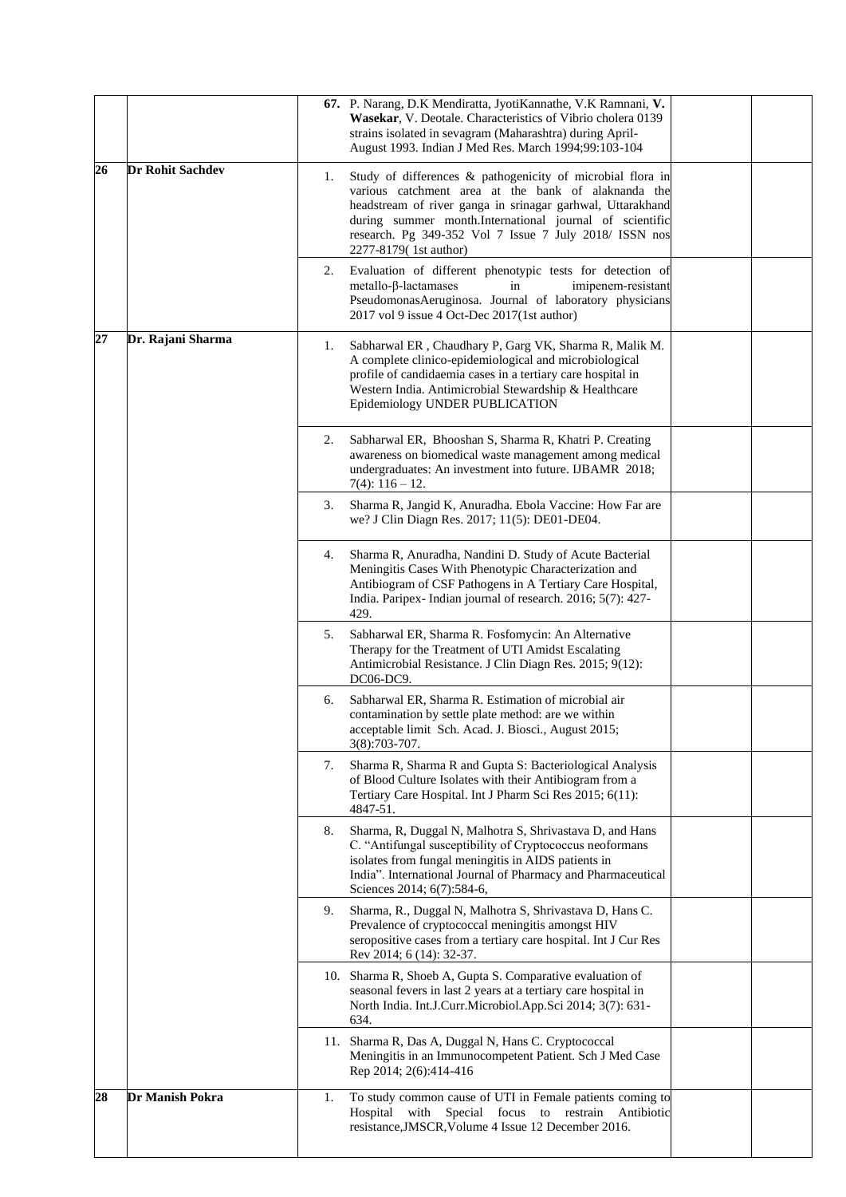|    |                         |    | 67. P. Narang, D.K Mendiratta, JyotiKannathe, V.K Ramnani, V.<br>Wasekar, V. Deotale. Characteristics of Vibrio cholera 0139<br>strains isolated in sevagram (Maharashtra) during April-<br>August 1993. Indian J Med Res. March 1994;99:103-104                                                                              |  |
|----|-------------------------|----|-------------------------------------------------------------------------------------------------------------------------------------------------------------------------------------------------------------------------------------------------------------------------------------------------------------------------------|--|
| 26 | <b>Dr Rohit Sachdev</b> | 1. | Study of differences & pathogenicity of microbial flora in<br>various catchment area at the bank of alaknanda the<br>headstream of river ganga in srinagar garhwal, Uttarakhand<br>during summer month.International journal of scientific<br>research. Pg 349-352 Vol 7 Issue 7 July 2018/ ISSN nos<br>2277-8179(1st author) |  |
|    |                         | 2. | Evaluation of different phenotypic tests for detection of<br>$metallo$ - $\beta$ -lactamases<br>in<br>imipenem-resistant<br>PseudomonasAeruginosa. Journal of laboratory physicians<br>2017 vol 9 issue 4 Oct-Dec 2017(1st author)                                                                                            |  |
| 27 | Dr. Rajani Sharma       | 1. | Sabharwal ER, Chaudhary P, Garg VK, Sharma R, Malik M.<br>A complete clinico-epidemiological and microbiological<br>profile of candidaemia cases in a tertiary care hospital in<br>Western India. Antimicrobial Stewardship & Healthcare<br>Epidemiology UNDER PUBLICATION                                                    |  |
|    |                         | 2. | Sabharwal ER, Bhooshan S, Sharma R, Khatri P. Creating<br>awareness on biomedical waste management among medical<br>undergraduates: An investment into future. IJBAMR 2018;<br>$7(4): 116 - 12.$                                                                                                                              |  |
|    |                         | 3. | Sharma R, Jangid K, Anuradha. Ebola Vaccine: How Far are<br>we? J Clin Diagn Res. 2017; 11(5): DE01-DE04.                                                                                                                                                                                                                     |  |
|    |                         | 4. | Sharma R, Anuradha, Nandini D. Study of Acute Bacterial<br>Meningitis Cases With Phenotypic Characterization and<br>Antibiogram of CSF Pathogens in A Tertiary Care Hospital,<br>India. Paripex- Indian journal of research. 2016; 5(7): 427-<br>429.                                                                         |  |
|    |                         | 5. | Sabharwal ER, Sharma R. Fosfomycin: An Alternative<br>Therapy for the Treatment of UTI Amidst Escalating<br>Antimicrobial Resistance. J Clin Diagn Res. 2015; 9(12):<br>DC06-DC9.                                                                                                                                             |  |
|    |                         | 6. | Sabharwal ER, Sharma R. Estimation of microbial air<br>contamination by settle plate method: are we within<br>acceptable limit Sch. Acad. J. Biosci., August 2015;<br>3(8):703-707.                                                                                                                                           |  |
|    |                         | 7. | Sharma R, Sharma R and Gupta S: Bacteriological Analysis<br>of Blood Culture Isolates with their Antibiogram from a<br>Tertiary Care Hospital. Int J Pharm Sci Res 2015; 6(11):<br>4847-51.                                                                                                                                   |  |
|    |                         | 8. | Sharma, R, Duggal N, Malhotra S, Shrivastava D, and Hans<br>C. "Antifungal susceptibility of Cryptococcus neoformans<br>isolates from fungal meningitis in AIDS patients in<br>India". International Journal of Pharmacy and Pharmaceutical<br>Sciences 2014; 6(7):584-6,                                                     |  |
|    |                         | 9. | Sharma, R., Duggal N, Malhotra S, Shrivastava D, Hans C.<br>Prevalence of cryptococcal meningitis amongst HIV<br>seropositive cases from a tertiary care hospital. Int J Cur Res<br>Rev 2014; 6 (14): 32-37.                                                                                                                  |  |
|    |                         |    | 10. Sharma R, Shoeb A, Gupta S. Comparative evaluation of<br>seasonal fevers in last 2 years at a tertiary care hospital in<br>North India. Int.J.Curr.Microbiol.App.Sci 2014; 3(7): 631-<br>634.                                                                                                                             |  |
|    |                         |    | 11. Sharma R, Das A, Duggal N, Hans C. Cryptococcal<br>Meningitis in an Immunocompetent Patient. Sch J Med Case<br>Rep 2014; 2(6):414-416                                                                                                                                                                                     |  |
| 28 | Dr Manish Pokra         | 1. | To study common cause of UTI in Female patients coming to<br>Antibiotic<br>Hospital<br>with<br>Special focus to restrain<br>resistance, JMSCR, Volume 4 Issue 12 December 2016.                                                                                                                                               |  |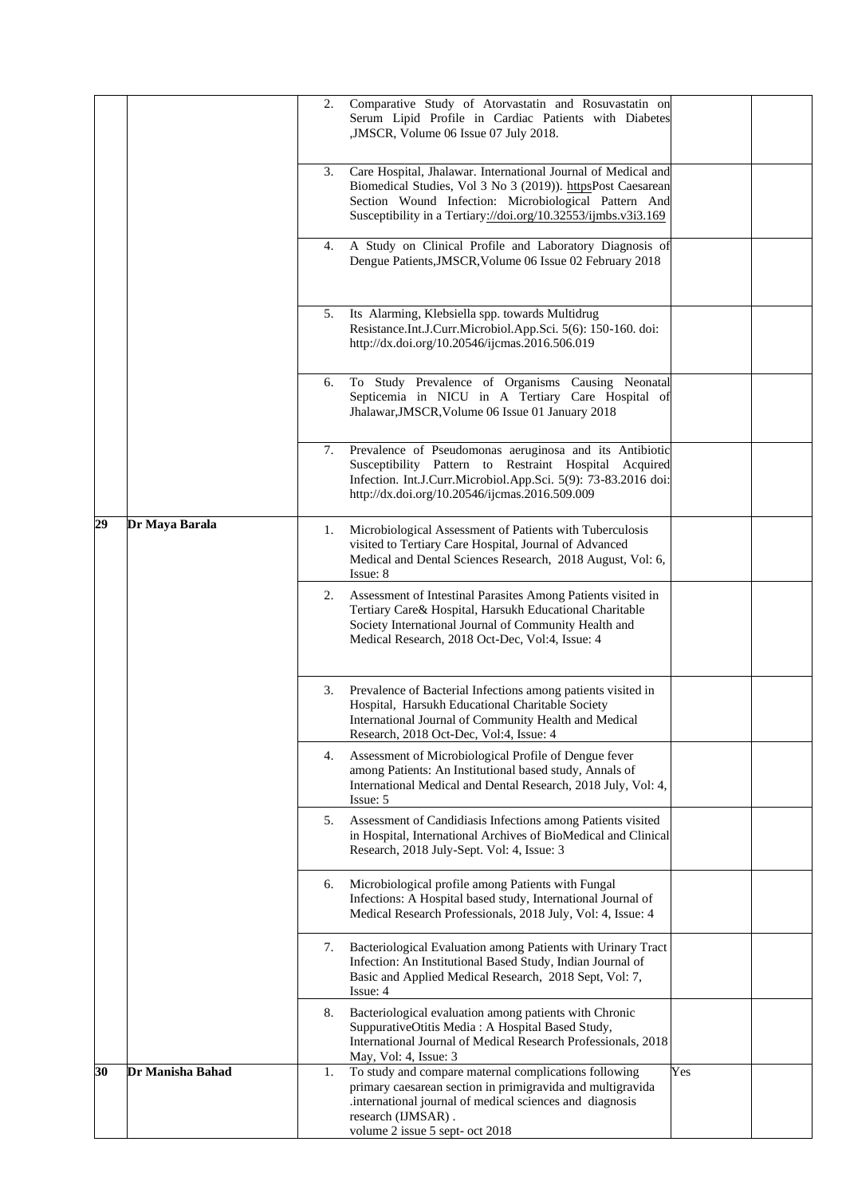|                        | 2. | Comparative Study of Atorvastatin and Rosuvastatin on<br>Serum Lipid Profile in Cardiac Patients with Diabetes<br>,JMSCR, Volume 06 Issue 07 July 2018.                                                                                                |     |  |
|------------------------|----|--------------------------------------------------------------------------------------------------------------------------------------------------------------------------------------------------------------------------------------------------------|-----|--|
|                        | 3. | Care Hospital, Jhalawar. International Journal of Medical and<br>Biomedical Studies, Vol 3 No 3 (2019)). httpsPost Caesarean<br>Section Wound Infection: Microbiological Pattern And<br>Susceptibility in a Tertiary://doi.org/10.32553/ijmbs.v3i3.169 |     |  |
|                        | 4. | A Study on Clinical Profile and Laboratory Diagnosis of<br>Dengue Patients, JMSCR, Volume 06 Issue 02 February 2018                                                                                                                                    |     |  |
|                        | 5. | Its Alarming, Klebsiella spp. towards Multidrug<br>Resistance.Int.J.Curr.Microbiol.App.Sci. 5(6): 150-160. doi:<br>http://dx.doi.org/10.20546/ijcmas.2016.506.019                                                                                      |     |  |
|                        | 6. | To Study Prevalence of Organisms Causing Neonatal<br>Septicemia in NICU in A Tertiary Care Hospital of<br>Jhalawar, JMSCR, Volume 06 Issue 01 January 2018                                                                                             |     |  |
|                        | 7. | Prevalence of Pseudomonas aeruginosa and its Antibiotic<br>Susceptibility Pattern to Restraint Hospital Acquired<br>Infection. Int.J.Curr.Microbiol.App.Sci. 5(9): 73-83.2016 doi:<br>http://dx.doi.org/10.20546/ijcmas.2016.509.009                   |     |  |
| 29<br>Dr Maya Barala   | 1. | Microbiological Assessment of Patients with Tuberculosis<br>visited to Tertiary Care Hospital, Journal of Advanced<br>Medical and Dental Sciences Research, 2018 August, Vol: 6,<br>Issue: 8                                                           |     |  |
|                        | 2. | Assessment of Intestinal Parasites Among Patients visited in<br>Tertiary Care& Hospital, Harsukh Educational Charitable<br>Society International Journal of Community Health and<br>Medical Research, 2018 Oct-Dec, Vol:4, Issue: 4                    |     |  |
|                        | 3. | Prevalence of Bacterial Infections among patients visited in<br>Hospital, Harsukh Educational Charitable Society<br>International Journal of Community Health and Medical<br>Research, 2018 Oct-Dec, Vol:4, Issue: 4                                   |     |  |
|                        | 4. | Assessment of Microbiological Profile of Dengue fever<br>among Patients: An Institutional based study, Annals of<br>International Medical and Dental Research, 2018 July, Vol: 4,<br>Issue: 5                                                          |     |  |
|                        | 5. | Assessment of Candidiasis Infections among Patients visited<br>in Hospital, International Archives of BioMedical and Clinical<br>Research, 2018 July-Sept. Vol: 4, Issue: 3                                                                            |     |  |
|                        | 6. | Microbiological profile among Patients with Fungal<br>Infections: A Hospital based study, International Journal of<br>Medical Research Professionals, 2018 July, Vol: 4, Issue: 4                                                                      |     |  |
|                        | 7. | Bacteriological Evaluation among Patients with Urinary Tract<br>Infection: An Institutional Based Study, Indian Journal of<br>Basic and Applied Medical Research, 2018 Sept, Vol: 7,<br>Issue: 4                                                       |     |  |
|                        | 8. | Bacteriological evaluation among patients with Chronic<br>SuppurativeOtitis Media: A Hospital Based Study,<br>International Journal of Medical Research Professionals, 2018<br>May, Vol: 4, Issue: 3                                                   |     |  |
| 30<br>Dr Manisha Bahad | 1. | To study and compare maternal complications following<br>primary caesarean section in primigravida and multigravida<br>international journal of medical sciences and diagnosis<br>research (IJMSAR).<br>volume 2 issue 5 sept- oct 2018                | Yes |  |
|                        |    |                                                                                                                                                                                                                                                        |     |  |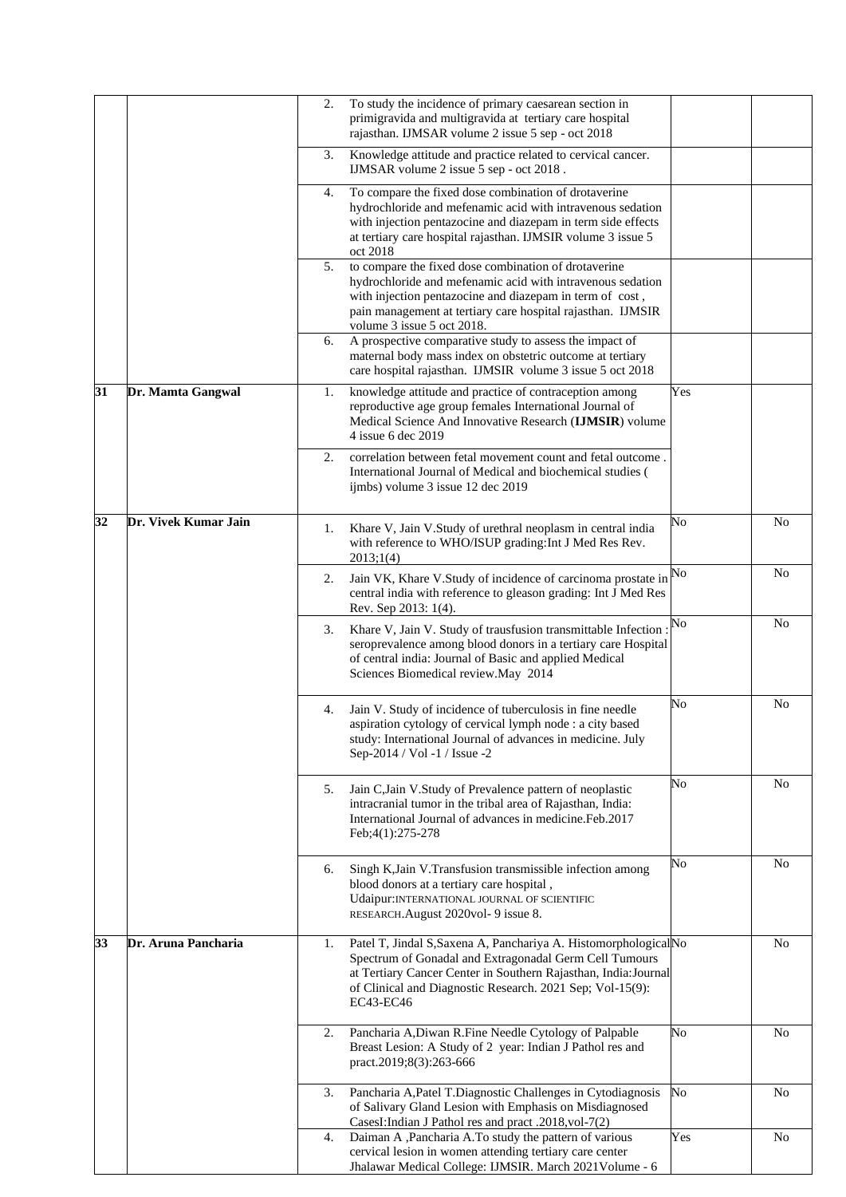|    |                      | 2. | To study the incidence of primary caesarean section in<br>primigravida and multigravida at tertiary care hospital<br>rajasthan. IJMSAR volume 2 issue 5 sep - oct 2018                                                                                                      |     |                |
|----|----------------------|----|-----------------------------------------------------------------------------------------------------------------------------------------------------------------------------------------------------------------------------------------------------------------------------|-----|----------------|
|    |                      | 3. | Knowledge attitude and practice related to cervical cancer.<br>IJMSAR volume 2 issue 5 sep - oct 2018.                                                                                                                                                                      |     |                |
|    |                      | 4. | To compare the fixed dose combination of drotaverine<br>hydrochloride and mefenamic acid with intravenous sedation<br>with injection pentazocine and diazepam in term side effects<br>at tertiary care hospital rajasthan. IJMSIR volume 3 issue 5<br>oct 2018              |     |                |
|    |                      | 5. | to compare the fixed dose combination of drotaverine<br>hydrochloride and mefenamic acid with intravenous sedation<br>with injection pentazocine and diazepam in term of cost,<br>pain management at tertiary care hospital rajasthan. IJMSIR<br>volume 3 issue 5 oct 2018. |     |                |
|    |                      | 6. | A prospective comparative study to assess the impact of<br>maternal body mass index on obstetric outcome at tertiary<br>care hospital rajasthan. IJMSIR volume 3 issue 5 oct 2018                                                                                           |     |                |
| 31 | Dr. Mamta Gangwal    | 1. | knowledge attitude and practice of contraception among<br>reproductive age group females International Journal of<br>Medical Science And Innovative Research (IJMSIR) volume<br>4 issue 6 dec 2019                                                                          | Yes |                |
|    |                      | 2. | correlation between fetal movement count and fetal outcome.<br>International Journal of Medical and biochemical studies (<br>ijmbs) volume 3 issue 12 dec 2019                                                                                                              |     |                |
| 32 | Dr. Vivek Kumar Jain | 1. | Khare V, Jain V.Study of urethral neoplasm in central india<br>with reference to WHO/ISUP grading: Int J Med Res Rev.<br>2013;1(4)                                                                                                                                          | No  | N <sub>0</sub> |
|    |                      | 2. | Jain VK, Khare V.Study of incidence of carcinoma prostate in<br>central india with reference to gleason grading: Int J Med Res<br>Rev. Sep 2013: 1(4).                                                                                                                      | No  | N <sub>o</sub> |
|    |                      | 3. | Khare V, Jain V. Study of trausfusion transmittable Infection :<br>seroprevalence among blood donors in a tertiary care Hospital<br>of central india: Journal of Basic and applied Medical<br>Sciences Biomedical review. May 2014                                          | No  | N <sub>o</sub> |
|    |                      | 4. | Jain V. Study of incidence of tuberculosis in fine needle<br>aspiration cytology of cervical lymph node : a city based<br>study: International Journal of advances in medicine. July<br>Sep-2014 / Vol -1 / Issue -2                                                        | No  | No             |
|    |                      | 5. | Jain C, Jain V. Study of Prevalence pattern of neoplastic<br>intracranial tumor in the tribal area of Rajasthan, India:<br>International Journal of advances in medicine. Feb. 2017<br>Feb;4(1):275-278                                                                     | No  | N <sub>o</sub> |
|    |                      | 6. | Singh K, Jain V. Transfusion transmissible infection among<br>blood donors at a tertiary care hospital,<br>Udaipur: INTERNATIONAL JOURNAL OF SCIENTIFIC<br>RESEARCH.August 2020vol- 9 issue 8.                                                                              | No  | No             |
| 33 | Dr. Aruna Pancharia  | 1. | Patel T, Jindal S, Saxena A, Panchariya A. Histomorphological No<br>Spectrum of Gonadal and Extragonadal Germ Cell Tumours<br>at Tertiary Cancer Center in Southern Rajasthan, India: Journal<br>of Clinical and Diagnostic Research. 2021 Sep; Vol-15(9):<br>EC43-EC46     |     | N <sub>o</sub> |
|    |                      | 2. | Pancharia A, Diwan R. Fine Needle Cytology of Palpable<br>Breast Lesion: A Study of 2 year: Indian J Pathol res and<br>pract.2019;8(3):263-666                                                                                                                              | No  | No             |
|    |                      | 3. | Pancharia A, Patel T. Diagnostic Challenges in Cytodiagnosis<br>of Salivary Gland Lesion with Emphasis on Misdiagnosed<br>CasesI:Indian J Pathol res and pract .2018, vol-7(2)                                                                                              | No  | N <sub>0</sub> |
|    |                      | 4. | Daiman A , Pancharia A. To study the pattern of various<br>cervical lesion in women attending tertiary care center<br>Jhalawar Medical College: IJMSIR. March 2021 Volume - 6                                                                                               | Yes | No             |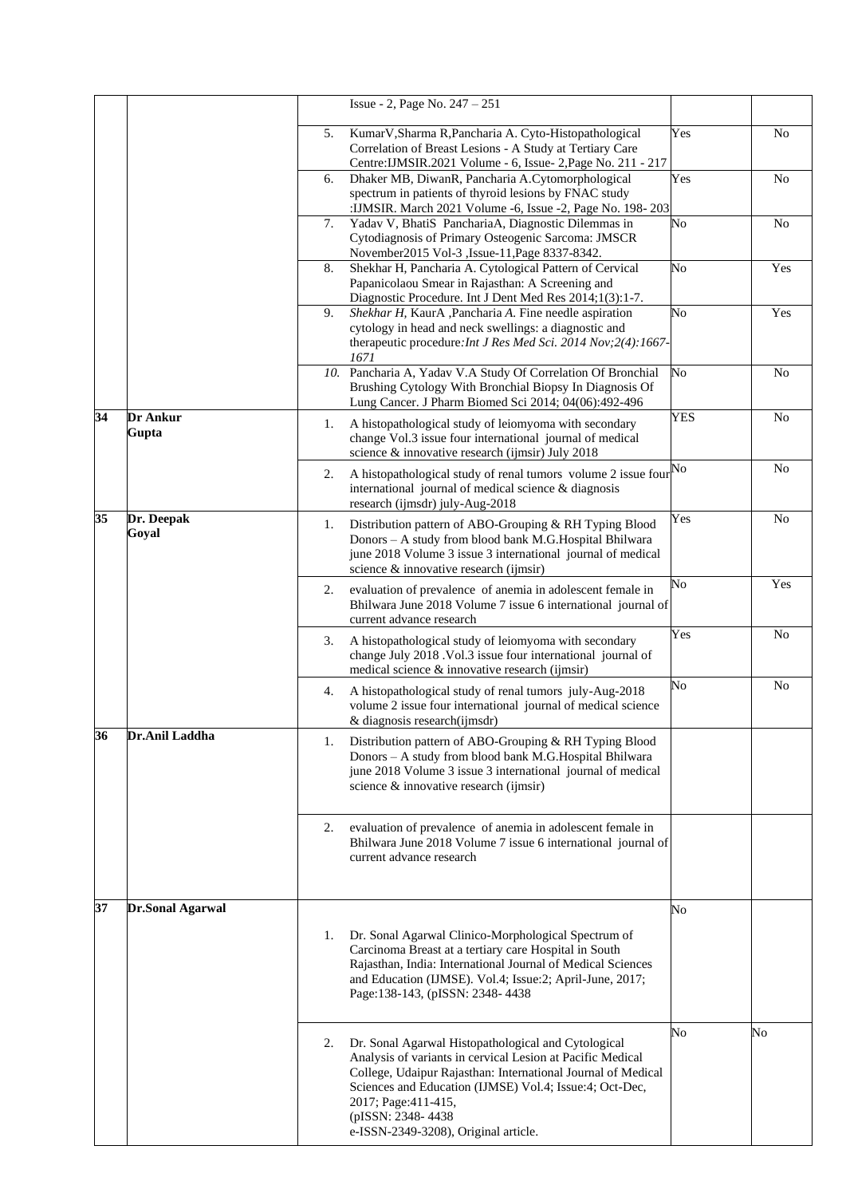|                 |                          |    | Issue - 2, Page No. 247 - 251                                                                                                                                                                                                                                                                                                      |                |                |
|-----------------|--------------------------|----|------------------------------------------------------------------------------------------------------------------------------------------------------------------------------------------------------------------------------------------------------------------------------------------------------------------------------------|----------------|----------------|
|                 |                          | 5. | KumarV, Sharma R, Pancharia A. Cyto-Histopathological<br>Correlation of Breast Lesions - A Study at Tertiary Care<br>Centre: IJMSIR. 2021 Volume - 6, Issue- 2, Page No. 211 - 217                                                                                                                                                 | Yes            | N <sub>0</sub> |
|                 |                          | 6. | Dhaker MB, DiwanR, Pancharia A.Cytomorphological<br>spectrum in patients of thyroid lesions by FNAC study<br>:IJMSIR. March 2021 Volume -6, Issue -2, Page No. 198-203                                                                                                                                                             | Yes            | N <sub>0</sub> |
|                 |                          | 7. | Yadav V, BhatiS PanchariaA, Diagnostic Dilemmas in<br>Cytodiagnosis of Primary Osteogenic Sarcoma: JMSCR<br>November2015 Vol-3 , Issue-11, Page 8337-8342.                                                                                                                                                                         | No             | N <sub>0</sub> |
|                 |                          | 8. | Shekhar H, Pancharia A. Cytological Pattern of Cervical<br>Papanicolaou Smear in Rajasthan: A Screening and<br>Diagnostic Procedure. Int J Dent Med Res 2014;1(3):1-7.                                                                                                                                                             | No             | Yes            |
|                 |                          | 9. | Shekhar H, KaurA , Pancharia A. Fine needle aspiration<br>cytology in head and neck swellings: a diagnostic and<br>therapeutic procedure: Int J Res Med Sci. 2014 Nov; 2(4): 1667-<br>1671                                                                                                                                         | No             | Yes            |
|                 |                          |    | 10. Pancharia A, Yadav V.A Study Of Correlation Of Bronchial<br>Brushing Cytology With Bronchial Biopsy In Diagnosis Of<br>Lung Cancer. J Pharm Biomed Sci 2014; 04(06):492-496                                                                                                                                                    | N <sub>o</sub> | N <sub>0</sub> |
| 34              | <b>Dr Ankur</b><br>Gupta | 1. | A histopathological study of leiomyoma with secondary<br>change Vol.3 issue four international journal of medical<br>science & innovative research (ijmsir) July 2018                                                                                                                                                              | <b>YES</b>     | No             |
|                 |                          | 2. | A histopathological study of renal tumors volume 2 issue four $\text{No}$<br>international journal of medical science $\&$ diagnosis<br>research (ijmsdr) july-Aug-2018                                                                                                                                                            |                | No             |
| $\overline{35}$ | Dr. Deepak<br>Goyal      | 1. | Distribution pattern of ABO-Grouping & RH Typing Blood<br>Donors - A study from blood bank M.G.Hospital Bhilwara<br>june 2018 Volume 3 issue 3 international journal of medical<br>science & innovative research (ijmsir)                                                                                                          | Yes            | N <sub>0</sub> |
|                 |                          | 2. | evaluation of prevalence of anemia in adolescent female in<br>Bhilwara June 2018 Volume 7 issue 6 international journal of<br>current advance research                                                                                                                                                                             | No             | Yes            |
|                 |                          | 3. | A histopathological study of leiomyoma with secondary<br>change July 2018 . Vol.3 issue four international journal of<br>medical science & innovative research (ijmsir)                                                                                                                                                            | Yes            | N <sub>0</sub> |
|                 |                          | 4. | A histopathological study of renal tumors july-Aug-2018<br>volume 2 issue four international journal of medical science<br>& diagnosis research(ijmsdr)                                                                                                                                                                            | No             | No             |
| 36              | Dr.Anil Laddha           | 1. | Distribution pattern of ABO-Grouping & RH Typing Blood<br>Donors - A study from blood bank M.G. Hospital Bhilwara<br>june 2018 Volume 3 issue 3 international journal of medical<br>science & innovative research (ijmsir)                                                                                                         |                |                |
|                 |                          | 2. | evaluation of prevalence of anemia in adolescent female in<br>Bhilwara June 2018 Volume 7 issue 6 international journal of<br>current advance research                                                                                                                                                                             |                |                |
| 37              | <b>Dr.Sonal Agarwal</b>  |    |                                                                                                                                                                                                                                                                                                                                    | No             |                |
|                 |                          | 1. | Dr. Sonal Agarwal Clinico-Morphological Spectrum of<br>Carcinoma Breast at a tertiary care Hospital in South<br>Rajasthan, India: International Journal of Medical Sciences<br>and Education (IJMSE). Vol.4; Issue:2; April-June, 2017;<br>Page:138-143, (pISSN: 2348-4438                                                         |                |                |
|                 |                          | 2. | Dr. Sonal Agarwal Histopathological and Cytological<br>Analysis of variants in cervical Lesion at Pacific Medical<br>College, Udaipur Rajasthan: International Journal of Medical<br>Sciences and Education (IJMSE) Vol.4; Issue:4; Oct-Dec,<br>2017; Page: 411-415,<br>(pISSN: 2348-4438)<br>e-ISSN-2349-3208), Original article. | No             | No             |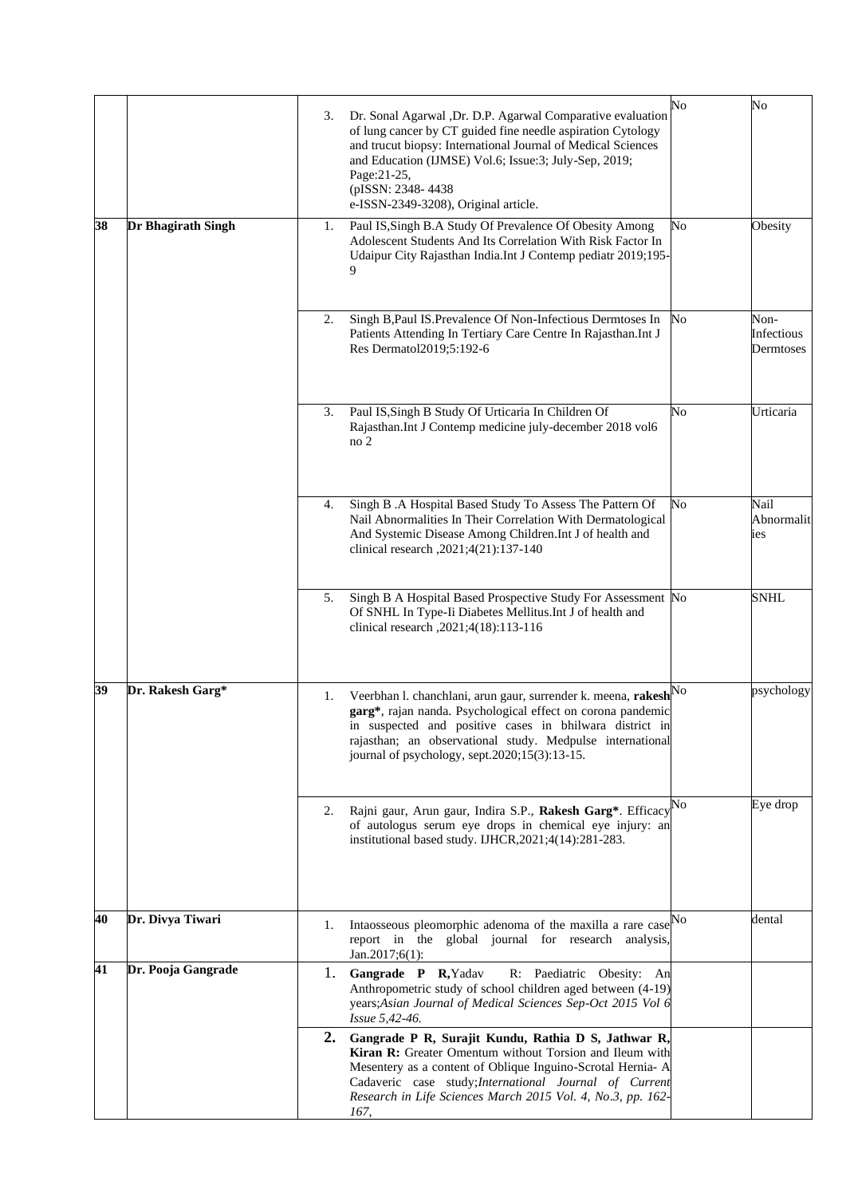|    |                    | 3. | Dr. Sonal Agarwal , Dr. D.P. Agarwal Comparative evaluation<br>of lung cancer by CT guided fine needle aspiration Cytology<br>and trucut biopsy: International Journal of Medical Sciences<br>and Education (IJMSE) Vol.6; Issue:3; July-Sep, 2019;<br>Page: 21-25,<br>(pISSN: 2348-4438<br>e-ISSN-2349-3208), Original article. | No | No                              |
|----|--------------------|----|----------------------------------------------------------------------------------------------------------------------------------------------------------------------------------------------------------------------------------------------------------------------------------------------------------------------------------|----|---------------------------------|
| 38 | Dr Bhagirath Singh | 1. | Paul IS, Singh B.A Study Of Prevalence Of Obesity Among<br>Adolescent Students And Its Correlation With Risk Factor In<br>Udaipur City Rajasthan India.Int J Contemp pediatr 2019;195-<br>9                                                                                                                                      | No | Obesity                         |
|    |                    | 2. | Singh B, Paul IS. Prevalence Of Non-Infectious Dermtoses In<br>Patients Attending In Tertiary Care Centre In Rajasthan.Int J<br>Res Dermatol2019;5:192-6                                                                                                                                                                         | No | Non-<br>Infectious<br>Dermtoses |
|    |                    | 3. | Paul IS, Singh B Study Of Urticaria In Children Of<br>Rajasthan.Int J Contemp medicine july-december 2018 vol6<br>no <sub>2</sub>                                                                                                                                                                                                | No | Urticaria                       |
|    |                    | 4. | Singh B .A Hospital Based Study To Assess The Pattern Of<br>Nail Abnormalities In Their Correlation With Dermatological<br>And Systemic Disease Among Children. Int J of health and<br>clinical research , 2021; 4(21): 137-140                                                                                                  | No | Nail<br>Abnormalit<br>ies       |
|    |                    | 5. | Singh B A Hospital Based Prospective Study For Assessment No<br>Of SNHL In Type-Ii Diabetes Mellitus. Int J of health and<br>clinical research, 2021;4(18):113-116                                                                                                                                                               |    | <b>SNHL</b>                     |
| 39 | Dr. Rakesh Garg*   | 1. | Veerbhan l. chanchlani, arun gaur, surrender k. meena, rakeshNo<br>garg*, rajan nanda. Psychological effect on corona pandemic<br>in suspected and positive cases in bhilwara district in<br>rajasthan; an observational study. Medpulse international<br>journal of psychology, sept.2020;15(3):13-15.                          |    | psychology                      |
|    |                    | 2. | Rajni gaur, Arun gaur, Indira S.P., Rakesh Garg*. Efficacy<br>of autologus serum eye drops in chemical eye injury: an<br>institutional based study. IJHCR, 2021; 4(14): 281-283.                                                                                                                                                 | No | Eye drop                        |
| 40 | Dr. Divya Tiwari   | 1. | Intaosseous pleomorphic adenoma of the maxilla a rare case <sup>No</sup><br>report in the global journal for research<br>analysis,<br>$Jan.2017;6(1)$ :                                                                                                                                                                          |    | dental                          |
| 41 | Dr. Pooja Gangrade | 1. | Gangrade P R, Yadav<br>R: Paediatric Obesity: An<br>Anthropometric study of school children aged between (4-19)<br>years;Asian Journal of Medical Sciences Sep-Oct 2015 Vol 6<br>Issue 5,42-46.                                                                                                                                  |    |                                 |
|    |                    | 2. | Gangrade P R, Surajit Kundu, Rathia D S, Jathwar R,<br>Kiran R: Greater Omentum without Torsion and Ileum with<br>Mesentery as a content of Oblique Inguino-Scrotal Hernia- A<br>Cadaveric case study; International Journal of Current<br>Research in Life Sciences March 2015 Vol. 4, No.3, pp. 162-<br>167,                   |    |                                 |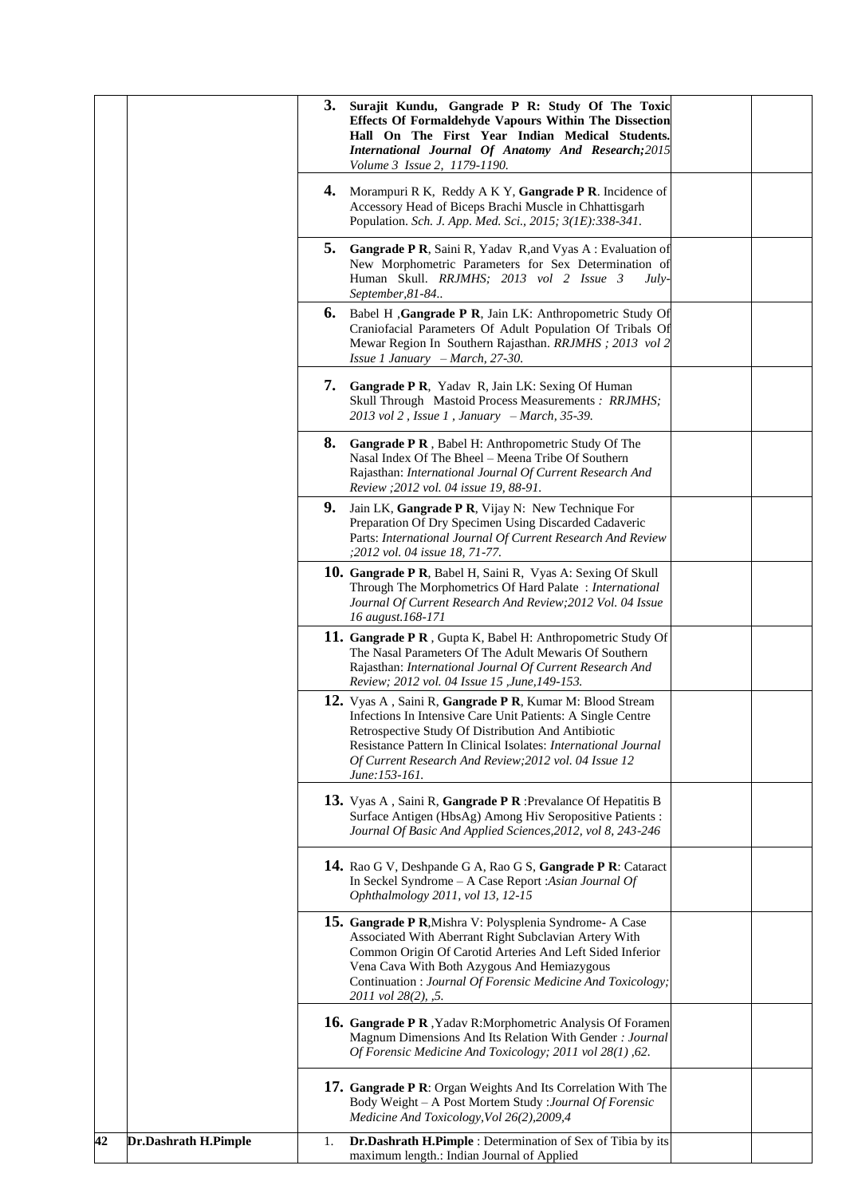|    |                      |    | 3. Surajit Kundu, Gangrade P R: Study Of The Toxic<br><b>Effects Of Formaldehyde Vapours Within The Dissection</b><br>Hall On The First Year Indian Medical Students.<br>International Journal Of Anatomy And Research; 2015<br>Volume 3 Issue 2, 1179-1190.                                                              |  |
|----|----------------------|----|---------------------------------------------------------------------------------------------------------------------------------------------------------------------------------------------------------------------------------------------------------------------------------------------------------------------------|--|
|    |                      |    | <b>4.</b> Morampuri R K, Reddy A K Y, <b>Gangrade P R</b> . Incidence of<br>Accessory Head of Biceps Brachi Muscle in Chhattisgarh<br>Population. Sch. J. App. Med. Sci., 2015; 3(1E):338-341.                                                                                                                            |  |
|    |                      | 5. | Gangrade P R, Saini R, Yadav R, and Vyas A: Evaluation of<br>New Morphometric Parameters for Sex Determination of<br>Human Skull. RRJMHS; 2013 vol 2 Issue 3<br>$July-$<br>September, 81-84                                                                                                                               |  |
|    |                      | 6. | Babel H , Gangrade P R, Jain LK: Anthropometric Study Of<br>Craniofacial Parameters Of Adult Population Of Tribals Of<br>Mewar Region In Southern Rajasthan. RRJMHS ; 2013 vol 2<br><i>Issue 1 January - March</i> , $27-30$ .                                                                                            |  |
|    |                      |    | <b>7.</b> Gangrade P R, Yadav R, Jain LK: Sexing Of Human<br>Skull Through Mastoid Process Measurements: RRJMHS;<br>$2013$ vol 2, Issue 1, January - March, 35-39.                                                                                                                                                        |  |
|    |                      | 8. | <b>Gangrade P R</b> , Babel H: Anthropometric Study Of The<br>Nasal Index Of The Bheel - Meena Tribe Of Southern<br>Rajasthan: International Journal Of Current Research And<br>Review ; 2012 vol. 04 issue 19, 88-91.                                                                                                    |  |
|    |                      | 9. | Jain LK, Gangrade P R, Vijay N: New Technique For<br>Preparation Of Dry Specimen Using Discarded Cadaveric<br>Parts: International Journal Of Current Research And Review<br>;2012 vol. 04 issue 18, 71-77.                                                                                                               |  |
|    |                      |    | <b>10. Gangrade P R, Babel H, Saini R, Vyas A: Sexing Of Skull</b><br>Through The Morphometrics Of Hard Palate: International<br>Journal Of Current Research And Review; 2012 Vol. 04 Issue<br>16 august.168-171                                                                                                          |  |
|    |                      |    | 11. Gangrade P R, Gupta K, Babel H: Anthropometric Study Of<br>The Nasal Parameters Of The Adult Mewaris Of Southern<br>Rajasthan: International Journal Of Current Research And<br>Review; 2012 vol. 04 Issue 15, June, 149-153.                                                                                         |  |
|    |                      |    | 12. Vyas A, Saini R, Gangrade P R, Kumar M: Blood Stream<br>Infections In Intensive Care Unit Patients: A Single Centre<br>Retrospective Study Of Distribution And Antibiotic<br>Resistance Pattern In Clinical Isolates: International Journal<br>Of Current Research And Review; 2012 vol. 04 Issue 12<br>June:153-161. |  |
|    |                      |    | 13. Vyas A, Saini R, Gangrade P R : Prevalance Of Hepatitis B<br>Surface Antigen (HbsAg) Among Hiv Seropositive Patients :<br>Journal Of Basic And Applied Sciences, 2012, vol 8, 243-246                                                                                                                                 |  |
|    |                      |    | 14. Rao G V, Deshpande G A, Rao G S, Gangrade P R: Cataract<br>In Seckel Syndrome - A Case Report : Asian Journal Of<br>Ophthalmology 2011, vol 13, 12-15                                                                                                                                                                 |  |
|    |                      |    | 15. Gangrade P R, Mishra V: Polysplenia Syndrome- A Case<br>Associated With Aberrant Right Subclavian Artery With<br>Common Origin Of Carotid Arteries And Left Sided Inferior<br>Vena Cava With Both Azygous And Hemiazygous<br>Continuation : Journal Of Forensic Medicine And Toxicology;<br>2011 vol 28(2), , 5.      |  |
|    |                      |    | <b>16. Gangrade P R</b> , Yadav R: Morphometric Analysis Of Foramen<br>Magnum Dimensions And Its Relation With Gender : Journal<br>Of Forensic Medicine And Toxicology; 2011 vol 28(1), 62.                                                                                                                               |  |
|    |                      |    | 17. Gangrade P R: Organ Weights And Its Correlation With The<br>Body Weight - A Post Mortem Study : Journal Of Forensic<br>Medicine And Toxicology, Vol 26(2), 2009, 4                                                                                                                                                    |  |
| 42 | Dr.Dashrath H.Pimple | 1. | Dr.Dashrath H.Pimple : Determination of Sex of Tibia by its<br>maximum length.: Indian Journal of Applied                                                                                                                                                                                                                 |  |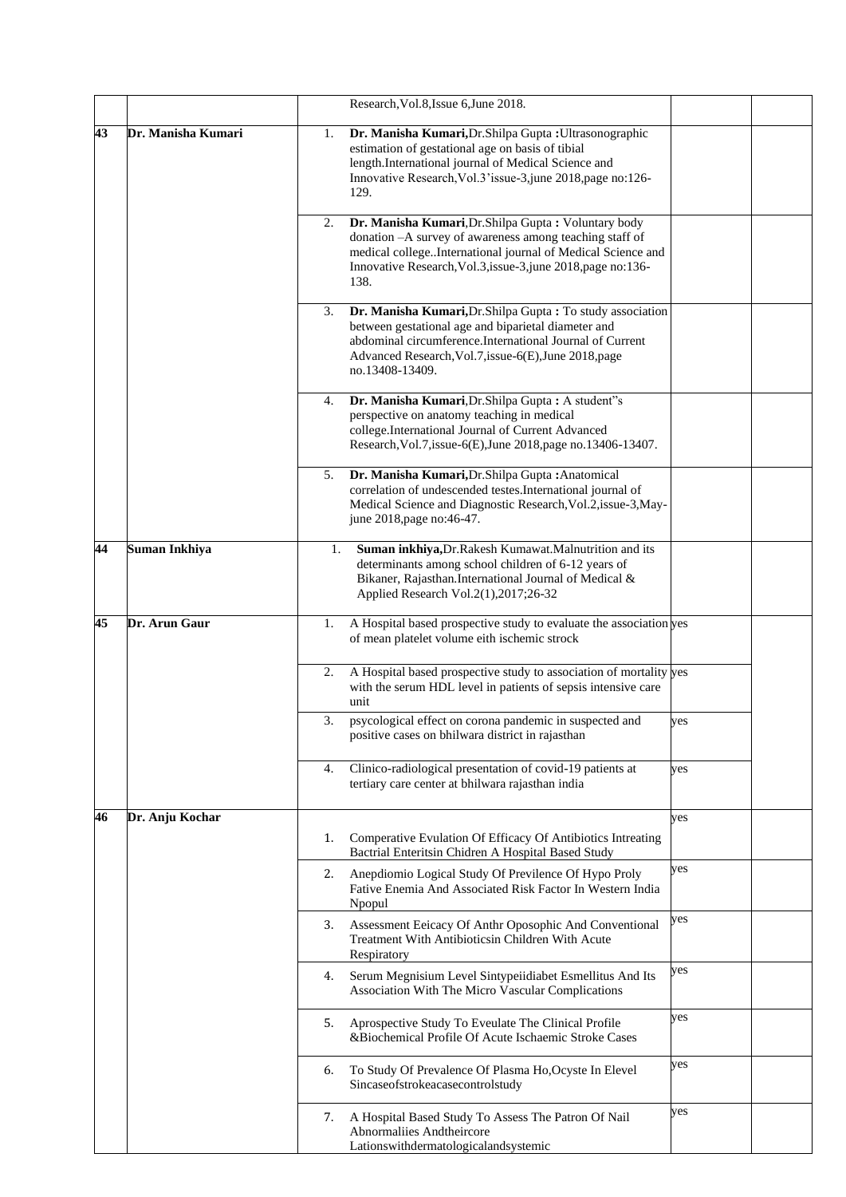|    |                    |    | Research, Vol.8, Issue 6, June 2018.                                                                                                                                                                                                                       |     |  |
|----|--------------------|----|------------------------------------------------------------------------------------------------------------------------------------------------------------------------------------------------------------------------------------------------------------|-----|--|
| 43 | Dr. Manisha Kumari | 1. | Dr. Manisha Kumari, Dr. Shilpa Gupta: Ultrasonographic<br>estimation of gestational age on basis of tibial<br>length.International journal of Medical Science and<br>Innovative Research, Vol.3'issue-3, june 2018, page no:126-<br>129.                   |     |  |
|    |                    | 2. | Dr. Manisha Kumari, Dr. Shilpa Gupta: Voluntary body<br>donation -- A survey of awareness among teaching staff of<br>medical college. International journal of Medical Science and<br>Innovative Research, Vol.3, issue-3, june 2018, page no:136-<br>138. |     |  |
|    |                    | 3. | Dr. Manisha Kumari, Dr. Shilpa Gupta: To study association<br>between gestational age and biparietal diameter and<br>abdominal circumference.International Journal of Current<br>Advanced Research, Vol.7, issue-6(E), June 2018, page<br>no.13408-13409.  |     |  |
|    |                    | 4. | Dr. Manisha Kumari, Dr. Shilpa Gupta: A student"s<br>perspective on anatomy teaching in medical<br>college.International Journal of Current Advanced<br>Research, Vol.7, issue-6(E), June 2018, page no.13406-13407.                                       |     |  |
|    |                    | 5. | Dr. Manisha Kumari, Dr. Shilpa Gupta: Anatomical<br>correlation of undescended testes.International journal of<br>Medical Science and Diagnostic Research, Vol.2, issue-3, May-<br>june 2018, page no: 46-47.                                              |     |  |
| 44 | Suman Inkhiya      | 1. | Suman inkhiya, Dr. Rakesh Kumawat. Malnutrition and its<br>determinants among school children of 6-12 years of<br>Bikaner, Rajasthan.International Journal of Medical &<br>Applied Research Vol.2(1),2017;26-32                                            |     |  |
| 45 | Dr. Arun Gaur      | 1. | A Hospital based prospective study to evaluate the association yes<br>of mean platelet volume eith ischemic strock                                                                                                                                         |     |  |
|    |                    | 2. | A Hospital based prospective study to association of mortality yes<br>with the serum HDL level in patients of sepsis intensive care<br>unit                                                                                                                |     |  |
|    |                    | 3. | psycological effect on corona pandemic in suspected and<br>positive cases on bhilwara district in rajasthan                                                                                                                                                | yes |  |
|    |                    | 4. | Clinico-radiological presentation of covid-19 patients at<br>tertiary care center at bhilwara rajasthan india                                                                                                                                              | yes |  |
| 46 | Dr. Anju Kochar    | 1. | Comperative Evulation Of Efficacy Of Antibiotics Intreating<br>Bactrial Enteritsin Chidren A Hospital Based Study                                                                                                                                          | yes |  |
|    |                    | 2. | Anepdiomio Logical Study Of Previlence Of Hypo Proly<br>Fative Enemia And Associated Risk Factor In Western India<br>Npopul                                                                                                                                | yes |  |
|    |                    | 3. | Assessment Eeicacy Of Anthr Oposophic And Conventional<br>Treatment With Antibioticsin Children With Acute<br>Respiratory                                                                                                                                  | yes |  |
|    |                    | 4. | Serum Megnisium Level Sintypeiidiabet Esmellitus And Its<br>Association With The Micro Vascular Complications                                                                                                                                              | yes |  |
|    |                    | 5. | Aprospective Study To Eveulate The Clinical Profile<br>&Biochemical Profile Of Acute Ischaemic Stroke Cases                                                                                                                                                | yes |  |
|    |                    | 6. | To Study Of Prevalence Of Plasma Ho, Ocyste In Elevel<br>Sincaseofstrokeacasecontrolstudy                                                                                                                                                                  | yes |  |
|    |                    | 7. | A Hospital Based Study To Assess The Patron Of Nail<br>Abnormaliies Andtheircore<br>Lationswithdermatologicalandsystemic                                                                                                                                   | yes |  |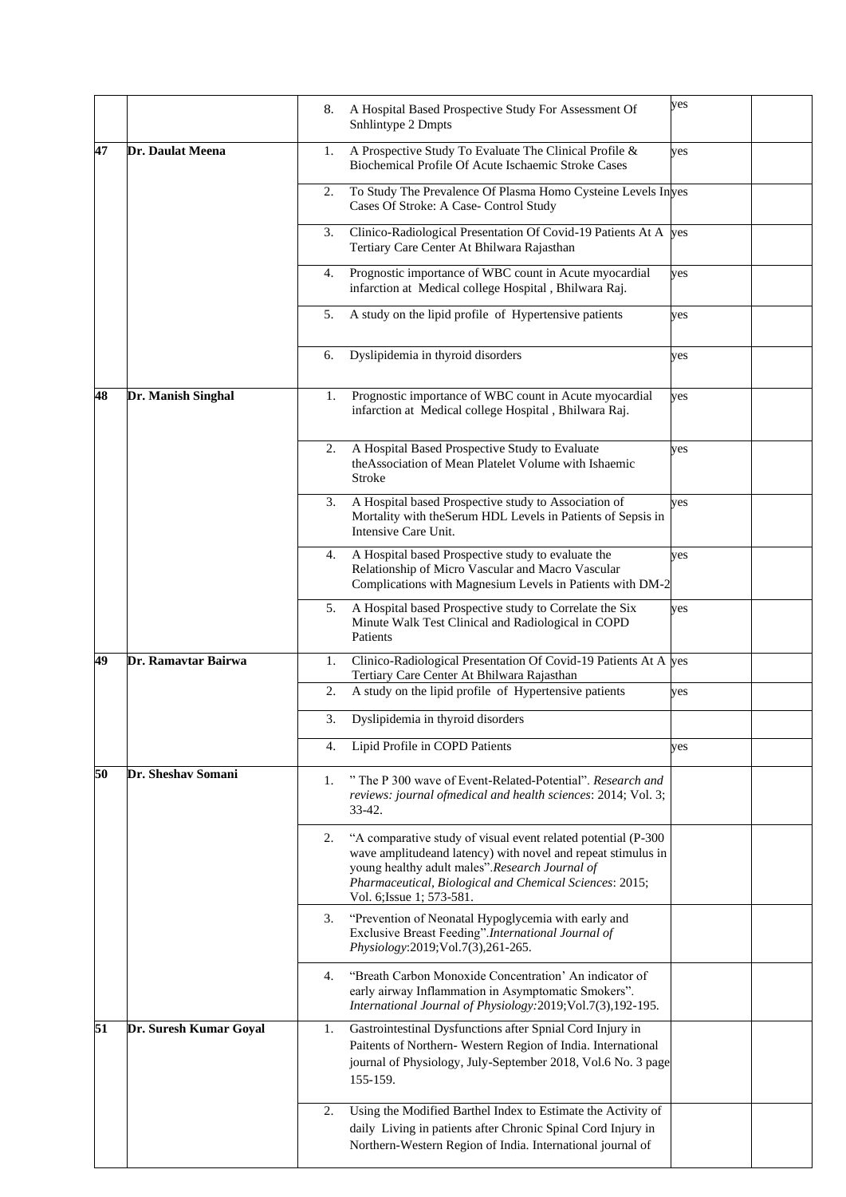|    |                        | 8. | A Hospital Based Prospective Study For Assessment Of<br>Snhlintype 2 Dmpts                                                                                                                                                                                              | yes |  |
|----|------------------------|----|-------------------------------------------------------------------------------------------------------------------------------------------------------------------------------------------------------------------------------------------------------------------------|-----|--|
| 47 | Dr. Daulat Meena       | 1. | A Prospective Study To Evaluate The Clinical Profile &<br>Biochemical Profile Of Acute Ischaemic Stroke Cases                                                                                                                                                           | yes |  |
|    |                        | 2. | To Study The Prevalence Of Plasma Homo Cysteine Levels Inves<br>Cases Of Stroke: A Case- Control Study                                                                                                                                                                  |     |  |
|    |                        | 3. | Clinico-Radiological Presentation Of Covid-19 Patients At A yes<br>Tertiary Care Center At Bhilwara Rajasthan                                                                                                                                                           |     |  |
|    |                        | 4. | Prognostic importance of WBC count in Acute myocardial<br>infarction at Medical college Hospital, Bhilwara Raj.                                                                                                                                                         | yes |  |
|    |                        | 5. | A study on the lipid profile of Hypertensive patients                                                                                                                                                                                                                   | yes |  |
|    |                        | 6. | Dyslipidemia in thyroid disorders                                                                                                                                                                                                                                       | yes |  |
| 48 | Dr. Manish Singhal     | 1. | Prognostic importance of WBC count in Acute myocardial<br>infarction at Medical college Hospital, Bhilwara Raj.                                                                                                                                                         | yes |  |
|    |                        | 2. | A Hospital Based Prospective Study to Evaluate<br>the Association of Mean Platelet Volume with Ishaemic<br>Stroke                                                                                                                                                       | yes |  |
|    |                        | 3. | A Hospital based Prospective study to Association of<br>Mortality with the Serum HDL Levels in Patients of Sepsis in<br>Intensive Care Unit.                                                                                                                            | yes |  |
|    |                        | 4. | A Hospital based Prospective study to evaluate the<br>Relationship of Micro Vascular and Macro Vascular<br>Complications with Magnesium Levels in Patients with DM-2                                                                                                    | yes |  |
|    |                        | 5. | A Hospital based Prospective study to Correlate the Six<br>Minute Walk Test Clinical and Radiological in COPD<br>Patients                                                                                                                                               | yes |  |
| 49 | Dr. Ramavtar Bairwa    | 1. | Clinico-Radiological Presentation Of Covid-19 Patients At A yes<br>Tertiary Care Center At Bhilwara Rajasthan                                                                                                                                                           |     |  |
|    |                        | 2. | A study on the lipid profile of Hypertensive patients                                                                                                                                                                                                                   | yes |  |
|    |                        | 3. | Dyslipidemia in thyroid disorders                                                                                                                                                                                                                                       |     |  |
|    |                        | 4. | Lipid Profile in COPD Patients                                                                                                                                                                                                                                          | yes |  |
| 50 | Dr. Sheshav Somani     | 1. | "The P 300 wave of Event-Related-Potential". Research and<br>reviews: journal ofmedical and health sciences: 2014; Vol. 3;<br>$33 - 42.$                                                                                                                                |     |  |
|    |                        | 2. | "A comparative study of visual event related potential (P-300<br>wave amplitudeand latency) with novel and repeat stimulus in<br>young healthy adult males".Research Journal of<br>Pharmaceutical, Biological and Chemical Sciences: 2015;<br>Vol. 6; Issue 1; 573-581. |     |  |
|    |                        | 3. | "Prevention of Neonatal Hypoglycemia with early and<br>Exclusive Breast Feeding".International Journal of<br>Physiology:2019;Vol.7(3),261-265.                                                                                                                          |     |  |
|    |                        | 4. | "Breath Carbon Monoxide Concentration' An indicator of<br>early airway Inflammation in Asymptomatic Smokers".<br>International Journal of Physiology: 2019; Vol.7(3), 192-195.                                                                                          |     |  |
| 51 | Dr. Suresh Kumar Goyal | 1. | Gastrointestinal Dysfunctions after Spnial Cord Injury in<br>Paitents of Northern- Western Region of India. International<br>journal of Physiology, July-September 2018, Vol.6 No. 3 page<br>155-159.                                                                   |     |  |
|    |                        | 2. | Using the Modified Barthel Index to Estimate the Activity of<br>daily Living in patients after Chronic Spinal Cord Injury in<br>Northern-Western Region of India. International journal of                                                                              |     |  |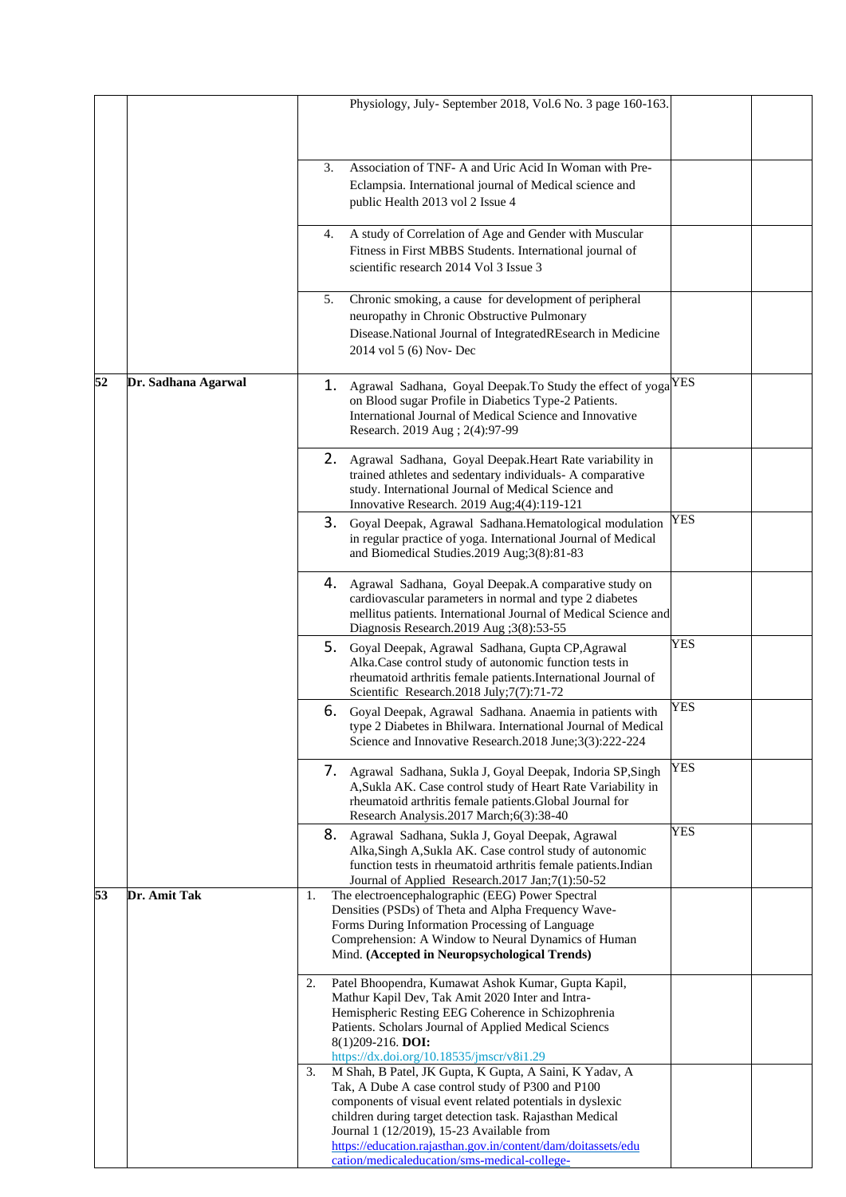|    |                     |    |    | Physiology, July- September 2018, Vol.6 No. 3 page 160-163.                                                                                                                                                                                                                                                                                                                                         |     |  |
|----|---------------------|----|----|-----------------------------------------------------------------------------------------------------------------------------------------------------------------------------------------------------------------------------------------------------------------------------------------------------------------------------------------------------------------------------------------------------|-----|--|
|    |                     |    | 3. | Association of TNF- A and Uric Acid In Woman with Pre-<br>Eclampsia. International journal of Medical science and<br>public Health 2013 vol 2 Issue 4                                                                                                                                                                                                                                               |     |  |
|    |                     |    | 4. | A study of Correlation of Age and Gender with Muscular<br>Fitness in First MBBS Students. International journal of<br>scientific research 2014 Vol 3 Issue 3                                                                                                                                                                                                                                        |     |  |
|    |                     |    | 5. | Chronic smoking, a cause for development of peripheral<br>neuropathy in Chronic Obstructive Pulmonary<br>Disease.National Journal of IntegratedREsearch in Medicine<br>2014 vol 5 (6) Nov- Dec                                                                                                                                                                                                      |     |  |
| 52 | Dr. Sadhana Agarwal |    |    | 1. Agrawal Sadhana, Goyal Deepak. To Study the effect of yoga<br>on Blood sugar Profile in Diabetics Type-2 Patients.<br>International Journal of Medical Science and Innovative<br>Research. 2019 Aug ; 2(4):97-99                                                                                                                                                                                 | YES |  |
|    |                     |    |    | 2. Agrawal Sadhana, Goyal Deepak. Heart Rate variability in<br>trained athletes and sedentary individuals- A comparative<br>study. International Journal of Medical Science and<br>Innovative Research. 2019 Aug; 4(4): 119-121                                                                                                                                                                     |     |  |
|    |                     |    | 3. | Goyal Deepak, Agrawal Sadhana.Hematological modulation<br>in regular practice of yoga. International Journal of Medical<br>and Biomedical Studies.2019 Aug;3(8):81-83                                                                                                                                                                                                                               | YES |  |
|    |                     |    |    | 4. Agrawal Sadhana, Goyal Deepak.A comparative study on<br>cardiovascular parameters in normal and type 2 diabetes<br>mellitus patients. International Journal of Medical Science and<br>Diagnosis Research.2019 Aug ; $3(8)$ :53-55                                                                                                                                                                |     |  |
|    |                     |    | 5. | Goyal Deepak, Agrawal Sadhana, Gupta CP, Agrawal<br>Alka.Case control study of autonomic function tests in<br>rheumatoid arthritis female patients.International Journal of<br>Scientific Research.2018 July;7(7):71-72                                                                                                                                                                             | YES |  |
|    |                     |    | 6. | Goyal Deepak, Agrawal Sadhana. Anaemia in patients with<br>type 2 Diabetes in Bhilwara. International Journal of Medical<br>Science and Innovative Research.2018 June;3(3):222-224                                                                                                                                                                                                                  | YES |  |
|    |                     |    |    | 7. Agrawal Sadhana, Sukla J, Goyal Deepak, Indoria SP, Singh<br>A, Sukla AK. Case control study of Heart Rate Variability in<br>rheumatoid arthritis female patients. Global Journal for<br>Research Analysis.2017 March;6(3):38-40                                                                                                                                                                 | YES |  |
|    |                     |    |    | 8. Agrawal Sadhana, Sukla J, Goyal Deepak, Agrawal<br>Alka, Singh A, Sukla AK. Case control study of autonomic<br>function tests in rheumatoid arthritis female patients.Indian<br>Journal of Applied Research.2017 Jan;7(1):50-52                                                                                                                                                                  | YES |  |
| 53 | Dr. Amit Tak        | 1. |    | The electroencephalographic (EEG) Power Spectral<br>Densities (PSDs) of Theta and Alpha Frequency Wave-<br>Forms During Information Processing of Language<br>Comprehension: A Window to Neural Dynamics of Human<br>Mind. (Accepted in Neuropsychological Trends)                                                                                                                                  |     |  |
|    |                     | 2. |    | Patel Bhoopendra, Kumawat Ashok Kumar, Gupta Kapil,<br>Mathur Kapil Dev, Tak Amit 2020 Inter and Intra-<br>Hemispheric Resting EEG Coherence in Schizophrenia<br>Patients. Scholars Journal of Applied Medical Sciencs<br>8(1)209-216. DOI:<br>https://dx.doi.org/10.18535/jmscr/v8i1.29                                                                                                            |     |  |
|    |                     | 3. |    | M Shah, B Patel, JK Gupta, K Gupta, A Saini, K Yadav, A<br>Tak, A Dube A case control study of P300 and P100<br>components of visual event related potentials in dyslexic<br>children during target detection task. Rajasthan Medical<br>Journal 1 (12/2019), 15-23 Available from<br>https://education.rajasthan.gov.in/content/dam/doitassets/edu<br>cation/medicaleducation/sms-medical-college- |     |  |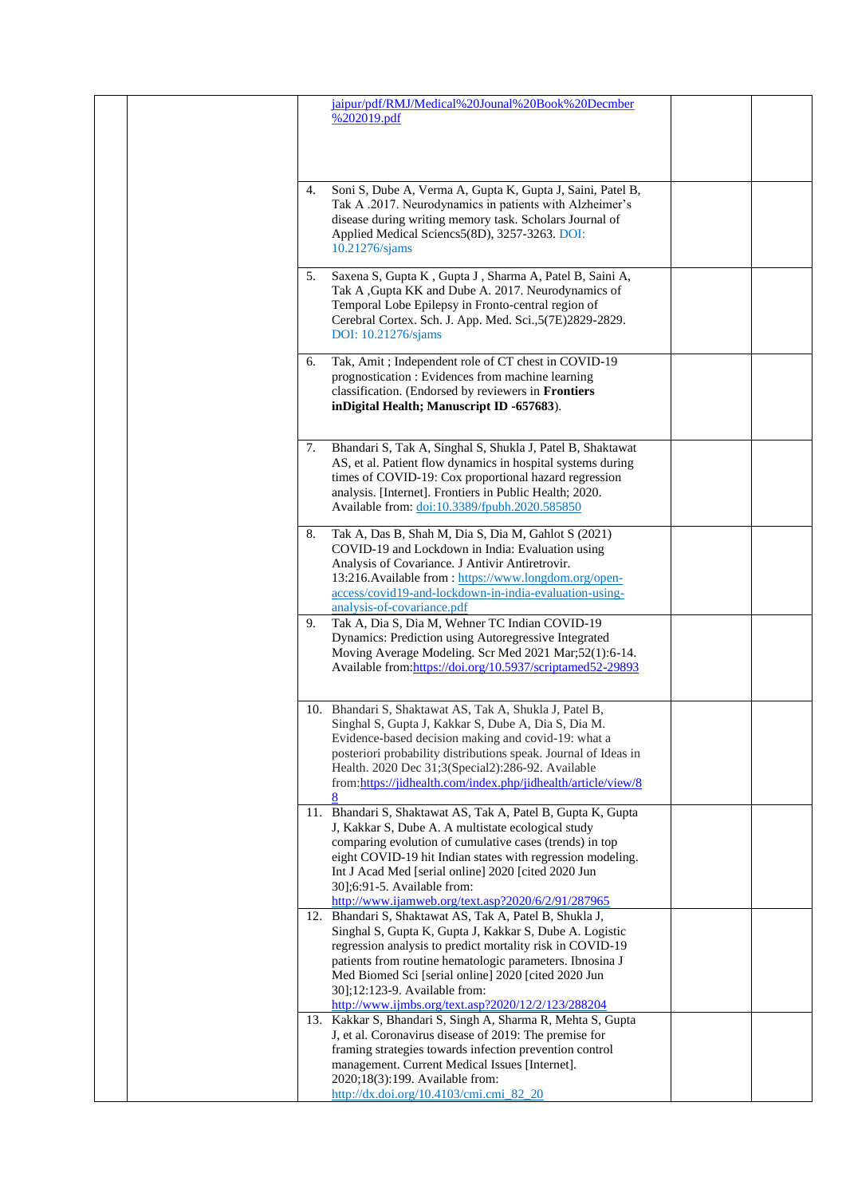| jaipur/pdf/RMJ/Medical%20Jounal%20Book%20Decmber<br>% 202019.pdf                                                                                                                                                                                                                                                                                                                           |
|--------------------------------------------------------------------------------------------------------------------------------------------------------------------------------------------------------------------------------------------------------------------------------------------------------------------------------------------------------------------------------------------|
| Soni S, Dube A, Verma A, Gupta K, Gupta J, Saini, Patel B,<br>4.<br>Tak A .2017. Neurodynamics in patients with Alzheimer's<br>disease during writing memory task. Scholars Journal of<br>Applied Medical Sciencs5(8D), 3257-3263. DOI:<br>10.21276/sjams                                                                                                                                  |
| Saxena S, Gupta K, Gupta J, Sharma A, Patel B, Saini A,<br>5.<br>Tak A , Gupta KK and Dube A. 2017. Neurodynamics of<br>Temporal Lobe Epilepsy in Fronto-central region of<br>Cerebral Cortex. Sch. J. App. Med. Sci., 5(7E)2829-2829.<br>DOI: 10.21276/sjams                                                                                                                              |
| Tak, Amit ; Independent role of CT chest in COVID-19<br>6.<br>prognostication : Evidences from machine learning<br>classification. (Endorsed by reviewers in Frontiers<br>inDigital Health; Manuscript ID -657683).                                                                                                                                                                        |
| Bhandari S, Tak A, Singhal S, Shukla J, Patel B, Shaktawat<br>7.<br>AS, et al. Patient flow dynamics in hospital systems during<br>times of COVID-19: Cox proportional hazard regression<br>analysis. [Internet]. Frontiers in Public Health; 2020.<br>Available from: doi:10.3389/fpubh.2020.585850                                                                                       |
| Tak A, Das B, Shah M, Dia S, Dia M, Gahlot S (2021)<br>8.<br>COVID-19 and Lockdown in India: Evaluation using<br>Analysis of Covariance. J Antivir Antiretrovir.<br>13:216. Available from : https://www.longdom.org/open-<br>access/covid19-and-lockdown-in-india-evaluation-using-<br>analysis-of-covariance.pdf                                                                         |
| Tak A, Dia S, Dia M, Wehner TC Indian COVID-19<br>9.<br>Dynamics: Prediction using Autoregressive Integrated<br>Moving Average Modeling. Scr Med 2021 Mar;52(1):6-14.<br>Available from:https://doi.org/10.5937/scriptamed52-29893                                                                                                                                                         |
| 10. Bhandari S, Shaktawat AS, Tak A, Shukla J, Patel B,<br>Singhal S, Gupta J, Kakkar S, Dube A, Dia S, Dia M.<br>Evidence-based decision making and covid-19: what a<br>posteriori probability distributions speak. Journal of Ideas in<br>Health. 2020 Dec 31;3(Special2):286-92. Available<br>from:https://jidhealth.com/index.php/jidhealth/article/view/8<br>8                        |
| Bhandari S, Shaktawat AS, Tak A, Patel B, Gupta K, Gupta<br>11.<br>J, Kakkar S, Dube A. A multistate ecological study<br>comparing evolution of cumulative cases (trends) in top<br>eight COVID-19 hit Indian states with regression modeling.<br>Int J Acad Med [serial online] 2020 [cited 2020 Jun<br>30];6:91-5. Available from:<br>http://www.ijamweb.org/text.asp?2020/6/2/91/287965 |
| 12. Bhandari S, Shaktawat AS, Tak A, Patel B, Shukla J,<br>Singhal S, Gupta K, Gupta J, Kakkar S, Dube A. Logistic<br>regression analysis to predict mortality risk in COVID-19<br>patients from routine hematologic parameters. Ibnosina J<br>Med Biomed Sci [serial online] 2020 [cited 2020 Jun<br>30];12:123-9. Available from:<br>http://www.ijmbs.org/text.asp?2020/12/2/123/288204  |
| 13. Kakkar S, Bhandari S, Singh A, Sharma R, Mehta S, Gupta<br>J, et al. Coronavirus disease of 2019: The premise for<br>framing strategies towards infection prevention control<br>management. Current Medical Issues [Internet].<br>2020;18(3):199. Available from:<br>http://dx.doi.org/10.4103/cmi.cmi_82_20                                                                           |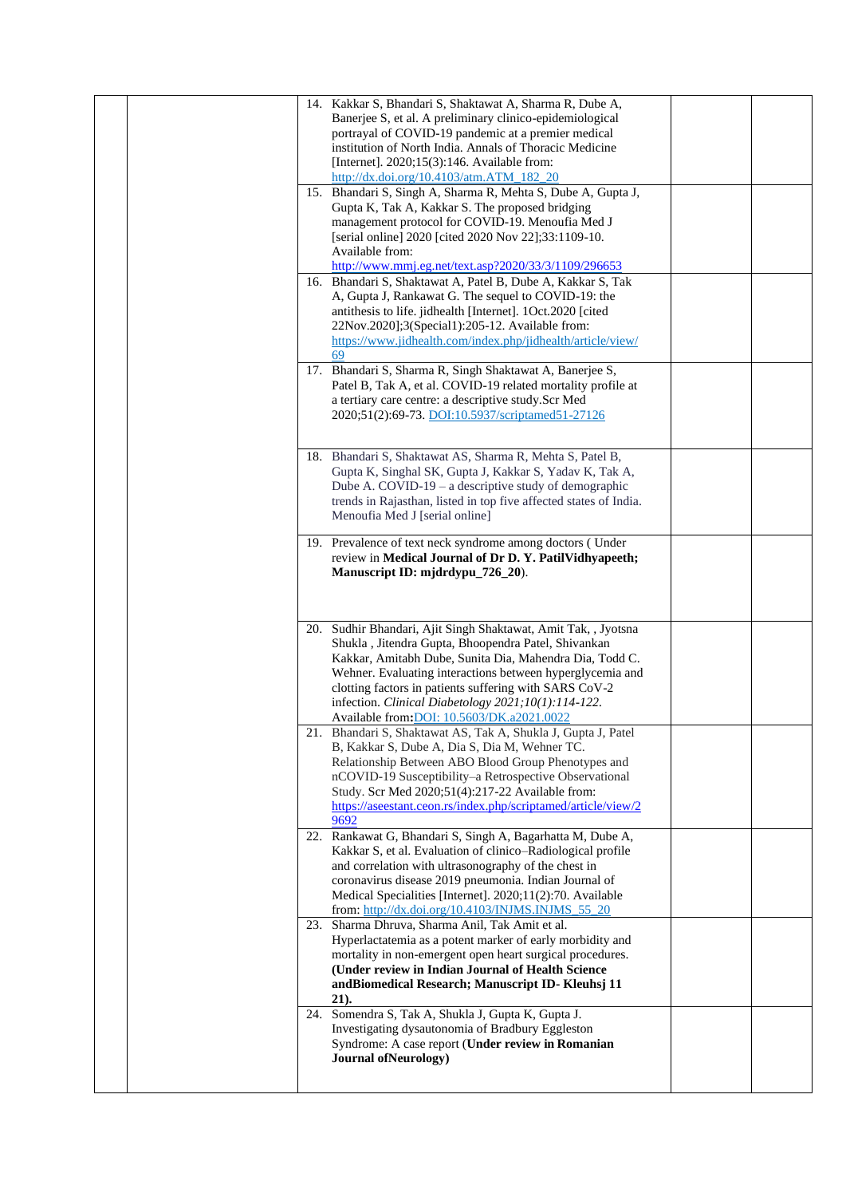| 14. Kakkar S, Bhandari S, Shaktawat A, Sharma R, Dube A,<br>Banerjee S, et al. A preliminary clinico-epidemiological<br>portrayal of COVID-19 pandemic at a premier medical<br>institution of North India. Annals of Thoracic Medicine<br>[Internet]. 2020;15(3):146. Available from:<br>http://dx.doi.org/10.4103/atm.ATM_182_20<br>15. Bhandari S, Singh A, Sharma R, Mehta S, Dube A, Gupta J,<br>Gupta K, Tak A, Kakkar S. The proposed bridging<br>management protocol for COVID-19. Menoufia Med J<br>[serial online] 2020 [cited 2020 Nov 22];33:1109-10. |  |
|------------------------------------------------------------------------------------------------------------------------------------------------------------------------------------------------------------------------------------------------------------------------------------------------------------------------------------------------------------------------------------------------------------------------------------------------------------------------------------------------------------------------------------------------------------------|--|
| Available from:<br>http://www.mmj.eg.net/text.asp?2020/33/3/1109/296653<br>16. Bhandari S, Shaktawat A, Patel B, Dube A, Kakkar S, Tak<br>A, Gupta J, Rankawat G. The sequel to COVID-19: the<br>antithesis to life. jidhealth [Internet]. 1Oct.2020 [cited]<br>22Nov.2020];3(Special1):205-12. Available from:<br>https://www.jidhealth.com/index.php/jidhealth/article/view/                                                                                                                                                                                   |  |
| 69<br>17. Bhandari S, Sharma R, Singh Shaktawat A, Banerjee S,<br>Patel B, Tak A, et al. COVID-19 related mortality profile at<br>a tertiary care centre: a descriptive study.Scr Med<br>2020;51(2):69-73. DOI:10.5937/scriptamed51-27126                                                                                                                                                                                                                                                                                                                        |  |
| 18. Bhandari S, Shaktawat AS, Sharma R, Mehta S, Patel B,<br>Gupta K, Singhal SK, Gupta J, Kakkar S, Yadav K, Tak A,<br>Dube A. COVID-19 $-$ a descriptive study of demographic<br>trends in Rajasthan, listed in top five affected states of India.<br>Menoufia Med J [serial online]                                                                                                                                                                                                                                                                           |  |
| 19. Prevalence of text neck syndrome among doctors (Under<br>review in Medical Journal of Dr D. Y. PatilVidhyapeeth;<br>Manuscript ID: mjdrdypu_726_20).                                                                                                                                                                                                                                                                                                                                                                                                         |  |
| 20. Sudhir Bhandari, Ajit Singh Shaktawat, Amit Tak, , Jyotsna<br>Shukla, Jitendra Gupta, Bhoopendra Patel, Shivankan<br>Kakkar, Amitabh Dube, Sunita Dia, Mahendra Dia, Todd C.<br>Wehner. Evaluating interactions between hyperglycemia and<br>clotting factors in patients suffering with SARS CoV-2<br>infection. Clinical Diabetology 2021;10(1):114-122.<br>Available from: DOI: 10.5603/DK.a2021.0022                                                                                                                                                     |  |
| 21. Bhandari S, Shaktawat AS, Tak A, Shukla J, Gupta J, Patel<br>B, Kakkar S, Dube A, Dia S, Dia M, Wehner TC.<br>Relationship Between ABO Blood Group Phenotypes and<br>nCOVID-19 Susceptibility-a Retrospective Observational<br>Study. Scr Med 2020;51(4):217-22 Available from:<br>https://aseestant.ceon.rs/index.php/scriptamed/article/view/2<br>9692                                                                                                                                                                                                     |  |
| Rankawat G, Bhandari S, Singh A, Bagarhatta M, Dube A,<br>22.<br>Kakkar S, et al. Evaluation of clinico-Radiological profile<br>and correlation with ultrasonography of the chest in<br>coronavirus disease 2019 pneumonia. Indian Journal of<br>Medical Specialities [Internet]. 2020;11(2):70. Available<br>from: $\frac{http://dx.doi.org/10.4103/INJMS.INJMS 55 20}{http://dx.doi.org/10.4103/INJMS.INJMS 55 20}$                                                                                                                                            |  |
| 23. Sharma Dhruva, Sharma Anil, Tak Amit et al.<br>Hyperlactatemia as a potent marker of early morbidity and<br>mortality in non-emergent open heart surgical procedures.<br>(Under review in Indian Journal of Health Science<br>andBiomedical Research; Manuscript ID- Kleuhsj 11<br>21).<br>24. Somendra S, Tak A, Shukla J, Gupta K, Gupta J.                                                                                                                                                                                                                |  |
| Investigating dysautonomia of Bradbury Eggleston<br>Syndrome: A case report (Under review in Romanian<br><b>Journal ofNeurology</b> )                                                                                                                                                                                                                                                                                                                                                                                                                            |  |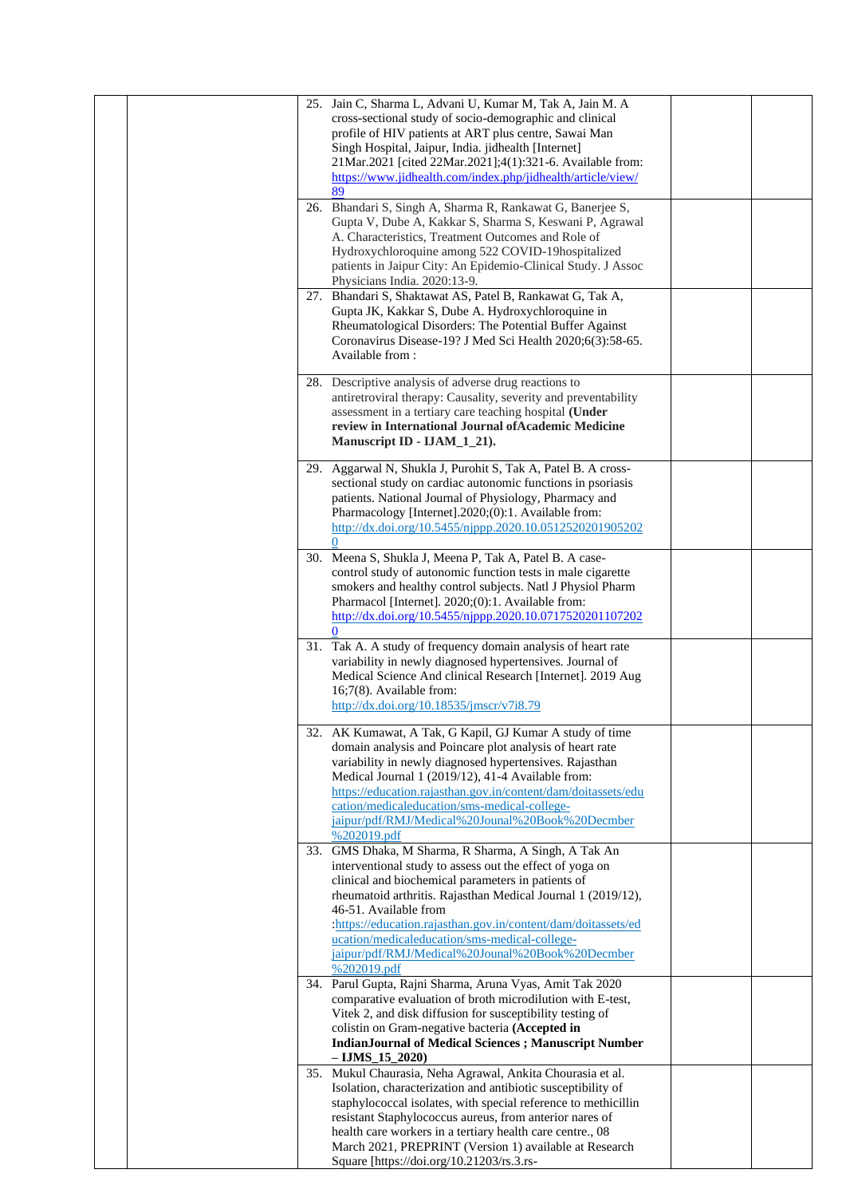|  | 25. Jain C, Sharma L, Advani U, Kumar M, Tak A, Jain M. A<br>cross-sectional study of socio-demographic and clinical<br>profile of HIV patients at ART plus centre, Sawai Man<br>Singh Hospital, Jaipur, India. jidhealth [Internet]<br>21Mar.2021 [cited 22Mar.2021];4(1):321-6. Available from:<br>https://www.jidhealth.com/index.php/jidhealth/article/view/<br>89                                                                               |  |
|--|------------------------------------------------------------------------------------------------------------------------------------------------------------------------------------------------------------------------------------------------------------------------------------------------------------------------------------------------------------------------------------------------------------------------------------------------------|--|
|  | 26. Bhandari S, Singh A, Sharma R, Rankawat G, Banerjee S,<br>Gupta V, Dube A, Kakkar S, Sharma S, Keswani P, Agrawal<br>A. Characteristics, Treatment Outcomes and Role of<br>Hydroxychloroquine among 522 COVID-19hospitalized<br>patients in Jaipur City: An Epidemio-Clinical Study. J Assoc<br>Physicians India. 2020:13-9.                                                                                                                     |  |
|  | 27. Bhandari S, Shaktawat AS, Patel B, Rankawat G, Tak A,<br>Gupta JK, Kakkar S, Dube A. Hydroxychloroquine in<br>Rheumatological Disorders: The Potential Buffer Against<br>Coronavirus Disease-19? J Med Sci Health 2020;6(3):58-65.<br>Available from:                                                                                                                                                                                            |  |
|  | 28. Descriptive analysis of adverse drug reactions to<br>antiretroviral therapy: Causality, severity and preventability<br>assessment in a tertiary care teaching hospital (Under<br>review in International Journal of Academic Medicine<br>Manuscript ID - IJAM_1_21).                                                                                                                                                                             |  |
|  | 29. Aggarwal N, Shukla J, Purohit S, Tak A, Patel B. A cross-<br>sectional study on cardiac autonomic functions in psoriasis<br>patients. National Journal of Physiology, Pharmacy and<br>Pharmacology [Internet].2020;(0):1. Available from:<br>http://dx.doi.org/10.5455/njppp.2020.10.0512520201905202<br>$\Omega$                                                                                                                                |  |
|  | 30. Meena S, Shukla J, Meena P, Tak A, Patel B. A case-<br>control study of autonomic function tests in male cigarette<br>smokers and healthy control subjects. Natl J Physiol Pharm<br>Pharmacol [Internet]. 2020;(0):1. Available from:<br>http://dx.doi.org/10.5455/njppp.2020.10.0717520201107202<br>0                                                                                                                                           |  |
|  | 31. Tak A. A study of frequency domain analysis of heart rate<br>variability in newly diagnosed hypertensives. Journal of<br>Medical Science And clinical Research [Internet]. 2019 Aug<br>16;7(8). Available from:<br>http://dx.doi.org/10.18535/jmscr/v7i8.79                                                                                                                                                                                      |  |
|  | 32. AK Kumawat, A Tak, G Kapil, GJ Kumar A study of time<br>domain analysis and Poincare plot analysis of heart rate<br>variability in newly diagnosed hypertensives. Rajasthan<br>Medical Journal 1 (2019/12), 41-4 Available from:<br>https://education.rajasthan.gov.in/content/dam/doitassets/edu<br>cation/medicaleducation/sms-medical-college-<br>jaipur/pdf/RMJ/Medical%20Jounal%20Book%20Decmber<br>%202019.pdf                             |  |
|  | 33. GMS Dhaka, M Sharma, R Sharma, A Singh, A Tak An<br>interventional study to assess out the effect of yoga on<br>clinical and biochemical parameters in patients of<br>rheumatoid arthritis. Rajasthan Medical Journal 1 (2019/12),<br>46-51. Available from<br>:https://education.rajasthan.gov.in/content/dam/doitassets/ed<br>ucation/medicaleducation/sms-medical-college-<br>jaipur/pdf/RMJ/Medical%20Jounal%20Book%20Decmber<br>%202019.pdf |  |
|  | 34. Parul Gupta, Rajni Sharma, Aruna Vyas, Amit Tak 2020<br>comparative evaluation of broth microdilution with E-test,<br>Vitek 2, and disk diffusion for susceptibility testing of<br>colistin on Gram-negative bacteria (Accepted in<br><b>IndianJournal of Medical Sciences ; Manuscript Number</b><br>$-$ IJMS $15$ 2020)                                                                                                                        |  |
|  | 35. Mukul Chaurasia, Neha Agrawal, Ankita Chourasia et al.<br>Isolation, characterization and antibiotic susceptibility of<br>staphylococcal isolates, with special reference to methicillin<br>resistant Staphylococcus aureus, from anterior nares of<br>health care workers in a tertiary health care centre., 08<br>March 2021, PREPRINT (Version 1) available at Research<br>Square [https://doi.org/10.21203/rs.3.rs-                          |  |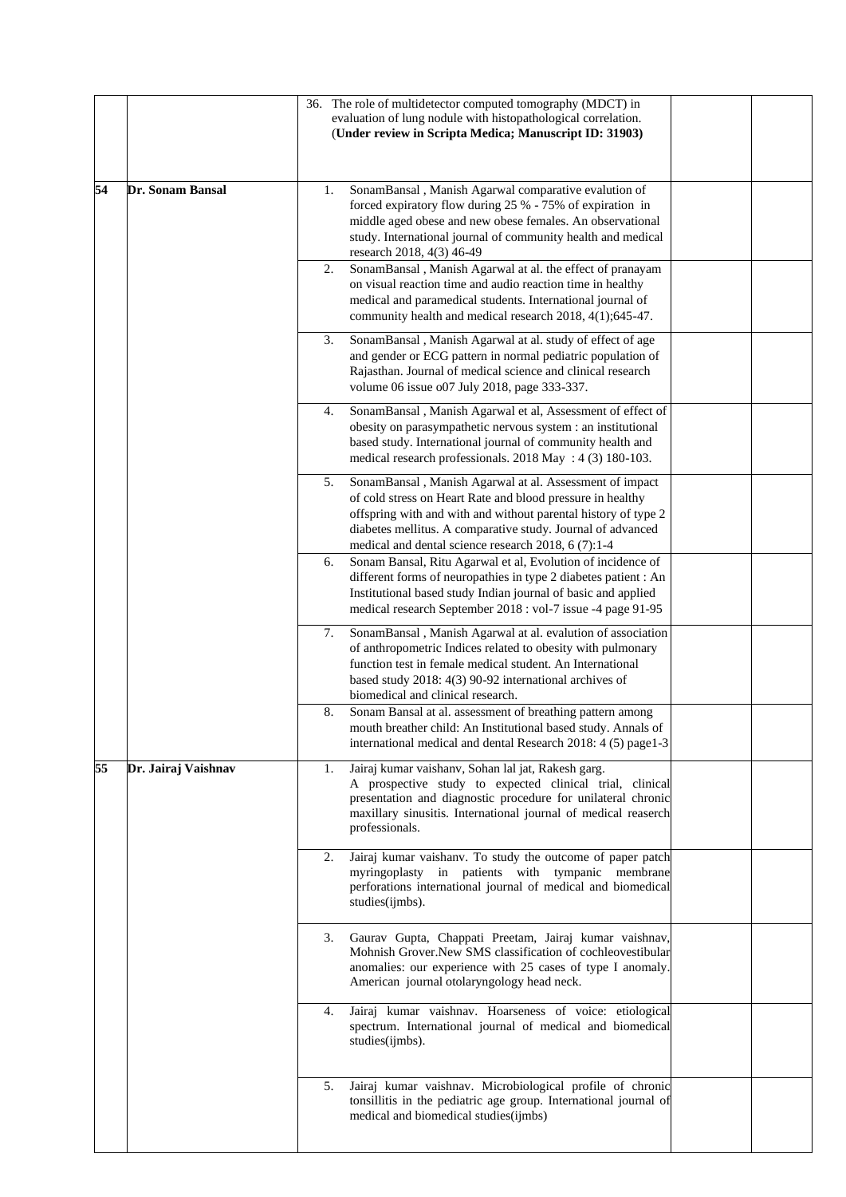|    |                     | 36. The role of multidetector computed tomography (MDCT) in<br>evaluation of lung nodule with histopathological correlation.<br>(Under review in Scripta Medica; Manuscript ID: 31903)                                                                                                                                                                                                                                                                                                                                                       |  |
|----|---------------------|----------------------------------------------------------------------------------------------------------------------------------------------------------------------------------------------------------------------------------------------------------------------------------------------------------------------------------------------------------------------------------------------------------------------------------------------------------------------------------------------------------------------------------------------|--|
| 54 | Dr. Sonam Bansal    | SonamBansal, Manish Agarwal comparative evalution of<br>1.<br>forced expiratory flow during 25 % - 75% of expiration in<br>middle aged obese and new obese females. An observational<br>study. International journal of community health and medical<br>research 2018, 4(3) 46-49<br>SonamBansal, Manish Agarwal at al. the effect of pranayam<br>2.<br>on visual reaction time and audio reaction time in healthy<br>medical and paramedical students. International journal of<br>community health and medical research 2018, 4(1);645-47. |  |
|    |                     | 3.<br>SonamBansal, Manish Agarwal at al. study of effect of age<br>and gender or ECG pattern in normal pediatric population of<br>Rajasthan. Journal of medical science and clinical research<br>volume 06 issue o07 July 2018, page 333-337.                                                                                                                                                                                                                                                                                                |  |
|    |                     | SonamBansal, Manish Agarwal et al, Assessment of effect of<br>4.<br>obesity on parasympathetic nervous system : an institutional<br>based study. International journal of community health and<br>medical research professionals. 2018 May : 4 (3) 180-103.                                                                                                                                                                                                                                                                                  |  |
|    |                     | SonamBansal, Manish Agarwal at al. Assessment of impact<br>5.<br>of cold stress on Heart Rate and blood pressure in healthy<br>offspring with and with and without parental history of type 2<br>diabetes mellitus. A comparative study. Journal of advanced<br>medical and dental science research 2018, 6 (7):1-4                                                                                                                                                                                                                          |  |
|    |                     | Sonam Bansal, Ritu Agarwal et al, Evolution of incidence of<br>6.<br>different forms of neuropathies in type 2 diabetes patient : An<br>Institutional based study Indian journal of basic and applied<br>medical research September 2018 : vol-7 issue -4 page 91-95                                                                                                                                                                                                                                                                         |  |
|    |                     | SonamBansal, Manish Agarwal at al. evalution of association<br>7.<br>of anthropometric Indices related to obesity with pulmonary<br>function test in female medical student. An International<br>based study 2018: 4(3) 90-92 international archives of<br>biomedical and clinical research.                                                                                                                                                                                                                                                 |  |
|    |                     | 8.<br>Sonam Bansal at al. assessment of breathing pattern among<br>mouth breather child: An Institutional based study. Annals of<br>international medical and dental Research 2018: 4 (5) page1-3                                                                                                                                                                                                                                                                                                                                            |  |
| 55 | Dr. Jairaj Vaishnav | Jairaj kumar vaishanv, Sohan lal jat, Rakesh garg.<br>1.<br>A prospective study to expected clinical trial, clinical<br>presentation and diagnostic procedure for unilateral chronic<br>maxillary sinusitis. International journal of medical reaserch<br>professionals.                                                                                                                                                                                                                                                                     |  |
|    |                     | Jairaj kumar vaishanv. To study the outcome of paper patch<br>2.<br>myringoplasty in patients with tympanic membrane<br>perforations international journal of medical and biomedical<br>studies(ijmbs).                                                                                                                                                                                                                                                                                                                                      |  |
|    |                     | Gaurav Gupta, Chappati Preetam, Jairaj kumar vaishnav,<br>3.<br>Mohnish Grover.New SMS classification of cochleovestibular<br>anomalies: our experience with 25 cases of type I anomaly.<br>American journal otolaryngology head neck.                                                                                                                                                                                                                                                                                                       |  |
|    |                     | Jairaj kumar vaishnav. Hoarseness of voice: etiological<br>4.<br>spectrum. International journal of medical and biomedical<br>studies(ijmbs).                                                                                                                                                                                                                                                                                                                                                                                                |  |
|    |                     | Jairaj kumar vaishnav. Microbiological profile of chronic<br>5.<br>tonsillitis in the pediatric age group. International journal of<br>medical and biomedical studies(ijmbs)                                                                                                                                                                                                                                                                                                                                                                 |  |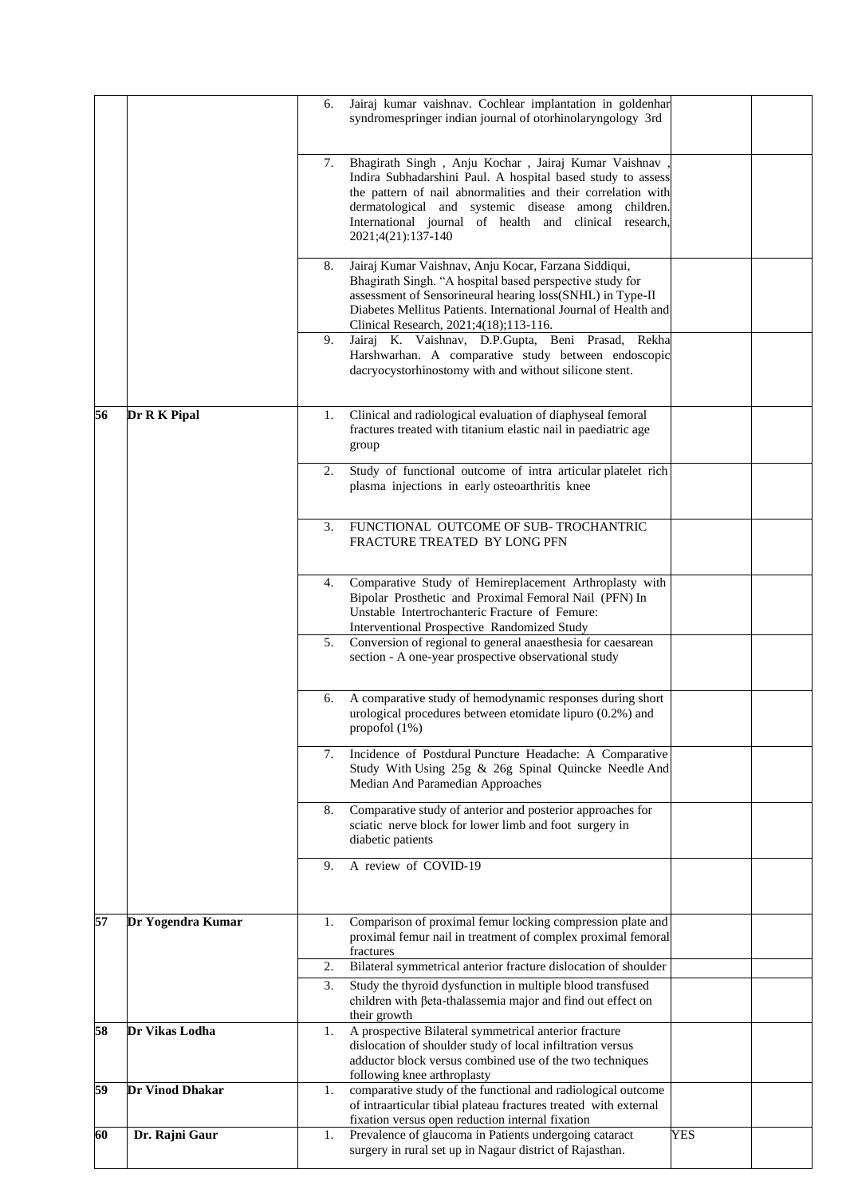|    |                        | 6. | Jairaj kumar vaishnav. Cochlear implantation in goldenhar<br>syndromespringer indian journal of otorhinolaryngology 3rd                                                                                                                                                                                                     |     |  |
|----|------------------------|----|-----------------------------------------------------------------------------------------------------------------------------------------------------------------------------------------------------------------------------------------------------------------------------------------------------------------------------|-----|--|
|    |                        | 7. | Bhagirath Singh , Anju Kochar , Jairaj Kumar Vaishnav<br>Indira Subhadarshini Paul. A hospital based study to assess<br>the pattern of nail abnormalities and their correlation with<br>dermatological and systemic disease among children.<br>International journal of health and clinical research,<br>2021;4(21):137-140 |     |  |
|    |                        | 8. | Jairaj Kumar Vaishnav, Anju Kocar, Farzana Siddiqui,<br>Bhagirath Singh. "A hospital based perspective study for<br>assessment of Sensorineural hearing loss(SNHL) in Type-II<br>Diabetes Mellitus Patients. International Journal of Health and<br>Clinical Research, 2021;4(18);113-116.                                  |     |  |
|    |                        | 9. | Jairaj K. Vaishnav, D.P.Gupta, Beni Prasad,<br>Rekha<br>Harshwarhan. A comparative study between endoscopic<br>dacryocystorhinostomy with and without silicone stent.                                                                                                                                                       |     |  |
| 56 | Dr R K Pipal           | 1. | Clinical and radiological evaluation of diaphyseal femoral<br>fractures treated with titanium elastic nail in paediatric age<br>group                                                                                                                                                                                       |     |  |
|    |                        | 2. | Study of functional outcome of intra articular platelet rich<br>plasma injections in early osteoarthritis knee                                                                                                                                                                                                              |     |  |
|    |                        | 3. | FUNCTIONAL OUTCOME OF SUB-TROCHANTRIC<br>FRACTURE TREATED BY LONG PFN                                                                                                                                                                                                                                                       |     |  |
|    |                        | 4. | Comparative Study of Hemireplacement Arthroplasty with<br>Bipolar Prosthetic and Proximal Femoral Nail (PFN) In<br>Unstable Intertrochanteric Fracture of Femure:<br><b>Interventional Prospective Randomized Study</b>                                                                                                     |     |  |
|    |                        | 5. | Conversion of regional to general anaesthesia for caesarean<br>section - A one-year prospective observational study                                                                                                                                                                                                         |     |  |
|    |                        | 6. | A comparative study of hemodynamic responses during short<br>urological procedures between etomidate lipuro (0.2%) and<br>propofol $(1%)$                                                                                                                                                                                   |     |  |
|    |                        | 7. | Incidence of Postdural Puncture Headache: A Comparative<br>Study With Using 25g & 26g Spinal Quincke Needle And<br>Median And Paramedian Approaches                                                                                                                                                                         |     |  |
|    |                        | 8. | Comparative study of anterior and posterior approaches for<br>sciatic nerve block for lower limb and foot surgery in<br>diabetic patients                                                                                                                                                                                   |     |  |
|    |                        | 9. | A review of COVID-19                                                                                                                                                                                                                                                                                                        |     |  |
| 57 | Dr Yogendra Kumar      | 1. | Comparison of proximal femur locking compression plate and<br>proximal femur nail in treatment of complex proximal femoral<br>fractures                                                                                                                                                                                     |     |  |
|    |                        | 2. | Bilateral symmetrical anterior fracture dislocation of shoulder                                                                                                                                                                                                                                                             |     |  |
|    |                        | 3. | Study the thyroid dysfunction in multiple blood transfused<br>children with ßeta-thalassemia major and find out effect on<br>their growth                                                                                                                                                                                   |     |  |
| 58 | Dr Vikas Lodha         | 1. | A prospective Bilateral symmetrical anterior fracture<br>dislocation of shoulder study of local infiltration versus<br>adductor block versus combined use of the two techniques<br>following knee arthroplasty                                                                                                              |     |  |
| 59 | <b>Dr Vinod Dhakar</b> | 1. | comparative study of the functional and radiological outcome<br>of intraarticular tibial plateau fractures treated with external<br>fixation versus open reduction internal fixation                                                                                                                                        |     |  |
| 60 | Dr. Rajni Gaur         | 1. | Prevalence of glaucoma in Patients undergoing cataract<br>surgery in rural set up in Nagaur district of Rajasthan.                                                                                                                                                                                                          | YES |  |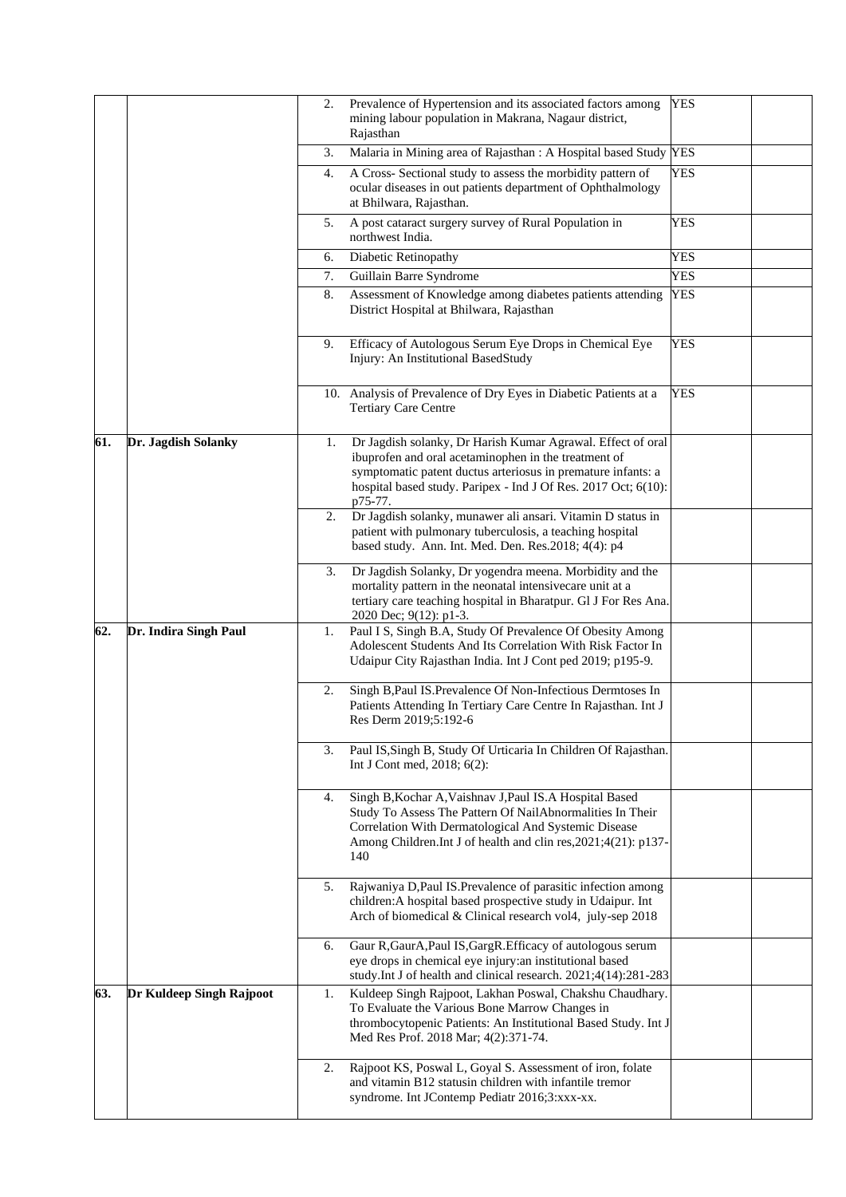|     |                          | 2. | Prevalence of Hypertension and its associated factors among<br>mining labour population in Makrana, Nagaur district,<br>Rajasthan                                                                                                                                | <b>YES</b> |  |
|-----|--------------------------|----|------------------------------------------------------------------------------------------------------------------------------------------------------------------------------------------------------------------------------------------------------------------|------------|--|
|     |                          | 3. | Malaria in Mining area of Rajasthan : A Hospital based Study YES                                                                                                                                                                                                 |            |  |
|     |                          | 4. | A Cross- Sectional study to assess the morbidity pattern of<br>ocular diseases in out patients department of Ophthalmology<br>at Bhilwara, Rajasthan.                                                                                                            | <b>YES</b> |  |
|     |                          | 5. | A post cataract surgery survey of Rural Population in<br>northwest India.                                                                                                                                                                                        | YES        |  |
|     |                          | 6. | Diabetic Retinopathy                                                                                                                                                                                                                                             | YES        |  |
|     |                          | 7. | Guillain Barre Syndrome                                                                                                                                                                                                                                          | <b>YES</b> |  |
|     |                          | 8. | Assessment of Knowledge among diabetes patients attending<br>District Hospital at Bhilwara, Rajasthan                                                                                                                                                            | <b>YES</b> |  |
|     |                          | 9. | Efficacy of Autologous Serum Eye Drops in Chemical Eye<br>Injury: An Institutional BasedStudy                                                                                                                                                                    | <b>YES</b> |  |
|     |                          |    | 10. Analysis of Prevalence of Dry Eyes in Diabetic Patients at a<br><b>Tertiary Care Centre</b>                                                                                                                                                                  | YES        |  |
| 61. | Dr. Jagdish Solanky      | 1. | Dr Jagdish solanky, Dr Harish Kumar Agrawal. Effect of oral<br>ibuprofen and oral acetaminophen in the treatment of<br>symptomatic patent ductus arteriosus in premature infants: a<br>hospital based study. Paripex - Ind J Of Res. 2017 Oct; 6(10):<br>p75-77. |            |  |
|     |                          | 2. | Dr Jagdish solanky, munawer ali ansari. Vitamin D status in<br>patient with pulmonary tuberculosis, a teaching hospital<br>based study. Ann. Int. Med. Den. Res.2018; 4(4): p4                                                                                   |            |  |
|     |                          | 3. | Dr Jagdish Solanky, Dr yogendra meena. Morbidity and the<br>mortality pattern in the neonatal intensivecare unit at a<br>tertiary care teaching hospital in Bharatpur. Gl J For Res Ana.<br>2020 Dec; 9(12): p1-3.                                               |            |  |
| 62. | Dr. Indira Singh Paul    | 1. | Paul I S, Singh B.A, Study Of Prevalence Of Obesity Among<br>Adolescent Students And Its Correlation With Risk Factor In<br>Udaipur City Rajasthan India. Int J Cont ped 2019; p195-9.                                                                           |            |  |
|     |                          | 2. | Singh B, Paul IS. Prevalence Of Non-Infectious Dermtoses In<br>Patients Attending In Tertiary Care Centre In Rajasthan. Int J<br>Res Derm 2019;5:192-6                                                                                                           |            |  |
|     |                          | 3. | Paul IS, Singh B, Study Of Urticaria In Children Of Rajasthan.<br>Int J Cont med, 2018; 6(2):                                                                                                                                                                    |            |  |
|     |                          | 4. | Singh B, Kochar A, Vaishnav J, Paul IS.A Hospital Based<br>Study To Assess The Pattern Of NailAbnormalities In Their<br>Correlation With Dermatological And Systemic Disease<br>Among Children.Int J of health and clin res, 2021; 4(21): p137-<br>140           |            |  |
|     |                          | 5. | Rajwaniya D, Paul IS. Prevalence of parasitic infection among<br>children: A hospital based prospective study in Udaipur. Int<br>Arch of biomedical & Clinical research vol4, july-sep 2018                                                                      |            |  |
|     |                          | 6. | Gaur R, GaurA, Paul IS, Garg R. Efficacy of autologous serum<br>eye drops in chemical eye injury:an institutional based<br>study.Int J of health and clinical research. 2021;4(14):281-283                                                                       |            |  |
| 63. | Dr Kuldeep Singh Rajpoot | 1. | Kuldeep Singh Rajpoot, Lakhan Poswal, Chakshu Chaudhary.<br>To Evaluate the Various Bone Marrow Changes in<br>thrombocytopenic Patients: An Institutional Based Study. Int J<br>Med Res Prof. 2018 Mar; 4(2):371-74.                                             |            |  |
|     |                          | 2. | Rajpoot KS, Poswal L, Goyal S. Assessment of iron, folate<br>and vitamin B12 statusin children with infantile tremor<br>syndrome. Int JContemp Pediatr 2016;3:xxx-xx.                                                                                            |            |  |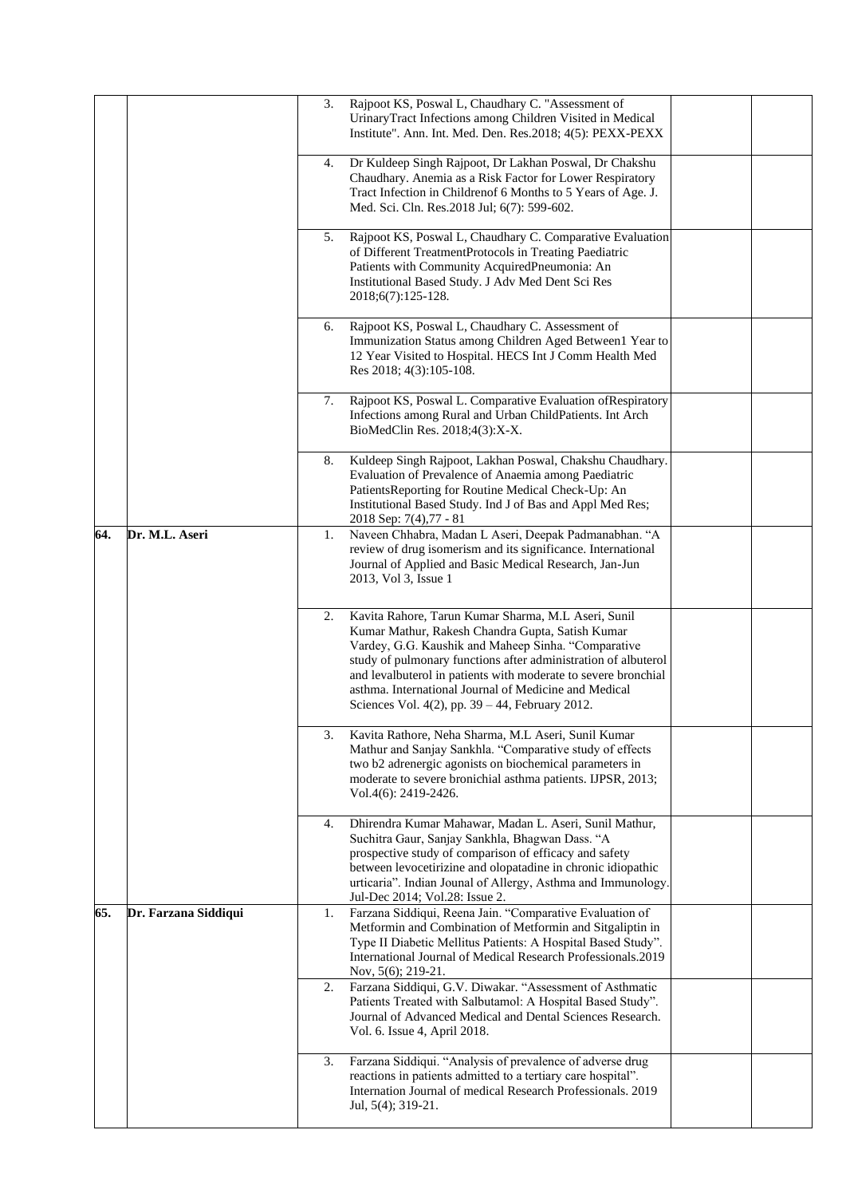|     |                      | 3. | Rajpoot KS, Poswal L, Chaudhary C. "Assessment of<br>UrinaryTract Infections among Children Visited in Medical<br>Institute". Ann. Int. Med. Den. Res.2018; 4(5): PEXX-PEXX                                                                                                                                                                                                                                    |  |
|-----|----------------------|----|----------------------------------------------------------------------------------------------------------------------------------------------------------------------------------------------------------------------------------------------------------------------------------------------------------------------------------------------------------------------------------------------------------------|--|
|     |                      | 4. | Dr Kuldeep Singh Rajpoot, Dr Lakhan Poswal, Dr Chakshu<br>Chaudhary. Anemia as a Risk Factor for Lower Respiratory<br>Tract Infection in Childrenof 6 Months to 5 Years of Age. J.<br>Med. Sci. Cln. Res.2018 Jul; 6(7): 599-602.                                                                                                                                                                              |  |
|     |                      | 5. | Rajpoot KS, Poswal L, Chaudhary C. Comparative Evaluation<br>of Different TreatmentProtocols in Treating Paediatric<br>Patients with Community AcquiredPneumonia: An<br>Institutional Based Study. J Adv Med Dent Sci Res<br>2018;6(7):125-128.                                                                                                                                                                |  |
|     |                      | 6. | Rajpoot KS, Poswal L, Chaudhary C. Assessment of<br>Immunization Status among Children Aged Between1 Year to<br>12 Year Visited to Hospital. HECS Int J Comm Health Med<br>Res 2018; 4(3):105-108.                                                                                                                                                                                                             |  |
|     |                      | 7. | Rajpoot KS, Poswal L. Comparative Evaluation of Respiratory<br>Infections among Rural and Urban ChildPatients. Int Arch<br>BioMedClin Res. 2018;4(3):X-X.                                                                                                                                                                                                                                                      |  |
|     |                      | 8. | Kuldeep Singh Rajpoot, Lakhan Poswal, Chakshu Chaudhary.<br>Evaluation of Prevalence of Anaemia among Paediatric<br>PatientsReporting for Routine Medical Check-Up: An<br>Institutional Based Study. Ind J of Bas and Appl Med Res;<br>2018 Sep: 7(4),77 - 81                                                                                                                                                  |  |
| 64. | Dr. M.L. Aseri       | 1. | Naveen Chhabra, Madan L Aseri, Deepak Padmanabhan. "A<br>review of drug isomerism and its significance. International<br>Journal of Applied and Basic Medical Research, Jan-Jun<br>2013, Vol 3, Issue 1                                                                                                                                                                                                        |  |
|     |                      | 2. | Kavita Rahore, Tarun Kumar Sharma, M.L Aseri, Sunil<br>Kumar Mathur, Rakesh Chandra Gupta, Satish Kumar<br>Vardey, G.G. Kaushik and Maheep Sinha. "Comparative<br>study of pulmonary functions after administration of albuterol<br>and levalbuterol in patients with moderate to severe bronchial<br>asthma. International Journal of Medicine and Medical<br>Sciences Vol. 4(2), pp. 39 - 44, February 2012. |  |
|     |                      | 3. | Kavita Rathore, Neha Sharma, M.L Aseri, Sunil Kumar<br>Mathur and Sanjay Sankhla. "Comparative study of effects<br>two b2 adrenergic agonists on biochemical parameters in<br>moderate to severe bronichial asthma patients. IJPSR, 2013;<br>Vol.4(6): 2419-2426.                                                                                                                                              |  |
|     |                      | 4. | Dhirendra Kumar Mahawar, Madan L. Aseri, Sunil Mathur,<br>Suchitra Gaur, Sanjay Sankhla, Bhagwan Dass. "A<br>prospective study of comparison of efficacy and safety<br>between levocetirizine and olopatadine in chronic idiopathic<br>urticaria". Indian Jounal of Allergy, Asthma and Immunology.<br>Jul-Dec 2014; Vol.28: Issue 2.                                                                          |  |
| 65. | Dr. Farzana Siddiqui | 1. | Farzana Siddiqui, Reena Jain. "Comparative Evaluation of<br>Metformin and Combination of Metformin and Sitgaliptin in<br>Type II Diabetic Mellitus Patients: A Hospital Based Study".<br>International Journal of Medical Research Professionals.2019<br>Nov, 5(6); 219-21.                                                                                                                                    |  |
|     |                      | 2. | Farzana Siddiqui, G.V. Diwakar. "Assessment of Asthmatic<br>Patients Treated with Salbutamol: A Hospital Based Study".<br>Journal of Advanced Medical and Dental Sciences Research.<br>Vol. 6. Issue 4, April 2018.                                                                                                                                                                                            |  |
|     |                      | 3. | Farzana Siddiqui. "Analysis of prevalence of adverse drug<br>reactions in patients admitted to a tertiary care hospital".<br>Internation Journal of medical Research Professionals. 2019<br>Jul, 5(4); 319-21.                                                                                                                                                                                                 |  |